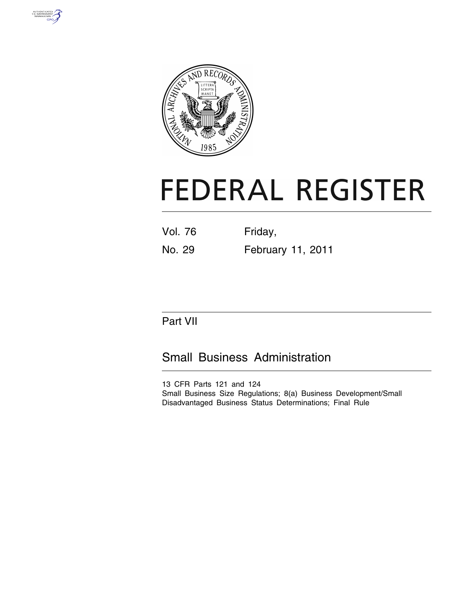



# **FEDERAL REGISTER**

| <b>Vol. 76</b> | Friday,           |
|----------------|-------------------|
| No. 29         | February 11, 2011 |

## Part VII

## Small Business Administration

13 CFR Parts 121 and 124 Small Business Size Regulations; 8(a) Business Development/Small Disadvantaged Business Status Determinations; Final Rule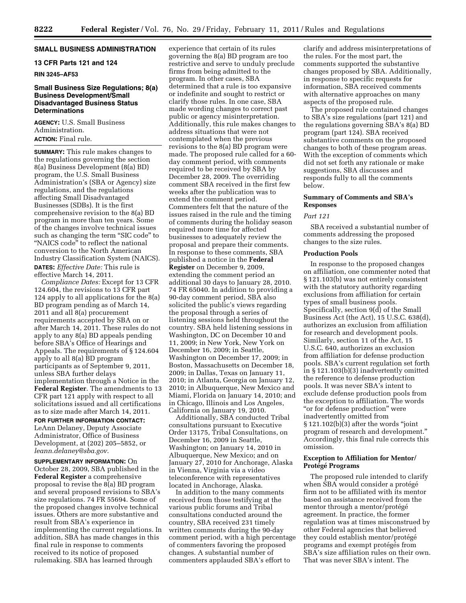#### **SMALL BUSINESS ADMINISTRATION**

#### **13 CFR Parts 121 and 124**

#### **RIN 3245–AF53**

#### **Small Business Size Regulations; 8(a) Business Development/Small Disadvantaged Business Status Determinations**

**AGENCY:** U.S. Small Business Administration. **ACTION:** Final rule.

**SUMMARY:** This rule makes changes to the regulations governing the section 8(a) Business Development (8(a) BD) program, the U.S. Small Business Administration's (SBA or Agency) size regulations, and the regulations affecting Small Disadvantaged Businesses (SDBs). It is the first comprehensive revision to the 8(a) BD program in more than ten years. Some of the changes involve technical issues such as changing the term ''SIC code'' to "NAICS code" to reflect the national conversion to the North American Industry Classification System (NAICS). **DATES:** *Effective Date:* This rule is effective March 14, 2011.

*Compliance Dates:* Except for 13 CFR 124.604, the revisions to 13 CFR part 124 apply to all applications for the 8(a) BD program pending as of March 14, 2011 and all 8(a) procurement requirements accepted by SBA on or after March 14, 2011. These rules do not apply to any 8(a) BD appeals pending before SBA's Office of Hearings and Appeals. The requirements of § 124.604 apply to all 8(a) BD program participants as of September 9, 2011, unless SBA further delays implementation through a Notice in the **Federal Register**. The amendments to 13 CFR part 121 apply with respect to all solicitations issued and all certifications as to size made after March 14, 2011.

**FOR FURTHER INFORMATION CONTACT:**  LeAnn Delaney, Deputy Associate Administrator, Office of Business Development, at (202) 205–5852, or *[leann.delaney@sba.gov](mailto:leann.delaney@sba.gov)*.

**SUPPLEMENTARY INFORMATION:** On October 28, 2009, SBA published in the **Federal Register** a comprehensive proposal to revise the 8(a) BD program and several proposed revisions to SBA's size regulations. 74 FR 55694. Some of the proposed changes involve technical issues. Others are more substantive and result from SBA's experience in implementing the current regulations. In addition, SBA has made changes in this final rule in response to comments received to its notice of proposed rulemaking. SBA has learned through

experience that certain of its rules governing the 8(a) BD program are too restrictive and serve to unduly preclude firms from being admitted to the program. In other cases, SBA determined that a rule is too expansive or indefinite and sought to restrict or clarify those rules. In one case, SBA made wording changes to correct past public or agency misinterpretation. Additionally, this rule makes changes to address situations that were not contemplated when the previous revisions to the 8(a) BD program were made. The proposed rule called for a 60 day comment period, with comments required to be received by SBA by December 28, 2009. The overriding comment SBA received in the first few weeks after the publication was to extend the comment period. Commenters felt that the nature of the issues raised in the rule and the timing of comments during the holiday season required more time for affected businesses to adequately review the proposal and prepare their comments. In response to these comments, SBA published a notice in the **Federal Register** on December 9, 2009, extending the comment period an additional 30 days to January 28, 2010. 74 FR 65040. In addition to providing a 90-day comment period, SBA also solicited the public's views regarding the proposal through a series of listening sessions held throughout the country. SBA held listening sessions in Washington, DC on December 10 and 11, 2009; in New York, New York on December 16, 2009; in Seattle, Washington on December 17, 2009; in Boston, Massachusetts on December 18, 2009; in Dallas, Texas on January 11, 2010; in Atlanta, Georgia on January 12, 2010; in Albuquerque, New Mexico and Miami, Florida on January 14, 2010; and in Chicago, Illinois and Los Angeles, California on January 19, 2010.

Additionally, SBA conducted Tribal consultations pursuant to Executive Order 13175, Tribal Consultations, on December 16, 2009 in Seattle, Washington; on January 14, 2010 in Albuquerque, New Mexico; and on January 27, 2010 for Anchorage, Alaska in Vienna, Virginia via a video teleconference with representatives located in Anchorage, Alaska.

In addition to the many comments received from those testifying at the various public forums and Tribal consultations conducted around the country, SBA received 231 timely written comments during the 90-day comment period, with a high percentage of commenters favoring the proposed changes. A substantial number of commenters applauded SBA's effort to

clarify and address misinterpretations of the rules. For the most part, the comments supported the substantive changes proposed by SBA. Additionally, in response to specific requests for information, SBA received comments with alternative approaches on many aspects of the proposed rule.

The proposed rule contained changes to SBA's size regulations (part 121) and the regulations governing SBA's 8(a) BD program (part 124). SBA received substantive comments on the proposed changes to both of these program areas. With the exception of comments which did not set forth any rationale or make suggestions, SBA discusses and responds fully to all the comments below.

#### **Summary of Comments and SBA's Responses**

#### *Part 121*

SBA received a substantial number of comments addressing the proposed changes to the size rules.

#### **Production Pools**

In response to the proposed changes on affiliation, one commenter noted that § 121.103(b) was not entirely consistent with the statutory authority regarding exclusions from affiliation for certain types of small business pools. Specifically, section 9(d) of the Small Business Act (the Act), 15 U.S.C. 638(d), authorizes an exclusion from affiliation for research and development pools. Similarly, section 11 of the Act, 15 U.S.C. 640, authorizes an exclusion from affiliation for defense production pools. SBA's current regulation set forth in § 121.103(b)(3) inadvertently omitted the reference to defense production pools. It was never SBA's intent to exclude defense production pools from the exception to affiliation. The words ''or for defense production'' were inadvertently omitted from  $\S 121.102(b)(3)$  after the words "joint" program of research and development.'' Accordingly, this final rule corrects this omission.

#### **Exception to Affiliation for Mentor/ Prote´ge´ Programs**

The proposed rule intended to clarify when SBA would consider a protégé firm not to be affiliated with its mentor based on assistance received from the mentor through a mentor/protégé agreement. In practice, the former regulation was at times misconstrued by other Federal agencies that believed they could establish mentor/protégé programs and exempt protégés from SBA's size affiliation rules on their own. That was never SBA's intent. The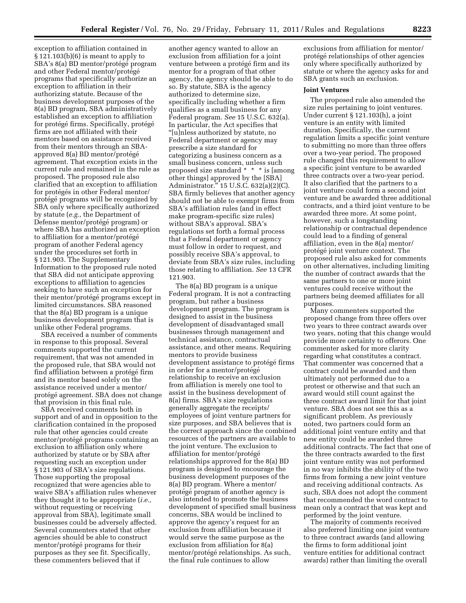exception to affiliation contained in § 121.103(b)(6) is meant to apply to SBA's 8(a) BD mentor/protégé program and other Federal mentor/protégé programs that specifically authorize an exception to affiliation in their authorizing statute. Because of the business development purposes of the 8(a) BD program, SBA administratively established an exception to affiliation for protégé firms. Specifically, protégé firms are not affiliated with their mentors based on assistance received from their mentors through an SBAapproved 8(a) BD mentor/protégé agreement. That exception exists in the current rule and remained in the rule as proposed. The proposed rule also clarified that an exception to affiliation for protégés in other Federal mentor/ protégé programs will be recognized by SBA only where specifically authorized by statute (*e.g.,* the Department of Defense mentor/protégé program) or where SBA has authorized an exception to affiliation for a mentor/protégé program of another Federal agency under the procedures set forth in § 121.903. The Supplementary Information to the proposed rule noted that SBA did not anticipate approving exceptions to affiliation to agencies seeking to have such an exception for their mentor/protégé programs except in limited circumstances. SBA reasoned that the 8(a) BD program is a unique business development program that is unlike other Federal programs.

SBA received a number of comments in response to this proposal. Several comments supported the current requirement, that was not amended in the proposed rule, that SBA would not find affiliation between a protégé firm and its mentor based solely on the assistance received under a mentor/ protégé agreement. SBA does not change that provision in this final rule.

SBA received comments both in support and of and in opposition to the clarification contained in the proposed rule that other agencies could create mentor/protégé programs containing an exclusion to affiliation only where authorized by statute or by SBA after requesting such an exception under § 121.903 of SBA's size regulations. Those supporting the proposal recognized that were agencies able to waive SBA's affiliation rules whenever they thought it to be appropriate (*i.e.,*  without requesting or receiving approval from SBA), legitimate small businesses could be adversely affected. Several commenters stated that other agencies should be able to construct mentor/protégé programs for their purposes as they see fit. Specifically, these commenters believed that if

another agency wanted to allow an exclusion from affiliation for a joint venture between a protégé firm and its mentor for a program of that other agency, the agency should be able to do so. By statute, SBA is the agency authorized to determine size, specifically including whether a firm qualifies as a small business for any Federal program. *See* 15 U.S.C. 632(a). In particular, the Act specifies that ''[u]nless authorized by statute, no Federal department or agency may prescribe a size standard for categorizing a business concern as a small business concern, unless such proposed size standard \* \* \* is [among other things] approved by the [SBA] Administrator.'' 15 U.S.C. 632(a)(2)(C). SBA firmly believes that another agency should not be able to exempt firms from SBA's affiliation rules (and in effect make program-specific size rules) without SBA's approval. SBA's regulations set forth a formal process that a Federal department or agency must follow in order to request, and possibly receive SBA's approval, to deviate from SBA's size rules, including those relating to affiliation. *See* 13 CFR 121.903.

The 8(a) BD program is a unique Federal program. It is not a contracting program, but rather a business development program. The program is designed to assist in the business development of disadvantaged small businesses through management and technical assistance, contractual assistance, and other means. Requiring mentors to provide business development assistance to protégé firms in order for a mentor/protégé relationship to receive an exclusion from affiliation is merely one tool to assist in the business development of 8(a) firms. SBA's size regulations generally aggregate the receipts/ employees of joint venture partners for size purposes, and SBA believes that is the correct approach since the combined resources of the partners are available to the joint venture. The exclusion to affiliation for mentor/protégé relationships approved for the 8(a) BD program is designed to encourage the business development purposes of the 8(a) BD program. Where a mentor/ protégé program of another agency is also intended to promote the business development of specified small business concerns, SBA would be inclined to approve the agency's request for an exclusion from affiliation because it would serve the same purpose as the exclusion from affiliation for 8(a) mentor/protégé relationships. As such, the final rule continues to allow

exclusions from affiliation for mentor/ protégé relationships of other agencies only where specifically authorized by statute or where the agency asks for and SBA grants such an exclusion.

#### **Joint Ventures**

The proposed rule also amended the size rules pertaining to joint ventures. Under current § 121.103(h), a joint venture is an entity with limited duration. Specifically, the current regulation limits a specific joint venture to submitting no more than three offers over a two-year period. The proposed rule changed this requirement to allow a specific joint venture to be awarded three contracts over a two-year period. It also clarified that the partners to a joint venture could form a second joint venture and be awarded three additional contracts, and a third joint venture to be awarded three more. At some point, however, such a longstanding relationship or contractual dependence could lead to a finding of general affiliation, even in the 8(a) mentor/ protégé joint venture context. The proposed rule also asked for comments on other alternatives, including limiting the number of contract awards that the same partners to one or more joint ventures could receive without the partners being deemed affiliates for all purposes.

Many commenters supported the proposed change from three offers over two years to three contract awards over two years, noting that this change would provide more certainty to offerors. One commenter asked for more clarity regarding what constitutes a contract. That commenter was concerned that a contract could be awarded and then ultimately not performed due to a protest or otherwise and that such an award would still count against the three contract award limit for that joint venture. SBA does not see this as a significant problem. As previously noted, two partners could form an additional joint venture entity and that new entity could be awarded three additional contracts. The fact that one of the three contracts awarded to the first joint venture entity was not performed in no way inhibits the ability of the two firms from forming a new joint venture and receiving additional contracts. As such, SBA does not adopt the comment that recommended the word contract to mean only a contract that was kept and performed by the joint venture.

The majority of comments received also preferred limiting one joint venture to three contract awards (and allowing the firms to form additional joint venture entities for additional contract awards) rather than limiting the overall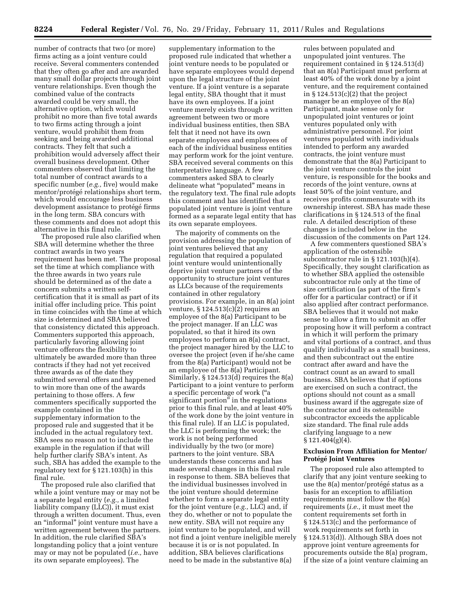number of contracts that two (or more) firms acting as a joint venture could receive. Several commenters contended that they often go after and are awarded many small dollar projects through joint venture relationships. Even though the combined value of the contracts awarded could be very small, the alternative option, which would prohibit no more than five total awards to two firms acting through a joint venture, would prohibit them from seeking and being awarded additional contracts. They felt that such a prohibition would adversely affect their overall business development. Other commenters observed that limiting the total number of contract awards to a specific number (*e.g.,* five) would make mentor/protégé relationships short term, which would encourage less business development assistance to protégé firms in the long term. SBA concurs with these comments and does not adopt this alternative in this final rule.

The proposed rule also clarified when SBA will determine whether the three contract awards in two years requirement has been met. The proposal set the time at which compliance with the three awards in two years rule should be determined as of the date a concern submits a written selfcertification that it is small as part of its initial offer including price. This point in time coincides with the time at which size is determined and SBA believed that consistency dictated this approach. Commenters supported this approach, particularly favoring allowing joint venture offerors the flexibility to ultimately be awarded more than three contracts if they had not yet received three awards as of the date they submitted several offers and happened to win more than one of the awards pertaining to those offers. A few commenters specifically supported the example contained in the supplementary information to the proposed rule and suggested that it be included in the actual regulatory text. SBA sees no reason not to include the example in the regulation if that will help further clarify SBA's intent. As such, SBA has added the example to the regulatory text for § 121.103(h) in this final rule.

The proposed rule also clarified that while a joint venture may or may not be a separate legal entity (*e.g.,* a limited liability company (LLC)), it must exist through a written document. Thus, even an ''informal'' joint venture must have a written agreement between the partners. In addition, the rule clarified SBA's longstanding policy that a joint venture may or may not be populated (*i.e.,* have its own separate employees). The

supplementary information to the proposed rule indicated that whether a joint venture needs to be populated or have separate employees would depend upon the legal structure of the joint venture. If a joint venture is a separate legal entity, SBA thought that it must have its own employees. If a joint venture merely exists through a written agreement between two or more individual business entities, then SBA felt that it need not have its own separate employees and employees of each of the individual business entities may perform work for the joint venture. SBA received several comments on this interpretative language. A few commenters asked SBA to clearly delineate what ''populated'' means in the regulatory text. The final rule adopts this comment and has identified that a populated joint venture is joint venture formed as a separate legal entity that has its own separate employees.

The majority of comments on the provision addressing the population of joint ventures believed that any regulation that required a populated joint venture would unintentionally deprive joint venture partners of the opportunity to structure joint ventures as LLCs because of the requirements contained in other regulatory provisions. For example, in an 8(a) joint venture,  $\S 124.513(c)(2)$  requires an employee of the 8(a) Participant to be the project manager. If an LLC was populated, so that it hired its own employees to perform an 8(a) contract, the project manager hired by the LLC to oversee the project (even if he/she came from the 8(a) Participant) would not be an employee of the 8(a) Participant. Similarly, § 124.513(d) requires the 8(a) Participant to a joint venture to perform a specific percentage of work (''a significant portion" in the regulations prior to this final rule, and at least 40% of the work done by the joint venture in this final rule). If an LLC is populated, the LLC is performing the work; the work is not being performed individually by the two (or more) partners to the joint venture. SBA understands these concerns and has made several changes in this final rule in response to them. SBA believes that the individual businesses involved in the joint venture should determine whether to form a separate legal entity for the joint venture (*e.g.,* LLC) and, if they do, whether or not to populate the new entity. SBA will not require any joint venture to be populated, and will not find a joint venture ineligible merely because it is or is not populated. In addition, SBA believes clarifications need to be made in the substantive 8(a)

rules between populated and unpopulated joint ventures. The requirement contained in § 124.513(d) that an 8(a) Participant must perform at least 40% of the work done by a joint venture, and the requirement contained in  $\S 124.513(c)(2)$  that the project manager be an employee of the 8(a) Participant, make sense only for unpopulated joint ventures or joint ventures populated only with administrative personnel. For joint ventures populated with individuals intended to perform any awarded contracts, the joint venture must demonstrate that the 8(a) Participant to the joint venture controls the joint venture, is responsible for the books and records of the joint venture, owns at least 50% of the joint venture, and receives profits commensurate with its ownership interest. SBA has made these clarifications in § 124.513 of the final rule. A detailed description of these changes is included below in the discussion of the comments on Part 124.

A few commenters questioned SBA's application of the ostensible subcontractor rule in § 121.103(h)(4). Specifically, they sought clarification as to whether SBA applied the ostensible subcontractor rule only at the time of size certification (as part of the firm's offer for a particular contract) or if it also applied after contract performance. SBA believes that it would not make sense to allow a firm to submit an offer proposing how it will perform a contract in which it will perform the primary and vital portions of a contract, and thus qualify individually as a small business, and then subcontract out the entire contract after award and have the contract count as an award to small business. SBA believes that if options are exercised on such a contract, the options should not count as a small business award if the aggregate size of the contractor and its ostensible subcontractor exceeds the applicable size standard. The final rule adds clarifying language to a new § 121.404(g)(4).

#### **Exclusion From Affiliation for Mentor/ Prote´ge´ Joint Ventures**

The proposed rule also attempted to clarify that any joint venture seeking to use the  $8(a)$  mentor/protégé status as a basis for an exception to affiliation requirements must follow the 8(a) requirements (*i.e.,* it must meet the content requirements set forth in § 124.513(c) and the performance of work requirements set forth in § 124.513(d)). Although SBA does not approve joint venture agreements for procurements outside the 8(a) program, if the size of a joint venture claiming an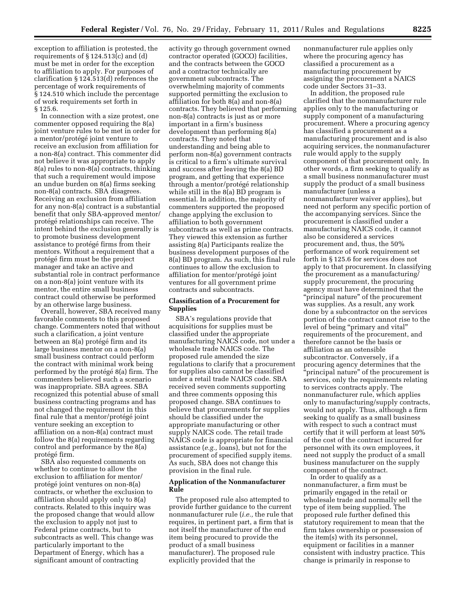exception to affiliation is protested, the requirements of § 124.513(c) and (d) must be met in order for the exception to affiliation to apply. For purposes of clarification § 124.513(d) references the percentage of work requirements of § 124.510 which include the percentage of work requirements set forth in § 125.6.

In connection with a size protest, one commenter opposed requiring the 8(a) joint venture rules to be met in order for a mentor/protégé joint venture to receive an exclusion from affiliation for a non-8(a) contract. This commenter did not believe it was appropriate to apply 8(a) rules to non-8(a) contracts, thinking that such a requirement would impose an undue burden on 8(a) firms seeking non-8(a) contracts. SBA disagrees. Receiving an exclusion from affiliation for any non-8(a) contract is a substantial benefit that only SBA-approved mentor/ protégé relationships can receive. The intent behind the exclusion generally is to promote business development assistance to protégé firms from their mentors. Without a requirement that a protégé firm must be the project manager and take an active and substantial role in contract performance on a non-8(a) joint venture with its mentor, the entire small business contract could otherwise be performed by an otherwise large business.

Overall, however, SBA received many favorable comments to this proposed change. Commenters noted that without such a clarification, a joint venture between an 8(a) protégé firm and its large business mentor on a non-8(a) small business contract could perform the contract with minimal work being performed by the protégé 8(a) firm. The commenters believed such a scenario was inappropriate. SBA agrees. SBA recognized this potential abuse of small business contracting programs and has not changed the requirement in this final rule that a mentor/protégé joint venture seeking an exception to affiliation on a non-8(a) contract must follow the 8(a) requirements regarding control and performance by the 8(a) protégé firm.

SBA also requested comments on whether to continue to allow the exclusion to affiliation for mentor/ protégé joint ventures on non-8(a) contracts, or whether the exclusion to affiliation should apply only to 8(a) contracts. Related to this inquiry was the proposed change that would allow the exclusion to apply not just to Federal prime contracts, but to subcontracts as well. This change was particularly important to the Department of Energy, which has a significant amount of contracting

activity go through government owned contractor operated (GOCO) facilities, and the contracts between the GOCO and a contractor technically are government subcontracts. The overwhelming majority of comments supported permitting the exclusion to affiliation for both 8(a) and non-8(a) contracts. They believed that performing non-8(a) contracts is just as or more important in a firm's business development than performing 8(a) contracts. They noted that understanding and being able to perform non-8(a) government contracts is critical to a firm's ultimate survival and success after leaving the 8(a) BD program, and getting that experience through a mentor/protégé relationship while still in the 8(a) BD program is essential. In addition, the majority of commenters supported the proposed change applying the exclusion to affiliation to both government subcontracts as well as prime contracts. They viewed this extension as further assisting 8(a) Participants realize the business development purposes of the 8(a) BD program. As such, this final rule continues to allow the exclusion to affiliation for mentor/protégé joint ventures for all government prime contracts and subcontracts.

#### **Classification of a Procurement for Supplies**

SBA's regulations provide that acquisitions for supplies must be classified under the appropriate manufacturing NAICS code, not under a wholesale trade NAICS code. The proposed rule amended the size regulations to clarify that a procurement for supplies also cannot be classified under a retail trade NAICS code. SBA received seven comments supporting and three comments opposing this proposed change. SBA continues to believe that procurements for supplies should be classified under the appropriate manufacturing or other supply NAICS code. The retail trade NAICS code is appropriate for financial assistance (*e.g.,* loans), but not for the procurement of specified supply items. As such, SBA does not change this provision in the final rule.

#### **Application of the Nonmanufacturer Rule**

The proposed rule also attempted to provide further guidance to the current nonmanufacturer rule (*i.e.,* the rule that requires, in pertinent part, a firm that is not itself the manufacturer of the end item being procured to provide the product of a small business manufacturer). The proposed rule explicitly provided that the

nonmanufacturer rule applies only where the procuring agency has classified a procurement as a manufacturing procurement by assigning the procurement a NAICS code under Sectors 31–33.

In addition, the proposed rule clarified that the nonmanufacturer rule applies only to the manufacturing or supply component of a manufacturing procurement. Where a procuring agency has classified a procurement as a manufacturing procurement and is also acquiring services, the nonmanufacturer rule would apply to the supply component of that procurement only. In other words, a firm seeking to qualify as a small business nonmanufacturer must supply the product of a small business manufacturer (unless a nonmanufacturer waiver applies), but need not perform any specific portion of the accompanying services. Since the procurement is classified under a manufacturing NAICS code, it cannot also be considered a services procurement and, thus, the 50% performance of work requirement set forth in § 125.6 for services does not apply to that procurement. In classifying the procurement as a manufacturing/ supply procurement, the procuring agency must have determined that the ''principal nature'' of the procurement was supplies. As a result, any work done by a subcontractor on the services portion of the contract cannot rise to the level of being "primary and vital" requirements of the procurement, and therefore cannot be the basis or affiliation as an ostensible subcontractor. Conversely, if a procuring agency determines that the 'principal nature" of the procurement is services, only the requirements relating to services contracts apply. The nonmanufacturer rule, which applies only to manufacturing/supply contracts, would not apply. Thus, although a firm seeking to qualify as a small business with respect to such a contract must certify that it will perform at least 50% of the cost of the contract incurred for personnel with its own employees, it need not supply the product of a small business manufacturer on the supply component of the contract.

In order to qualify as a nonmanufacturer, a firm must be primarily engaged in the retail or wholesale trade and normally sell the type of item being supplied. The proposed rule further defined this statutory requirement to mean that the firm takes ownership or possession of the item(s) with its personnel, equipment or facilities in a manner consistent with industry practice. This change is primarily in response to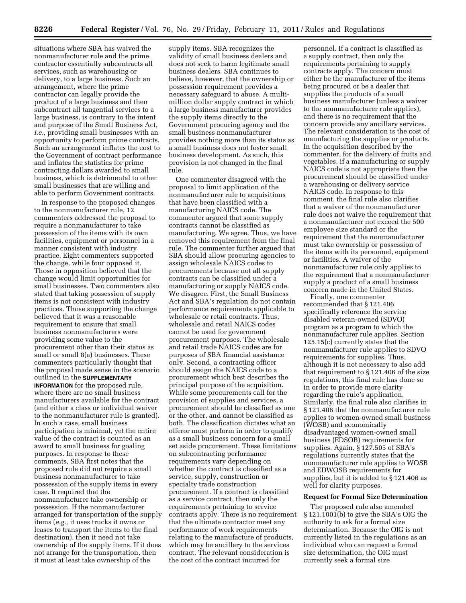situations where SBA has waived the nonmanufacturer rule and the prime contractor essentially subcontracts all services, such as warehousing or delivery, to a large business. Such an arrangement, where the prime contractor can legally provide the product of a large business and then subcontract all tangential services to a large business, is contrary to the intent and purpose of the Small Business Act, *i.e.,* providing small businesses with an opportunity to perform prime contracts. Such an arrangement inflates the cost to the Government of contract performance and inflates the statistics for prime contracting dollars awarded to small business, which is detrimental to other small businesses that are willing and able to perform Government contracts.

In response to the proposed changes to the nonmanufacturer rule, 12 commenters addressed the proposal to require a nonmanufacturer to take possession of the items with its own facilities, equipment or personnel in a manner consistent with industry practice. Eight commenters supported the change, while four opposed it. Those in opposition believed that the change would limit opportunities for small businesses. Two commenters also stated that taking possession of supply items is not consistent with industry practices. Those supporting the change believed that it was a reasonable requirement to ensure that small business nonmanufacturers were providing some value to the procurement other than their status as small or small 8(a) businesses. These commenters particularly thought that the proposal made sense in the scenario outlined in the **SUPPLEMENTARY INFORMATION** for the proposed rule, where there are no small business manufacturers available for the contract (and either a class or individual waiver to the nonmanufacturer rule is granted). In such a case, small business participation is minimal, yet the entire value of the contract is counted as an award to small business for goaling purposes. In response to these comments, SBA first notes that the proposed rule did not require a small business nonmanufacturer to take possession of the supply items in every case. It required that the nonmanufacturer take ownership *or*  possession. If the nonmanufacturer arranged for transportation of the supply items (*e.g.,* it uses trucks it owns or leases to transport the items to the final destination), then it need not take ownership of the supply items. If it does not arrange for the transportation, then it must at least take ownership of the

supply items. SBA recognizes the validity of small business dealers and does not seek to harm legitimate small business dealers. SBA continues to believe, however, that the ownership or possession requirement provides a necessary safeguard to abuse. A multimillion dollar supply contract in which a large business manufacturer provides the supply items directly to the Government procuring agency and the small business nonmanufacturer provides nothing more than its status as a small business does not foster small business development. As such, this provision is not changed in the final rule.

One commenter disagreed with the proposal to limit application of the nonmanufacturer rule to acquisitions that have been classified with a manufacturing NAICS code. The commenter argued that some supply contracts cannot be classified as manufacturing. We agree. Thus, we have removed this requirement from the final rule. The commenter further argued that SBA should allow procuring agencies to assign wholesale NAICS codes to procurements because not all supply contracts can be classified under a manufacturing or supply NAICS code. We disagree. First, the Small Business Act and SBA's regulation do not contain performance requirements applicable to wholesale or retail contracts. Thus, wholesale and retail NAICS codes cannot be used for government procurement purposes. The wholesale and retail trade NAICS codes are for purposes of SBA financial assistance only. Second, a contracting officer should assign the NAICS code to a procurement which best describes the principal purpose of the acquisition. While some procurements call for the provision of supplies and services, a procurement should be classified as one or the other, and cannot be classified as both. The classification dictates what an offeror must perform in order to qualify as a small business concern for a small set aside procurement. These limitations on subcontracting performance requirements vary depending on whether the contract is classified as a service, supply, construction or specialty trade construction procurement. If a contract is classified as a service contract, then only the requirements pertaining to service contracts apply. There is no requirement that the ultimate contractor meet any performance of work requirements relating to the manufacture of products, which may be ancillary to the services contract. The relevant consideration is the cost of the contract incurred for

personnel. If a contract is classified as a supply contract, then only the requirements pertaining to supply contracts apply. The concern must either be the manufacturer of the items being procured or be a dealer that supplies the products of a small business manufacturer (unless a waiver to the nonmanufacturer rule applies), and there is no requirement that the concern provide any ancillary services. The relevant consideration is the cost of manufacturing the supplies or products. In the acquisition described by the commenter, for the delivery of fruits and vegetables, if a manufacturing or supply NAICS code is not appropriate then the procurement should be classified under a warehousing or delivery service NAICS code. In response to this comment, the final rule also clarifies that a waiver of the nonmanufacturer rule does not waive the requirement that a nonmanufacturer not exceed the 500 employee size standard or the requirement that the nonmanufacturer must take ownership or possession of the items with its personnel, equipment or facilities. A waiver of the nonmanufacturer rule only applies to the requirement that a nonmanufacturer supply a product of a small business concern made in the United States.

Finally, one commenter recommended that § 121.406 specifically reference the service disabled veteran-owned (SDVO) program as a program to which the nonmanufacturer rule applies. Section 125.15(c) currently states that the nonmanufacturer rule applies to SDVO requirements for supplies. Thus, although it is not necessary to also add that requirement to § 121.406 of the size regulations, this final rule has done so in order to provide more clarity regarding the rule's application. Similarly, the final rule also clarifies in § 121.406 that the nonmanufacturer rule applies to women-owned small business (WOSB) and economically disadvantaged women-owned small business (EDSOB) requirements for supplies. Again, § 127.505 of SBA's regulations currently states that the nonmanufacturer rule applies to WOSB and EDWOSB requirements for supplies, but it is added to § 121.406 as well for clarity purposes.

#### **Request for Formal Size Determination**

The proposed rule also amended § 121.1001(b) to give the SBA's OIG the authority to ask for a formal size determination. Because the OIG is not currently listed in the regulations as an individual who can request a formal size determination, the OIG must currently seek a formal size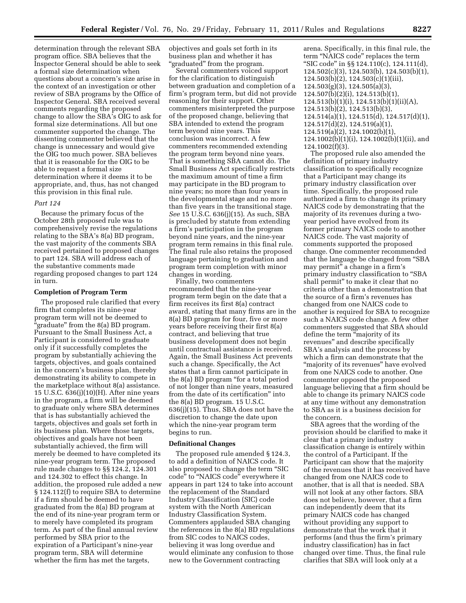determination through the relevant SBA program office. SBA believes that the Inspector General should be able to seek a formal size determination when questions about a concern's size arise in the context of an investigation or other review of SBA programs by the Office of Inspector General. SBA received several comments regarding the proposed change to allow the SBA's OIG to ask for formal size determinations. All but one commenter supported the change. The dissenting commenter believed that the change is unnecessary and would give the OIG too much power. SBA believes that it is reasonable for the OIG to be able to request a formal size determination where it deems it to be appropriate, and, thus, has not changed this provision in this final rule.

#### *Part 124*

Because the primary focus of the October 28th proposed rule was to comprehensively revise the regulations relating to the SBA's 8(a) BD program, the vast majority of the comments SBA received pertained to proposed changes to part 124. SBA will address each of the substantive comments made regarding proposed changes to part 124 in turn.

#### **Completion of Program Term**

The proposed rule clarified that every firm that completes its nine-year program term will not be deemed to 'graduate" from the 8(a) BD program. Pursuant to the Small Business Act, a Participant is considered to graduate only if it successfully completes the program by substantially achieving the targets, objectives, and goals contained in the concern's business plan, thereby demonstrating its ability to compete in the marketplace without 8(a) assistance. 15 U.S.C. 636(j)(10)(H). After nine years in the program, a firm will be deemed to graduate only where SBA determines that is has substantially achieved the targets, objectives and goals set forth in its business plan. Where those targets, objectives and goals have not been substantially achieved, the firm will merely be deemed to have completed its nine-year program term. The proposed rule made changes to §§ 124.2, 124.301 and 124.302 to effect this change. In addition, the proposed rule added a new § 124.112(f) to require SBA to determine if a firm should be deemed to have graduated from the 8(a) BD program at the end of its nine-year program term or to merely have completed its program term. As part of the final annual review performed by SBA prior to the expiration of a Participant's nine-year program term, SBA will determine whether the firm has met the targets,

objectives and goals set forth in its business plan and whether it has ''graduated'' from the program.

Several commenters voiced support for the clarification to distinguish between graduation and completion of a firm's program term, but did not provide reasoning for their support. Other commenters misinterpreted the purpose of the proposed change, believing that SBA intended to extend the program term beyond nine years. This conclusion was incorrect. A few commenters recommended extending the program term beyond nine years. That is something SBA cannot do. The Small Business Act specifically restricts the maximum amount of time a firm may participate in the BD program to nine years; no more than four years in the developmental stage and no more than five years in the transitional stage. *See* 15 U.S.C. 636(j)(15). As such, SBA is precluded by statute from extending a firm's participation in the program beyond nine years, and the nine-year program term remains in this final rule. The final rule also retains the proposed language pertaining to graduation and program term completion with minor changes in wording.

Finally, two commenters recommended that the nine-year program term begin on the date that a firm receives its first 8(a) contract award, stating that many firms are in the 8(a) BD program for four, five or more years before receiving their first 8(a) contract, and believing that true business development does not begin until contractual assistance is received. Again, the Small Business Act prevents such a change. Specifically, the Act states that a firm cannot participate in the 8(a) BD program ''for a total period of not longer than nine years, measured from the date of its certification'' into the 8(a) BD program. 15 U.S.C. 636(j)(15). Thus, SBA does not have the discretion to change the date upon which the nine-year program term begins to run.

#### **Definitional Changes**

The proposed rule amended § 124.3, to add a definition of NAICS code. It also proposed to change the term "SIC code'' to ''NAICS code'' everywhere it appears in part 124 to take into account the replacement of the Standard Industry Classification (SIC) code system with the North American Industry Classification System. Commenters applauded SBA changing the references in the 8(a) BD regulations from SIC codes to NAICS codes, believing it was long overdue and would eliminate any confusion to those new to the Government contracting

arena. Specifically, in this final rule, the term ''NAICS code'' replaces the term ''SIC code'' in §§ 124.110(c), 124.111(d), 124.502(c)(3), 124.503(b), 124.503(b)(1), 124.503(b)(2), 124.503(c)(1)(iii), 124.503(g)(3), 124.505(a)(3), 124.507(b)(2)(i), 124.513(b)(1), 124.513(b)(1)(i), 124.513(b)(1)(ii)(A), 124.513(b)(2), 124.513(b)(3), 124.514(a)(1), 124.515(d), 124.517(d)(1), 124.517(d)(2), 124.519(a)(1), 124.519(a)(2), 124.1002(b)(1),

124.1002(b)(1)(i), 124.1002(b)(1)(ii), and 124.1002(f)(3).

The proposed rule also amended the definition of primary industry classification to specifically recognize that a Participant may change its primary industry classification over time. Specifically, the proposed rule authorized a firm to change its primary NAICS code by demonstrating that the majority of its revenues during a twoyear period have evolved from its former primary NAICS code to another NAICS code. The vast majority of comments supported the proposed change. One commenter recommended that the language be changed from ''SBA may permit'' a change in a firm's primary industry classification to "SBA shall permit'' to make it clear that no criteria other than a demonstration that the source of a firm's revenues has changed from one NAICS code to another is required for SBA to recognize such a NAICS code change. A few other commenters suggested that SBA should define the term ''majority of its revenues'' and describe specifically SBA's analysis and the process by which a firm can demonstrate that the ''majority of its revenues'' have evolved from one NAICS code to another. One commenter opposed the proposed language believing that a firm should be able to change its primary NAICS code at any time without any demonstration to SBA as it is a business decision for the concern.

SBA agrees that the wording of the provision should be clarified to make it clear that a primary industry classification change is entirely within the control of a Participant. If the Participant can show that the majority of the revenues that it has received have changed from one NAICS code to another, that is all that is needed. SBA will not look at any other factors. SBA does not believe, however, that a firm can independently deem that its primary NAICS code has changed without providing any support to demonstrate that the work that it performs (and thus the firm's primary industry classification) has in fact changed over time. Thus, the final rule clarifies that SBA will look only at a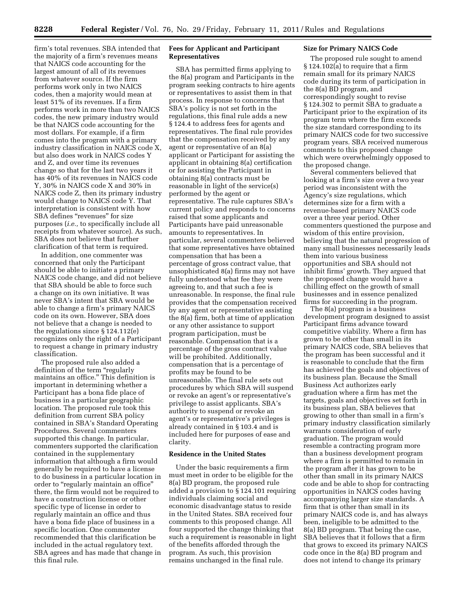firm's total revenues. SBA intended that the majority of a firm's revenues means that NAICS code accounting for the largest amount of all of its revenues from whatever source. If the firm performs work only in two NAICS codes, then a majority would mean at least 51% of its revenues. If a firm performs work in more than two NAICS codes, the new primary industry would be that NAICS code accounting for the most dollars. For example, if a firm comes into the program with a primary industry classification in NAICS code X, but also does work in NAICS codes Y and Z, and over time its revenues change so that for the last two years it has 40% of its revenues in NAICS code Y, 30% in NAICS code X and 30% in NAICS code Z, then its primary industry would change to NAICS code Y. That interpretation is consistent with how SBA defines "revenues" for size purposes (*i.e.,* to specifically include all receipts from whatever source). As such, SBA does not believe that further clarification of that term is required.

In addition, one commenter was concerned that only the Participant should be able to initiate a primary NAICS code change, and did not believe that SBA should be able to force such a change on its own initiative. It was never SBA's intent that SBA would be able to change a firm's primary NAICS code on its own. However, SBA does not believe that a change is needed to the regulations since § 124.112(e) recognizes only the right of a Participant to request a change in primary industry classification.

The proposed rule also added a definition of the term "regularly maintains an office.'' This definition is important in determining whether a Participant has a bona fide place of business in a particular geographic location. The proposed rule took this definition from current SBA policy contained in SBA's Standard Operating Procedures. Several commenters supported this change. In particular, commenters supported the clarification contained in the supplementary information that although a firm would generally be required to have a license to do business in a particular location in order to "regularly maintain an office" there, the firm would not be required to have a construction license or other specific type of license in order to regularly maintain an office and thus have a bona fide place of business in a specific location. One commenter recommended that this clarification be included in the actual regulatory text. SBA agrees and has made that change in this final rule.

#### **Fees for Applicant and Participant Representatives**

SBA has permitted firms applying to the 8(a) program and Participants in the program seeking contracts to hire agents or representatives to assist them in that process. In response to concerns that SBA's policy is not set forth in the regulations, this final rule adds a new § 124.4 to address fees for agents and representatives. The final rule provides that the compensation received by any agent or representative of an 8(a) applicant or Participant for assisting the applicant in obtaining 8(a) certification or for assisting the Participant in obtaining 8(a) contracts must be reasonable in light of the service(s) performed by the agent or representative. The rule captures SBA's current policy and responds to concerns raised that some applicants and Participants have paid unreasonable amounts to representatives. In particular, several commenters believed that some representatives have obtained compensation that has been a percentage of gross contract value, that unsophisticated 8(a) firms may not have fully understood what fee they were agreeing to, and that such a fee is unreasonable. In response, the final rule provides that the compensation received by any agent or representative assisting the 8(a) firm, both at time of application or any other assistance to support program participation, must be reasonable. Compensation that is a percentage of the gross contract value will be prohibited. Additionally, compensation that is a percentage of profits may be found to be unreasonable. The final rule sets out procedures by which SBA will suspend or revoke an agent's or representative's privilege to assist applicants. SBA's authority to suspend or revoke an agent's or representative's privileges is already contained in § 103.4 and is included here for purposes of ease and clarity.

#### **Residence in the United States**

Under the basic requirements a firm must meet in order to be eligible for the 8(a) BD program, the proposed rule added a provision to § 124.101 requiring individuals claiming social and economic disadvantage status to reside in the United States. SBA received four comments to this proposed change. All four supported the change thinking that such a requirement is reasonable in light of the benefits afforded through the program. As such, this provision remains unchanged in the final rule.

#### **Size for Primary NAICS Code**

The proposed rule sought to amend § 124.102(a) to require that a firm remain small for its primary NAICS code during its term of participation in the 8(a) BD program, and correspondingly sought to revise § 124.302 to permit SBA to graduate a Participant prior to the expiration of its program term where the firm exceeds the size standard corresponding to its primary NAICS code for two successive program years. SBA received numerous comments to this proposed change which were overwhelmingly opposed to the proposed change.

Several commenters believed that looking at a firm's size over a two year period was inconsistent with the Agency's size regulations, which determines size for a firm with a revenue-based primary NAICS code over a three year period. Other commenters questioned the purpose and wisdom of this entire provision, believing that the natural progression of many small businesses necessarily leads them into various business opportunities and SBA should not inhibit firms' growth. They argued that the proposed change would have a chilling effect on the growth of small businesses and in essence penalized firms for succeeding in the program.

The 8(a) program is a business development program designed to assist Participant firms advance toward competitive viability. Where a firm has grown to be other than small in its primary NAICS code, SBA believes that the program has been successful and it is reasonable to conclude that the firm has achieved the goals and objectives of its business plan. Because the Small Business Act authorizes early graduation where a firm has met the targets, goals and objectives set forth in its business plan, SBA believes that growing to other than small in a firm's primary industry classification similarly warrants consideration of early graduation. The program would resemble a contracting program more than a business development program where a firm is permitted to remain in the program after it has grown to be other than small in its primary NAICS code and be able to shop for contracting opportunities in NAICS codes having accompanying larger size standards. A firm that is other than small in its primary NAICS code is, and has always been, ineligible to be admitted to the 8(a) BD program. That being the case, SBA believes that it follows that a firm that grows to exceed its primary NAICS code once in the 8(a) BD program and does not intend to change its primary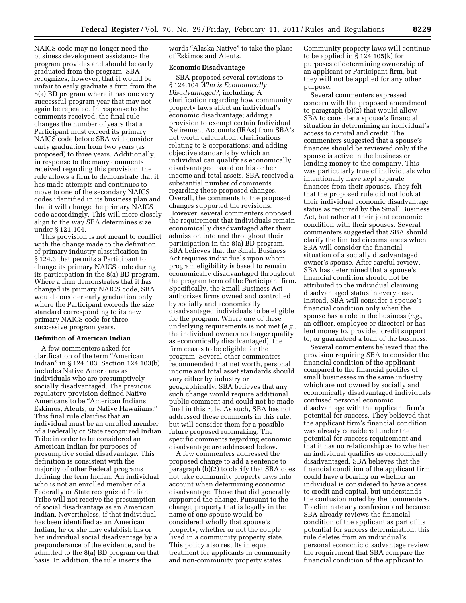NAICS code may no longer need the business development assistance the program provides and should be early graduated from the program. SBA recognizes, however, that it would be unfair to early graduate a firm from the 8(a) BD program where it has one very successful program year that may not again be repeated. In response to the comments received, the final rule changes the number of years that a Participant must exceed its primary NAICS code before SBA will consider early graduation from two years (as proposed) to three years. Additionally, in response to the many comments received regarding this provision, the rule allows a firm to demonstrate that it has made attempts and continues to move to one of the secondary NAICS codes identified in its business plan and that it will change the primary NAICS code accordingly. This will more closely align to the way SBA determines size under § 121.104.

This provision is not meant to conflict with the change made to the definition of primary industry classification in § 124.3 that permits a Participant to change its primary NAICS code during its participation in the 8(a) BD program. Where a firm demonstrates that it has changed its primary NAICS code, SBA would consider early graduation only where the Participant exceeds the size standard corresponding to its new primary NAICS code for three successive program years.

#### **Definition of American Indian**

A few commenters asked for clarification of the term ''American Indian'' in § 124.103. Section 124.103(b) includes Native Americans as individuals who are presumptively socially disadvantaged. The previous regulatory provision defined Native Americans to be "American Indians, Eskimos, Aleuts, or Native Hawaiians.'' This final rule clarifies that an individual must be an enrolled member of a Federally or State recognized Indian Tribe in order to be considered an American Indian for purposes of presumptive social disadvantage. This definition is consistent with the majority of other Federal programs defining the term Indian. An individual who is not an enrolled member of a Federally or State recognized Indian Tribe will not receive the presumption of social disadvantage as an American Indian. Nevertheless, if that individual has been identified as an American Indian, he or she may establish his or her individual social disadvantage by a preponderance of the evidence, and be admitted to the 8(a) BD program on that basis. In addition, the rule inserts the

words ''Alaska Native'' to take the place of Eskimos and Aleuts.

#### **Economic Disadvantage**

SBA proposed several revisions to § 124.104 *Who is Economically Disadvantaged?,* including: A clarification regarding how community property laws affect an individual's economic disadvantage; adding a provision to exempt certain Individual Retirement Accounts (IRAs) from SBA's net worth calculation; clarifications relating to S corporations; and adding objective standards by which an individual can qualify as economically disadvantaged based on his or her income and total assets. SBA received a substantial number of comments regarding these proposed changes. Overall, the comments to the proposed changes supported the revisions. However, several commenters opposed the requirement that individuals remain economically disadvantaged after their admission into and throughout their participation in the 8(a) BD program. SBA believes that the Small Business Act requires individuals upon whom program eligibility is based to remain economically disadvantaged throughout the program term of the Participant firm. Specifically, the Small Business Act authorizes firms owned and controlled by socially and economically disadvantaged individuals to be eligible for the program. Where one of these underlying requirements is not met (*e.g.,*  the individual owners no longer qualify as economically disadvantaged), the firm ceases to be eligible for the program. Several other commenters recommended that net worth, personal income and total asset standards should vary either by industry or geographically. SBA believes that any such change would require additional public comment and could not be made final in this rule. As such, SBA has not addressed these comments in this rule, but will consider them for a possible future proposed rulemaking. The specific comments regarding economic disadvantage are addressed below.

A few commenters addressed the proposed change to add a sentence to paragraph (b)(2) to clarify that SBA does not take community property laws into account when determining economic disadvantage. Those that did generally supported the change. Pursuant to the change, property that is legally in the name of one spouse would be considered wholly that spouse's property, whether or not the couple lived in a community property state. This policy also results in equal treatment for applicants in community and non-community property states.

Community property laws will continue to be applied in § 124.105(k) for purposes of determining ownership of an applicant or Participant firm, but they will not be applied for any other purpose.

Several commenters expressed concern with the proposed amendment to paragraph (b)(2) that would allow SBA to consider a spouse's financial situation in determining an individual's access to capital and credit. The commenters suggested that a spouse's finances should be reviewed only if the spouse is active in the business or lending money to the company. This was particularly true of individuals who intentionally have kept separate finances from their spouses. They felt that the proposed rule did not look at their individual economic disadvantage status as required by the Small Business Act, but rather at their joint economic condition with their spouses. Several commenters suggested that SBA should clarify the limited circumstances when SBA will consider the financial situation of a socially disadvantaged owner's spouse. After careful review, SBA has determined that a spouse's financial condition should not be attributed to the individual claiming disadvantaged status in every case. Instead, SBA will consider a spouse's financial condition only when the spouse has a role in the business (*e.g.,*  an officer, employee or director) or has lent money to, provided credit support to, or guaranteed a loan of the business.

Several commenters believed that the provision requiring SBA to consider the financial condition of the applicant compared to the financial profiles of small businesses in the same industry which are not owned by socially and economically disadvantaged individuals confused personal economic disadvantage with the applicant firm's potential for success. They believed that the applicant firm's financial condition was already considered under the potential for success requirement and that it has no relationship as to whether an individual qualifies as economically disadvantaged. SBA believes that the financial condition of the applicant firm could have a bearing on whether an individual is considered to have access to credit and capital, but understands the confusion noted by the commenters. To eliminate any confusion and because SBA already reviews the financial condition of the applicant as part of its potential for success determination, this rule deletes from an individual's personal economic disadvantage review the requirement that SBA compare the financial condition of the applicant to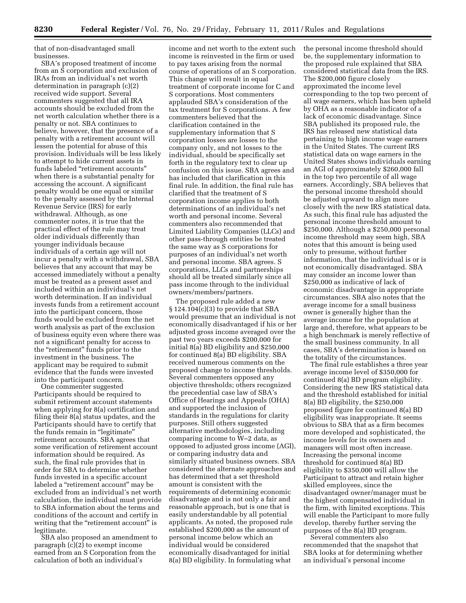that of non-disadvantaged small businesses.

SBA's proposed treatment of income from an S corporation and exclusion of IRAs from an individual's net worth determination in paragraph (c)(2) received wide support. Several commenters suggested that all IRA accounts should be excluded from the net worth calculation whether there is a penalty or not. SBA continues to believe, however, that the presence of a penalty with a retirement account will lessen the potential for abuse of this provision. Individuals will be less likely to attempt to hide current assets in funds labeled ''retirement accounts'' when there is a substantial penalty for accessing the account. A significant penalty would be one equal or similar to the penalty assessed by the Internal Revenue Service (IRS) for early withdrawal. Although, as one commenter notes, it is true that the practical effect of the rule may treat older individuals differently than younger individuals because individuals of a certain age will not incur a penalty with a withdrawal, SBA believes that any account that may be accessed immediately without a penalty must be treated as a present asset and included within an individual's net worth determination. If an individual invests funds from a retirement account into the participant concern, those funds would be excluded from the net worth analysis as part of the exclusion of business equity even where there was not a significant penalty for access to the "retirement" funds prior to the investment in the business. The applicant may be required to submit evidence that the funds were invested into the participant concern.

One commenter suggested Participants should be required to submit retirement account statements when applying for 8(a) certification and filing their 8(a) status updates, and the Participants should have to certify that the funds remain in "legitimate" retirement accounts. SBA agrees that some verification of retirement account information should be required. As such, the final rule provides that in order for SBA to determine whether funds invested in a specific account labeled a "retirement account" may be excluded from an individual's net worth calculation, the individual must provide to SBA information about the terms and conditions of the account and certify in writing that the "retirement account" is legitimate.

SBA also proposed an amendment to paragraph (c)(2) to exempt income earned from an S Corporation from the calculation of both an individual's

income and net worth to the extent such income is reinvested in the firm or used to pay taxes arising from the normal course of operations of an S corporation. This change will result in equal treatment of corporate income for C and S corporations. Most commenters applauded SBA's consideration of the tax treatment for S corporations. A few commenters believed that the clarification contained in the supplementary information that S corporation losses are losses to the company only, and not losses to the individual, should be specifically set forth in the regulatory text to clear up confusion on this issue. SBA agrees and has included that clarification in this final rule. In addition, the final rule has clarified that the treatment of S corporation income applies to both determinations of an individual's net worth and personal income. Several commenters also recommended that Limited Liability Companies (LLCs) and other pass-through entities be treated the same way as S corporations for purposes of an individual's net worth and personal income. SBA agrees. S corporations, LLCs and partnerships should all be treated similarly since all pass income through to the individual owners/members/partners.

The proposed rule added a new § 124.104(c)(3) to provide that SBA would presume that an individual is not economically disadvantaged if his or her adjusted gross income averaged over the past two years exceeds \$200,000 for initial 8(a) BD eligibility and \$250,000 for continued 8(a) BD eligibility. SBA received numerous comments on the proposed change to income thresholds. Several commenters opposed any objective thresholds; others recognized the precedential case law of SBA's Office of Hearings and Appeals (OHA) and supported the inclusion of standards in the regulations for clarity purposes. Still others suggested alternative methodologies, including comparing income to  $W-2$  data, as opposed to adjusted gross income (AGI), or comparing industry data and similarly situated business owners. SBA considered the alternate approaches and has determined that a set threshold amount is consistent with the requirements of determining economic disadvantage and is not only a fair and reasonable approach, but is one that is easily understandable by all potential applicants. As noted, the proposed rule established \$200,000 as the amount of personal income below which an individual would be considered economically disadvantaged for initial 8(a) BD eligibility. In formulating what

the personal income threshold should be, the supplementary information to the proposed rule explained that SBA considered statistical data from the IRS. The \$200,000 figure closely approximated the income level corresponding to the top two percent of all wage earners, which has been upheld by OHA as a reasonable indicator of a lack of economic disadvantage. Since SBA published its proposed rule, the IRS has released new statistical data pertaining to high income wage earners in the United States. The current IRS statistical data on wage earners in the United States shows individuals earning an AGI of approximately \$260,000 fall in the top two percentile of all wage earners. Accordingly, SBA believes that the personal income threshold should be adjusted upward to align more closely with the new IRS statistical data. As such, this final rule has adjusted the personal income threshold amount to \$250,000. Although a \$250,000 personal income threshold may seem high, SBA notes that this amount is being used only to presume, without further information, that the individual is or is not economically disadvantaged. SBA may consider an income lower than \$250,000 as indicative of lack of economic disadvantage in appropriate circumstances. SBA also notes that the average income for a small business owner is generally higher than the average income for the population at large and, therefore, what appears to be a high benchmark is merely reflective of the small business community. In all cases, SBA's determination is based on the totality of the circumstances.

The final rule establishes a three year average income level of \$350,000 for continued 8(a) BD program eligibility. Considering the new IRS statistical data and the threshold established for initial 8(a) BD eligibility, the \$250,000 proposed figure for continued 8(a) BD eligibility was inappropriate. It seems obvious to SBA that as a firm becomes more developed and sophisticated, the income levels for its owners and managers will most often increase. Increasing the personal income threshold for continued 8(a) BD eligibility to \$350,000 will allow the Participant to attract and retain higher skilled employees, since the disadvantaged owner/manager must be the highest compensated individual in the firm, with limited exceptions. This will enable the Participant to more fully develop, thereby further serving the purposes of the 8(a) BD program. Several commenters also

recommended that the snapshot that SBA looks at for determining whether an individual's personal income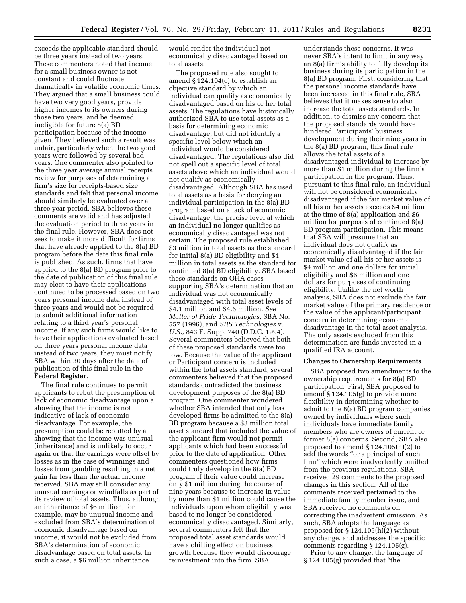exceeds the applicable standard should be three years instead of two years. These commenters noted that income for a small business owner is not constant and could fluctuate dramatically in volatile economic times. They argued that a small business could have two very good years, provide higher incomes to its owners during those two years, and be deemed ineligible for future 8(a) BD participation because of the income given. They believed such a result was unfair, particularly when the two good years were followed by several bad years. One commenter also pointed to the three year average annual receipts review for purposes of determining a firm's size for receipts-based size standards and felt that personal income should similarly be evaluated over a three year period. SBA believes these comments are valid and has adjusted the evaluation period to three years in the final rule. However, SBA does not seek to make it more difficult for firms that have already applied to the 8(a) BD program before the date this final rule is published. As such, firms that have applied to the 8(a) BD program prior to the date of publication of this final rule may elect to have their applications continued to be processed based on two years personal income data instead of three years and would not be required to submit additional information relating to a third year's personal income. If any such firms would like to have their applications evaluated based on three years personal income data instead of two years, they must notify SBA within 30 days after the date of publication of this final rule in the **Federal Register**.

The final rule continues to permit applicants to rebut the presumption of lack of economic disadvantage upon a showing that the income is not indicative of lack of economic disadvantage. For example, the presumption could be rebutted by a showing that the income was unusual (inheritance) and is unlikely to occur again or that the earnings were offset by losses as in the case of winnings and losses from gambling resulting in a net gain far less than the actual income received. SBA may still consider any unusual earnings or windfalls as part of its review of total assets. Thus, although an inheritance of \$6 million, for example, may be unusual income and excluded from SBA's determination of economic disadvantage based on income, it would not be excluded from SBA's determination of economic disadvantage based on total assets. In such a case, a \$6 million inheritance

would render the individual not economically disadvantaged based on total assets.

The proposed rule also sought to amend § 124.104(c) to establish an objective standard by which an individual can qualify as economically disadvantaged based on his or her total assets. The regulations have historically authorized SBA to use total assets as a basis for determining economic disadvantage, but did not identify a specific level below which an individual would be considered disadvantaged. The regulations also did not spell out a specific level of total assets above which an individual would not qualify as economically disadvantaged. Although SBA has used total assets as a basis for denying an individual participation in the 8(a) BD program based on a lack of economic disadvantage, the precise level at which an individual no longer qualifies as economically disadvantaged was not certain. The proposed rule established \$3 million in total assets as the standard for initial 8(a) BD eligibility and \$4 million in total assets as the standard for continued 8(a) BD eligibility. SBA based these standards on OHA cases supporting SBA's determination that an individual was not economically disadvantaged with total asset levels of \$4.1 million and \$4.6 million. *See Matter of Pride Technologies,* SBA No. 557 (1996), and *SRS Technologies* v. *U.S.,* 843 F. Supp. 740 (D.D.C. 1994). Several commenters believed that both of these proposed standards were too low. Because the value of the applicant or Participant concern is included within the total assets standard, several commenters believed that the proposed standards contradicted the business development purposes of the 8(a) BD program. One commenter wondered whether SBA intended that only less developed firms be admitted to the 8(a) BD program because a \$3 million total asset standard that included the value of the applicant firm would not permit applicants which had been successful prior to the date of application. Other commenters questioned how firms could truly develop in the 8(a) BD program if their value could increase only \$1 million during the course of nine years because to increase in value by more than \$1 million could cause the individuals upon whom eligibility was based to no longer be considered economically disadvantaged. Similarly, several commenters felt that the proposed total asset standards would have a chilling effect on business growth because they would discourage reinvestment into the firm. SBA

understands these concerns. It was never SBA's intent to limit in any way an 8(a) firm's ability to fully develop its business during its participation in the 8(a) BD program. First, considering that the personal income standards have been increased in this final rule, SBA believes that it makes sense to also increase the total assets standards. In addition, to dismiss any concern that the proposed standards would have hindered Participants' business development during their nine years in the 8(a) BD program, this final rule allows the total assets of a disadvantaged individual to increase by more than \$1 million during the firm's participation in the program. Thus, pursuant to this final rule, an individual will not be considered economically disadvantaged if the fair market value of all his or her assets exceeds \$4 million at the time of 8(a) application and \$6 million for purposes of continued 8(a) BD program participation. This means that SBA will presume that an individual does not qualify as economically disadvantaged if the fair market value of all his or her assets is \$4 million and one dollars for initial eligibility and \$6 million and one dollars for purposes of continuing eligibility. Unlike the net worth analysis, SBA does not exclude the fair market value of the primary residence or the value of the applicant/participant concern in determining economic disadvantage in the total asset analysis. The only assets excluded from this determination are funds invested in a qualified IRA account.

#### **Changes to Ownership Requirements**

SBA proposed two amendments to the ownership requirements for 8(a) BD participation. First, SBA proposed to amend § 124.105(g) to provide more flexibility in determining whether to admit to the 8(a) BD program companies owned by individuals where such individuals have immediate family members who are owners of current or former 8(a) concerns. Second, SBA also proposed to amend § 124.105(h)(2) to add the words "or a principal of such firm'' which were inadvertently omitted from the previous regulations. SBA received 29 comments to the proposed changes in this section. All of the comments received pertained to the immediate family member issue, and SBA received no comments on correcting the inadvertent omission. As such, SBA adopts the language as proposed for § 124.105(h)(2) without any change, and addresses the specific comments regarding § 124.105(g).

Prior to any change, the language of § 124.105(g) provided that ''the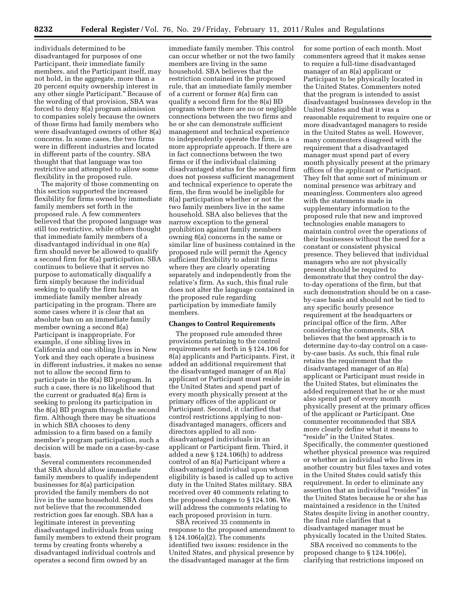individuals determined to be disadvantaged for purposes of one Participant, their immediate family members, and the Participant itself, may not hold, in the aggregate, more than a 20 percent equity ownership interest in any other single Participant.'' Because of the wording of that provision, SBA was forced to deny 8(a) program admission to companies solely because the owners of those firms had family members who were disadvantaged owners of other 8(a) concerns. In some cases, the two firms were in different industries and located in different parts of the country. SBA thought that that language was too restrictive and attempted to allow some flexibility in the proposed rule.

The majority of those commenting on this section supported the increased flexibility for firms owned by immediate family members set forth in the proposed rule. A few commenters believed that the proposed language was still too restrictive, while others thought that immediate family members of a disadvantaged individual in one 8(a) firm should never be allowed to qualify a second firm for 8(a) participation. SBA continues to believe that it serves no purpose to automatically disqualify a firm simply because the individual seeking to qualify the firm has an immediate family member already participating in the program. There are some cases where it is clear that an absolute ban on an immediate family member owning a second 8(a) Participant is inappropriate. For example, if one sibling lives in California and one sibling lives in New York and they each operate a business in different industries, it makes no sense not to allow the second firm to participate in the 8(a) BD program. In such a case, there is no likelihood that the current or graduated 8(a) firm is seeking to prolong its participation in the 8(a) BD program through the second firm. Although there may be situations in which SBA chooses to deny admission to a firm based on a family member's program participation, such a decision will be made on a case-by-case basis.

Several commenters recommended that SBA should allow immediate family members to qualify independent businesses for 8(a) participation provided the family members do not live in the same household. SBA does not believe that the recommended restriction goes far enough. SBA has a legitimate interest in preventing disadvantaged individuals from using family members to extend their program terms by creating fronts whereby a disadvantaged individual controls and operates a second firm owned by an

immediate family member. This control can occur whether or not the two family members are living in the same household. SBA believes that the restriction contained in the proposed rule, that an immediate family member of a current or former 8(a) firm can qualify a second firm for the 8(a) BD program where there are no or negligible connections between the two firms and he or she can demonstrate sufficient management and technical experience to independently operate the firm, is a more appropriate approach. If there are in fact connections between the two firms or if the individual claiming disadvantaged status for the second firm does not possess sufficient management and technical experience to operate the firm, the firm would be ineligible for 8(a) participation whether or not the two family members live in the same household. SBA also believes that the narrow exception to the general prohibition against family members owning 8(a) concerns in the same or similar line of business contained in the proposed rule will permit the Agency sufficient flexibility to admit firms where they are clearly operating separately and independently from the relative's firm. As such, this final rule does not alter the language contained in the proposed rule regarding participation by immediate family members.

#### **Changes to Control Requirements**

The proposed rule amended three provisions pertaining to the control requirements set forth in § 124.106 for 8(a) applicants and Participants. First, it added an additional requirement that the disadvantaged manager of an 8(a) applicant or Participant must reside in the United States and spend part of every month physically present at the primary offices of the applicant or Participant. Second, it clarified that control restrictions applying to nondisadvantaged managers, officers and directors applied to all nondisadvantaged individuals in an applicant or Participant firm. Third, it added a new § 124.106(h) to address control of an 8(a) Participant where a disadvantaged individual upon whom eligibility is based is called up to active duty in the United States military. SBA received over 40 comments relating to the proposed changes to § 124.106. We will address the comments relating to each proposed provision in turn.

SBA received 35 comments in response to the proposed amendment to § 124.106(a)(2). The comments identified two issues: residence in the United States, and physical presence by the disadvantaged manager at the firm

for some portion of each month. Most commenters agreed that it makes sense to require a full-time disadvantaged manager of an 8(a) applicant or Participant to be physically located in the United States. Commenters noted that the program is intended to assist disadvantaged businesses develop in the United States and that it was a reasonable requirement to require one or more disadvantaged managers to reside in the United States as well. However, many commenters disagreed with the requirement that a disadvantaged manager must spend part of every month physically present at the primary offices of the applicant or Participant. They felt that some sort of minimum or nominal presence was arbitrary and meaningless. Commenters also agreed with the statements made in supplementary information to the proposed rule that new and improved technologies enable managers to maintain control over the operations of their businesses without the need for a constant or consistent physical presence. They believed that individual managers who are not physically present should be required to demonstrate that they control the dayto-day operations of the firm, but that such demonstration should be on a caseby-case basis and should not be tied to any specific hourly presence requirement at the headquarters or principal office of the firm. After considering the comments, SBA believes that the best approach is to determine day-to-day control on a caseby-case basis. As such, this final rule retains the requirement that the disadvantaged manager of an 8(a) applicant or Participant must reside in the United States, but eliminates the added requirement that he or she must also spend part of every month physically present at the primary offices of the applicant or Participant. One commenter recommended that SBA more clearly define what it means to ''reside'' in the United States. Specifically, the commenter questioned whether physical presence was required or whether an individual who lives in another country but files taxes and votes in the United States could satisfy this requirement. In order to eliminate any assertion that an individual ''resides'' in the United States because he or she has maintained a residence in the United States despite living in another country, the final rule clarifies that a disadvantaged manager must be physically located in the United States.

SBA received no comments to the proposed change to § 124.106(e), clarifying that restrictions imposed on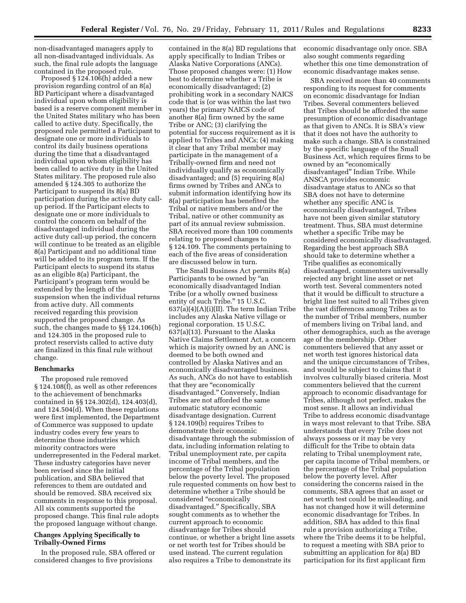non-disadvantaged managers apply to all non-disadvantaged individuals. As such, the final rule adopts the language contained in the proposed rule.

Proposed § 124.106(h) added a new provision regarding control of an 8(a) BD Participant where a disadvantaged individual upon whom eligibility is based is a reserve component member in the United States military who has been called to active duty. Specifically, the proposed rule permitted a Participant to designate one or more individuals to control its daily business operations during the time that a disadvantaged individual upon whom eligibility has been called to active duty in the United States military. The proposed rule also amended § 124.305 to authorize the Participant to suspend its 8(a) BD participation during the active duty callup period. If the Participant elects to designate one or more individuals to control the concern on behalf of the disadvantaged individual during the active duty call-up period, the concern will continue to be treated as an eligible 8(a) Participant and no additional time will be added to its program term. If the Participant elects to suspend its status as an eligible 8(a) Participant, the Participant's program term would be extended by the length of the suspension when the individual returns from active duty. All comments received regarding this provision supported the proposed change. As such, the changes made to §§ 124.106(h) and 124.305 in the proposed rule to protect reservists called to active duty are finalized in this final rule without change.

#### **Benchmarks**

The proposed rule removed § 124.108(f), as well as other references to the achievement of benchmarks contained in §§ 124.302(d), 124.403(d), and 124.504(d). When these regulations were first implemented, the Department of Commerce was supposed to update industry codes every few years to determine those industries which minority contractors were underrepresented in the Federal market. These industry categories have never been revised since the initial publication, and SBA believed that references to them are outdated and should be removed. SBA received six comments in response to this proposal. All six comments supported the proposed change. This final rule adopts the proposed language without change.

#### **Changes Applying Specifically to Tribally-Owned Firms**

In the proposed rule, SBA offered or considered changes to five provisions

contained in the 8(a) BD regulations that apply specifically to Indian Tribes or Alaska Native Corporations (ANCs). Those proposed changes were: (1) How best to determine whether a Tribe is economically disadvantaged; (2) prohibiting work in a secondary NAICS code that is (or was within the last two years) the primary NAICS code of another 8(a) firm owned by the same Tribe or ANC; (3) clarifying the potential for success requirement as it is applied to Tribes and ANCs; (4) making it clear that any Tribal member may participate in the management of a Tribally-owned firm and need not individually qualify as economically disadvantaged; and (5) requiring 8(a) firms owned by Tribes and ANCs to submit information identifying how its 8(a) participation has benefited the Tribal or native members and/or the Tribal, native or other community as part of its annual review submission. SBA received more than 100 comments relating to proposed changes to § 124.109. The comments pertaining to each of the five areas of consideration are discussed below in turn.

The Small Business Act permits 8(a) Participants to be owned by ''an economically disadvantaged Indian Tribe (or a wholly owned business entity of such Tribe.'' 15 U.S.C.  $637(a)(4)(A)(i)(II)$ . The term Indian Tribe includes any Alaska Native village or regional corporation. 15 U.S.C. 637(a)(13). Pursuant to the Alaska Native Claims Settlement Act, a concern which is majority owned by an ANC is deemed to be both owned and controlled by Alaska Natives and an economically disadvantaged business. As such, ANCs do not have to establish that they are "economically disadvantaged.'' Conversely, Indian Tribes are not afforded the same automatic statutory economic disadvantage designation. Current § 124.109(b) requires Tribes to demonstrate their economic disadvantage through the submission of data, including information relating to Tribal unemployment rate, per capita income of Tribal members, and the percentage of the Tribal population below the poverty level. The proposed rule requested comments on how best to determine whether a Tribe should be considered ''economically disadvantaged.'' Specifically, SBA sought comments as to whether the current approach to economic disadvantage for Tribes should continue, or whether a bright line assets or net worth test for Tribes should be used instead. The current regulation also requires a Tribe to demonstrate its

economic disadvantage only once. SBA also sought comments regarding whether this one time demonstration of economic disadvantage makes sense.

SBA received more than 40 comments responding to its request for comments on economic disadvantage for Indian Tribes. Several commenters believed that Tribes should be afforded the same presumption of economic disadvantage as that given to ANCs. It is SBA's view that it does not have the authority to make such a change. SBA is constrained by the specific language of the Small Business Act, which requires firms to be owned by an ''economically disadvantaged'' Indian Tribe. While ANSCA provides economic disadvantage status to ANCs so that SBA does not have to determine whether any specific ANC is economically disadvantaged, Tribes have not been given similar statutory treatment. Thus, SBA must determine whether a specific Tribe may be considered economically disadvantaged. Regarding the best approach SBA should take to determine whether a Tribe qualifies as economically disadvantaged, commenters universally rejected any bright line asset or net worth test. Several commenters noted that it would be difficult to structure a bright line test suited to all Tribes given the vast differences among Tribes as to the number of Tribal members, number of members living on Tribal land, and other demographics, such as the average age of the membership. Other commenters believed that any asset or net worth test ignores historical data and the unique circumstances of Tribes, and would be subject to claims that it involves culturally biased criteria. Most commenters believed that the current approach to economic disadvantage for Tribes, although not perfect, makes the most sense. It allows an individual Tribe to address economic disadvantage in ways most relevant to that Tribe. SBA understands that every Tribe does not always possess or it may be very difficult for the Tribe to obtain data relating to Tribal unemployment rate, per capita income of Tribal members, or the percentage of the Tribal population below the poverty level. After considering the concerns raised in the comments, SBA agrees that an asset or net worth test could be misleading, and has not changed how it will determine economic disadvantage for Tribes. In addition, SBA has added to this final rule a provision authorizing a Tribe, where the Tribe deems it to be helpful, to request a meeting with SBA prior to submitting an application for 8(a) BD participation for its first applicant firm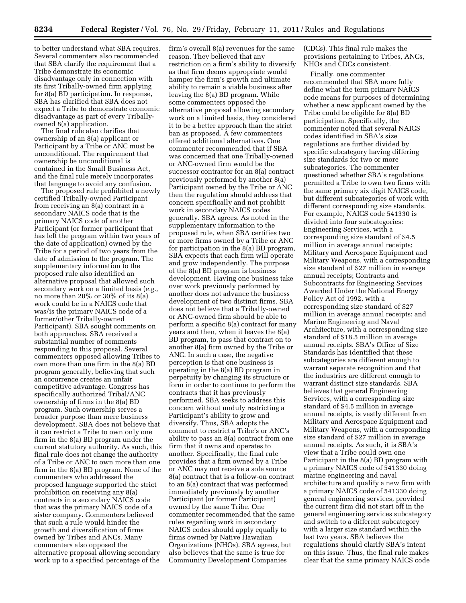to better understand what SBA requires. Several commenters also recommended that SBA clarify the requirement that a Tribe demonstrate its economic disadvantage only in connection with its first Tribally-owned firm applying for 8(a) BD participation. In response, SBA has clarified that SBA does not expect a Tribe to demonstrate economic disadvantage as part of every Triballyowned 8(a) application.

The final rule also clarifies that ownership of an 8(a) applicant or Participant by a Tribe or ANC must be unconditional. The requirement that ownership be unconditional is contained in the Small Business Act, and the final rule merely incorporates that language to avoid any confusion.

The proposed rule prohibited a newly certified Tribally-owned Participant from receiving an 8(a) contract in a secondary NAICS code that is the primary NAICS code of another Participant (or former participant that has left the program within two years of the date of application) owned by the Tribe for a period of two years from the date of admission to the program. The supplementary information to the proposed rule also identified an alternative proposal that allowed such secondary work on a limited basis (*e.g.,*  no more than 20% or 30% of its 8(a) work could be in a NAICS code that was/is the primary NAICS code of a former/other Tribally-owned Participant). SBA sought comments on both approaches. SBA received a substantial number of comments responding to this proposal. Several commenters opposed allowing Tribes to own more than one firm in the 8(a) BD program generally, believing that such an occurrence creates an unfair competitive advantage. Congress has specifically authorized Tribal/ANC ownership of firms in the 8(a) BD program. Such ownership serves a broader purpose than mere business development. SBA does not believe that it can restrict a Tribe to own only one firm in the 8(a) BD program under the current statutory authority. As such, this final rule does not change the authority of a Tribe or ANC to own more than one firm in the 8(a) BD program. None of the commenters who addressed the proposed language supported the strict prohibition on receiving any 8(a) contracts in a secondary NAICS code that was the primary NAICS code of a sister company. Commenters believed that such a rule would hinder the growth and diversification of firms owned by Tribes and ANCs. Many commenters also opposed the alternative proposal allowing secondary work up to a specified percentage of the

firm's overall 8(a) revenues for the same reason. They believed that any restriction on a firm's ability to diversify as that firm deems appropriate would hamper the firm's growth and ultimate ability to remain a viable business after leaving the 8(a) BD program. While some commenters opposed the alternative proposal allowing secondary work on a limited basis, they considered it to be a better approach than the strict ban as proposed. A few commenters offered additional alternatives. One commenter recommended that if SBA was concerned that one Tribally-owned or ANC-owned firm would be the successor contractor for an 8(a) contract previously performed by another 8(a) Participant owned by the Tribe or ANC then the regulation should address that concern specifically and not prohibit work in secondary NAICS codes generally. SBA agrees. As noted in the supplementary information to the proposed rule, when SBA certifies two or more firms owned by a Tribe or ANC for participation in the 8(a) BD program, SBA expects that each firm will operate and grow independently. The purpose of the 8(a) BD program is business development. Having one business take over work previously performed by another does not advance the business development of two distinct firms. SBA does not believe that a Tribally-owned or ANC-owned firm should be able to perform a specific 8(a) contract for many years and then, when it leaves the 8(a) BD program, to pass that contract on to another 8(a) firm owned by the Tribe or ANC. In such a case, the negative perception is that one business is operating in the 8(a) BD program in perpetuity by changing its structure or form in order to continue to perform the contracts that it has previously performed. SBA seeks to address this concern without unduly restricting a Participant's ability to grow and diversify. Thus, SBA adopts the comment to restrict a Tribe's or ANC's ability to pass an 8(a) contract from one firm that it owns and operates to another. Specifically, the final rule provides that a firm owned by a Tribe or ANC may not receive a sole source 8(a) contract that is a follow-on contract to an 8(a) contract that was performed immediately previously by another Participant (or former Participant) owned by the same Tribe. One commenter recommended that the same rules regarding work in secondary NAICS codes should apply equally to firms owned by Native Hawaiian Organizations (NHOs). SBA agrees, but also believes that the same is true for Community Development Companies

(CDCs). This final rule makes the provisions pertaining to Tribes, ANCs, NHOs and CDCs consistent.

Finally, one commenter recommended that SBA more fully define what the term primary NAICS code means for purposes of determining whether a new applicant owned by the Tribe could be eligible for 8(a) BD participation. Specifically, the commenter noted that several NAICS codes identified in SBA's size regulations are further divided by specific subcategory having differing size standards for two or more subcategories. The commenter questioned whether SBA's regulations permitted a Tribe to own two firms with the same primary six digit NAICS code, but different subcategories of work with different corresponding size standards. For example, NAICS code 541330 is divided into four subcategories: Engineering Services, with a corresponding size standard of \$4.5 million in average annual receipts; Military and Aerospace Equipment and Military Weapons, with a corresponding size standard of \$27 million in average annual receipts; Contracts and Subcontracts for Engineering Services Awarded Under the National Energy Policy Act of 1992, with a corresponding size standard of \$27 million in average annual receipts; and Marine Engineering and Naval Architecture, with a corresponding size standard of \$18.5 million in average annual receipts. SBA's Office of Size Standards has identified that these subcategories are different enough to warrant separate recognition and that the industries are different enough to warrant distinct size standards. SBA believes that general Engineering Services, with a corresponding size standard of \$4.5 million in average annual receipts, is vastly different from Military and Aerospace Equipment and Military Weapons, with a corresponding size standard of \$27 million in average annual receipts. As such, it is SBA's view that a Tribe could own one Participant in the 8(a) BD program with a primary NAICS code of 541330 doing marine engineering and naval architecture and qualify a new firm with a primary NAICS code of 541330 doing general engineering services, provided the current firm did not start off in the general engineering services subcategory and switch to a different subcategory with a larger size standard within the last two years. SBA believes the regulations should clarify SBA's intent on this issue. Thus, the final rule makes clear that the same primary NAICS code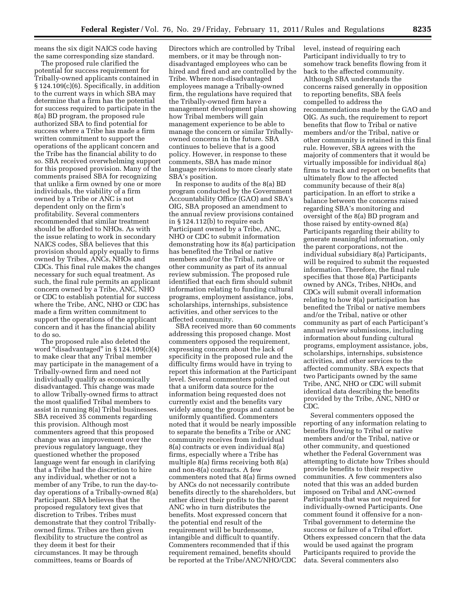means the six digit NAICS code having the same corresponding size standard.

The proposed rule clarified the potential for success requirement for Tribally-owned applicants contained in § 124.109(c)(6). Specifically, in addition to the current ways in which SBA may determine that a firm has the potential for success required to participate in the 8(a) BD program, the proposed rule authorized SBA to find potential for success where a Tribe has made a firm written commitment to support the operations of the applicant concern and the Tribe has the financial ability to do so. SBA received overwhelming support for this proposed provision. Many of the comments praised SBA for recognizing that unlike a firm owned by one or more individuals, the viability of a firm owned by a Tribe or ANC is not dependent only on the firm's profitability. Several commenters recommended that similar treatment should be afforded to NHOs. As with the issue relating to work in secondary NAICS codes, SBA believes that this provision should apply equally to firms owned by Tribes, ANCs, NHOs and CDCs. This final rule makes the changes necessary for such equal treatment. As such, the final rule permits an applicant concern owned by a Tribe, ANC, NHO or CDC to establish potential for success where the Tribe, ANC, NHO or CDC has made a firm written commitment to support the operations of the applicant concern and it has the financial ability to do so.

The proposed rule also deleted the word "disadvantaged" in  $\S 124.109(c)(4)$ to make clear that any Tribal member may participate in the management of a Tribally-owned firm and need not individually qualify as economically disadvantaged. This change was made to allow Tribally-owned firms to attract the most qualified Tribal members to assist in running 8(a) Tribal businesses. SBA received 35 comments regarding this provision. Although most commenters agreed that this proposed change was an improvement over the previous regulatory language, they questioned whether the proposed language went far enough in clarifying that a Tribe had the discretion to hire any individual, whether or not a member of any Tribe, to run the day-today operations of a Tribally-owned 8(a) Participant. SBA believes that the proposed regulatory text gives that discretion to Tribes. Tribes must demonstrate that they control Triballyowned firms. Tribes are then given flexibility to structure the control as they deem it best for their circumstances. It may be through committees, teams or Boards of

Directors which are controlled by Tribal members, or it may be through nondisadvantaged employees who can be hired and fired and are controlled by the Tribe. Where non-disadvantaged employees manage a Tribally-owned firm, the regulations have required that the Tribally-owned firm have a management development plan showing how Tribal members will gain management experience to be able to manage the concern or similar Triballyowned concerns in the future. SBA continues to believe that is a good policy. However, in response to these comments, SBA has made minor language revisions to more clearly state SBA's position.

In response to audits of the 8(a) BD program conducted by the Government Accountability Office (GAO) and SBA's OIG, SBA proposed an amendment to the annual review provisions contained in § 124.112(b) to require each Participant owned by a Tribe, ANC, NHO or CDC to submit information demonstrating how its 8(a) participation has benefited the Tribal or native members and/or the Tribal, native or other community as part of its annual review submission. The proposed rule identified that each firm should submit information relating to funding cultural programs, employment assistance, jobs, scholarships, internships, subsistence activities, and other services to the affected community.

SBA received more than 60 comments addressing this proposed change. Most commenters opposed the requirement, expressing concern about the lack of specificity in the proposed rule and the difficulty firms would have in trying to report this information at the Participant level. Several commenters pointed out that a uniform data source for the information being requested does not currently exist and the benefits vary widely among the groups and cannot be uniformly quantified. Commenters noted that it would be nearly impossible to separate the benefits a Tribe or ANC community receives from individual 8(a) contracts or even individual 8(a) firms, especially where a Tribe has multiple 8(a) firms receiving both 8(a) and non-8(a) contracts. A few commenters noted that 8(a) firms owned by ANCs do not necessarily contribute benefits directly to the shareholders, but rather direct their profits to the parent ANC who in turn distributes the benefits. Most expressed concern that the potential end result of the requirement will be burdensome, intangible and difficult to quantify. Commenters recommended that if this requirement remained, benefits should be reported at the Tribe/ANC/NHO/CDC

level, instead of requiring each Participant individually to try to somehow track benefits flowing from it back to the affected community. Although SBA understands the concerns raised generally in opposition to reporting benefits, SBA feels compelled to address the recommendations made by the GAO and OIG. As such, the requirement to report benefits that flow to Tribal or native members and/or the Tribal, native or other community is retained in this final rule. However, SBA agrees with the majority of commenters that it would be virtually impossible for individual 8(a) firms to track and report on benefits that ultimately flow to the affected community because of their 8(a) participation. In an effort to strike a balance between the concerns raised regarding SBA's monitoring and oversight of the 8(a) BD program and those raised by entity-owned 8(a) Participants regarding their ability to generate meaningful information, only the parent corporations, not the individual subsidiary 8(a) Participants, will be required to submit the requested information. Therefore, the final rule specifies that those 8(a) Participants owned by ANCs, Tribes, NHOs, and CDCs will submit overall information relating to how 8(a) participation has benefited the Tribal or native members and/or the Tribal, native or other community as part of each Participant's annual review submissions, including information about funding cultural programs, employment assistance, jobs, scholarships, internships, subsistence activities, and other services to the affected community. SBA expects that two Participants owned by the same Tribe, ANC, NHO or CDC will submit identical data describing the benefits provided by the Tribe, ANC, NHO or CDC.

Several commenters opposed the reporting of any information relating to benefits flowing to Tribal or native members and/or the Tribal, native or other community, and questioned whether the Federal Government was attempting to dictate how Tribes should provide benefits to their respective communities. A few commenters also noted that this was an added burden imposed on Tribal and ANC-owned Participants that was not required for individually-owned Participants. One comment found it offensive for a non-Tribal government to determine the success or failure of a Tribal effort. Others expressed concern that the data would be used against the program Participants required to provide the data. Several commenters also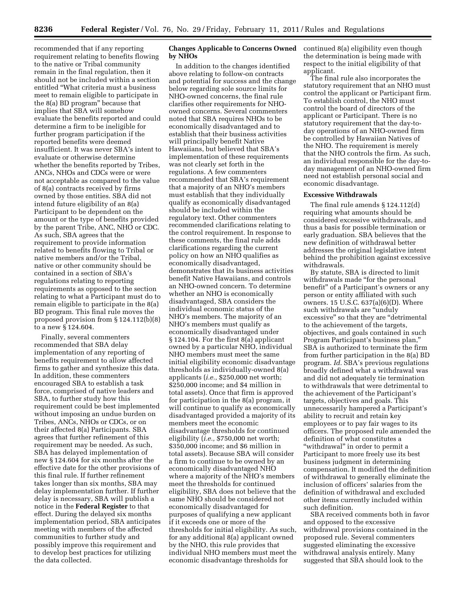**8236 Federal Register** / Vol. 76, No. 29 / Friday, February 11, 2011 / Rules and Regulations

recommended that if any reporting requirement relating to benefits flowing to the native or Tribal community remain in the final regulation, then it should not be included within a section entitled ''What criteria must a business meet to remain eligible to participate in the 8(a) BD program'' because that implies that SBA will somehow evaluate the benefits reported and could determine a firm to be ineligible for further program participation if the reported benefits were deemed insufficient. It was never SBA's intent to evaluate or otherwise determine whether the benefits reported by Tribes, ANCs, NHOs and CDCs were or were not acceptable as compared to the value of 8(a) contracts received by firms owned by those entities. SBA did not intend future eligibility of an 8(a) Participant to be dependent on the amount or the type of benefits provided by the parent Tribe, ANC, NHO or CDC. As such, SBA agrees that the requirement to provide information related to benefits flowing to Tribal or native members and/or the Tribal, native or other community should be contained in a section of SBA's regulations relating to reporting requirements as opposed to the section relating to what a Participant must do to remain eligible to participate in the 8(a) BD program. This final rule moves the proposed provision from § 124.112(b)(8) to a new § 124.604.

Finally, several commenters recommended that SBA delay implementation of any reporting of benefits requirement to allow affected firms to gather and synthesize this data. In addition, these commenters encouraged SBA to establish a task force, comprised of native leaders and SBA, to further study how this requirement could be best implemented without imposing an undue burden on Tribes, ANCs, NHOs or CDCs, or on their affected 8(a) Participants. SBA agrees that further refinement of this requirement may be needed. As such, SBA has delayed implementation of new § 124.604 for six months after the effective date for the other provisions of this final rule. If further refinement takes longer than six months, SBA may delay implementation further. If further delay is necessary, SBA will publish a notice in the **Federal Register** to that effect. During the delayed six months implementation period, SBA anticipates meeting with members of the affected communities to further study and possibly improve this requirement and to develop best practices for utilizing the data collected.

#### **Changes Applicable to Concerns Owned by NHOs**

In addition to the changes identified above relating to follow-on contracts and potential for success and the change below regarding sole source limits for NHO-owned concerns, the final rule clarifies other requirements for NHOowned concerns. Several commenters noted that SBA requires NHOs to be economically disadvantaged and to establish that their business activities will principally benefit Native Hawaiians, but believed that SBA's implementation of these requirements was not clearly set forth in the regulations. A few commenters recommended that SBA's requirement that a majority of an NHO's members must establish that they individually qualify as economically disadvantaged should be included within the regulatory text. Other commenters recommended clarifications relating to the control requirement. In response to these comments, the final rule adds clarifications regarding the current policy on how an NHO qualifies as economically disadvantaged, demonstrates that its business activities benefit Native Hawaiians, and controls an NHO-owned concern. To determine whether an NHO is economically disadvantaged, SBA considers the individual economic status of the NHO's members. The majority of an NHO's members must qualify as economically disadvantaged under § 124.104. For the first 8(a) applicant owned by a particular NHO, individual NHO members must meet the same initial eligibility economic disadvantage thresholds as individually-owned 8(a) applicants (*i.e.,* \$250,000 net worth; \$250,000 income; and \$4 million in total assets). Once that firm is approved for participation in the 8(a) program, it will continue to qualify as economically disadvantaged provided a majority of its members meet the economic disadvantage thresholds for continued eligibility (*i.e.,* \$750,000 net worth; \$350,000 income; and \$6 million in total assets). Because SBA will consider a firm to continue to be owned by an economically disadvantaged NHO where a majority of the NHO's members meet the thresholds for continued eligibility, SBA does not believe that the same NHO should be considered not economically disadvantaged for purposes of qualifying a new applicant if it exceeds one or more of the thresholds for initial eligibility. As such, for any additional 8(a) applicant owned by the NHO, this rule provides that individual NHO members must meet the economic disadvantage thresholds for

continued 8(a) eligibility even though the determination is being made with respect to the initial eligibility of that applicant.

The final rule also incorporates the statutory requirement that an NHO must control the applicant or Participant firm. To establish control, the NHO must control the board of directors of the applicant or Participant. There is no statutory requirement that the day-today operations of an NHO-owned firm be controlled by Hawaiian Natives of the NHO. The requirement is merely that the NHO controls the firm. As such, an individual responsible for the day-today management of an NHO-owned firm need not establish personal social and economic disadvantage.

#### **Excessive Withdrawals**

The final rule amends § 124.112(d) requiring what amounts should be considered excessive withdrawals, and thus a basis for possible termination or early graduation. SBA believes that the new definition of withdrawal better addresses the original legislative intent behind the prohibition against excessive withdrawals.

By statute, SBA is directed to limit withdrawals made "for the personal benefit'' of a Participant's owners or any person or entity affiliated with such owners. 15 U.S.C. 637(a)(6)(D). Where such withdrawals are "unduly excessive'' so that they are ''detrimental to the achievement of the targets, objectives, and goals contained in such Program Participant's business plan,'' SBA is authorized to terminate the firm from further participation in the 8(a) BD program. *Id.* SBA's previous regulations broadly defined what a withdrawal was and did not adequately tie termination to withdrawals that were detrimental to the achievement of the Participant's targets, objectives and goals. This unnecessarily hampered a Participant's ability to recruit and retain key employees or to pay fair wages to its officers. The proposed rule amended the definition of what constitutes a ''withdrawal'' in order to permit a Participant to more freely use its best business judgment in determining compensation. It modified the definition of withdrawal to generally eliminate the inclusion of officers' salaries from the definition of withdrawal and excluded other items currently included within such definition.

SBA received comments both in favor and opposed to the excessive withdrawal provisions contained in the proposed rule. Several commenters suggested eliminating the excessive withdrawal analysis entirely. Many suggested that SBA should look to the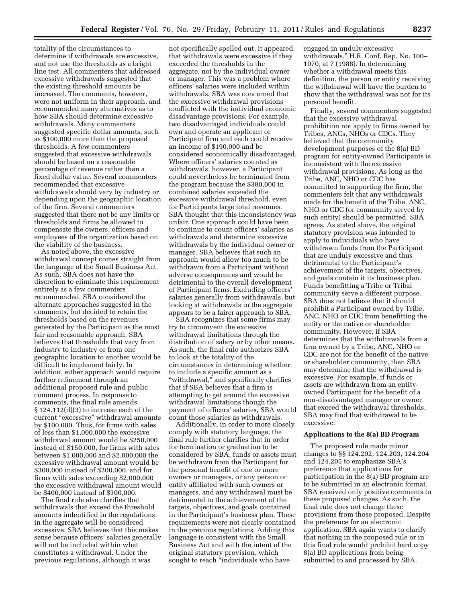totality of the circumstances to determine if withdrawals are excessive, and not use the thresholds as a bright line test. All commenters that addressed excessive withdrawals suggested that the existing threshold amounts be increased. The comments, however, were not uniform in their approach, and recommended many alternatives as to how SBA should determine excessive withdrawals. Many commenters suggested specific dollar amounts, such as \$100,000 more than the proposed thresholds. A few commenters suggested that excessive withdrawals should be based on a reasonable percentage of revenue rather than a fixed dollar value. Several commenters recommended that excessive withdrawals should vary by industry or depending upon the geographic location of the firm. Several commenters suggested that there not be any limits or thresholds and firms be allowed to compensate the owners, officers and employees of the organization based on the viability of the business.

As noted above, the excessive withdrawal concept comes straight from the language of the Small Business Act. As such, SBA does not have the discretion to eliminate this requirement entirely as a few commenters recommended. SBA considered the alternate approaches suggested in the comments, but decided to retain the thresholds based on the revenues generated by the Participant as the most fair and reasonable approach. SBA believes that thresholds that vary from industry to industry or from one geographic location to another would be difficult to implement fairly. In addition, either approach would require further refinement through an additional proposed rule and public comment process. In response to comments, the final rule amends § 124.112(d)(3) to increase each of the current ''excessive'' withdrawal amounts by \$100,000. Thus, for firms with sales of less than \$1,000,000 the excessive withdrawal amount would be \$250,000 instead of \$150,000, for firms with sales between \$1,000,000 and \$2,000,000 the excessive withdrawal amount would be \$300,000 instead of \$200,000, and for firms with sales exceeding \$2,000,000 the excessive withdrawal amount would be \$400,000 instead of \$300,000.

The final rule also clarifies that withdrawals that exceed the threshold amounts indentified in the regulations in the aggregate will be considered excessive. SBA believes that this makes sense because officers' salaries generally will not be included within what constitutes a withdrawal. Under the previous regulations, although it was

not specifically spelled out, it appeared that withdrawals were excessive if they exceeded the thresholds in the aggregate, not by the individual owner or manager. This was a problem where officers' salaries were included within withdrawals. SBA was concerned that the excessive withdrawal provisions conflicted with the individual economic disadvantage provisions. For example, two disadvantaged individuals could own and operate an applicant or Participant firm and each could receive an income of \$190,000 and be considered economically disadvantaged. Where officers' salaries counted as withdrawals, however, a Participant could nevertheless be terminated from the program because the \$380,000 in combined salaries exceeded the excessive withdrawal threshold, even for Participants large total revenues. SBA thought that this inconsistency was unfair. One approach could have been to continue to count officers' salaries as withdrawals and determine excessive withdrawals by the individual owner or manager. SBA believes that such an approach would allow too much to be withdrawn from a Participant without adverse consequences and would be detrimental to the overall development of Participant firms. Excluding officers' salaries generally from withdrawals, but looking at withdrawals in the aggregate appears to be a fairer approach to SBA.

SBA recognizes that some firms may try to circumvent the excessive withdrawal limitations through the distribution of salary or by other means. As such, the final rule authorizes SBA to look at the totality of the circumstances in determining whether to include a specific amount as a ''withdrawal,'' and specifically clarifies that if SBA believes that a firm is attempting to get around the excessive withdrawal limitations though the payment of officers' salaries, SBA would count those salaries as withdrawals.

Additionally, in order to more closely comply with statutory language, the final rule further clarifies that in order for termination or graduation to be considered by SBA, funds or assets must be withdrawn from the Participant for the personal benefit of one or more owners or managers, or any person or entity affiliated with such owners or managers, and any withdrawal must be detrimental to the achievement of the targets, objectives, and goals contained in the Participant's business plan. These requirements were not clearly contained in the previous regulations. Adding this language is consistent with the Small Business Act and with the intent of the original statutory provision, which sought to reach "individuals who have

engaged in unduly excessive withdrawals.'' H.R. Conf. Rep. No. 100– 1070, at 7 (1988). In determining whether a withdrawal meets this definition, the person or entity receiving the withdrawal will have the burden to show that the withdrawal was not for its personal benefit.

Finally, several commenters suggested that the excessive withdrawal prohibition not apply to firms owned by Tribes, ANCs, NHOs or CDCs. They believed that the community development purposes of the 8(a) BD program for entity-owned Participants is inconsistent with the excessive withdrawal provisions. As long as the Tribe, ANC, NHO or CDC has committed to supporting the firm, the commenters felt that any withdrawals made for the benefit of the Tribe, ANC, NHO or CDC (or community served by such entity) should be permitted. SBA agrees. As stated above, the original statutory provision was intended to apply to individuals who have withdrawn funds from the Participant that are unduly excessive and thus detrimental to the Participant's achievement of the targets, objectives, and goals contain it its business plan. Funds benefitting a Tribe or Tribal community serve a different purpose. SBA does not believe that it should prohibit a Participant owned by Tribe, ANC, NHO or CDC from benefitting the entity or the native or shareholder community. However, if SBA determines that the withdrawals from a firm owned by a Tribe, ANC, NHO or CDC are not for the benefit of the native or shareholder community, then SBA may determine that the withdrawal is excessive. For example, if funds or assets are withdrawn from an entityowned Participant for the benefit of a non-disadvantaged manager or owner that exceed the withdrawal thresholds, SBA may find that withdrawal to be excessive.

#### **Applications to the 8(a) BD Program**

The proposed rule made minor changes to §§ 124.202, 124.203, 124.204 and 124.205 to emphasize SBA's preference that applications for participation in the 8(a) BD program are to be submitted in an electronic format. SBA received only positive comments to these proposed changes. As such, the final rule does not change these provisions from those proposed. Despite the preference for an electronic application, SBA again wants to clarify that nothing in the proposed rule or in this final rule would prohibit hard copy 8(a) BD applications from being submitted to and processed by SBA.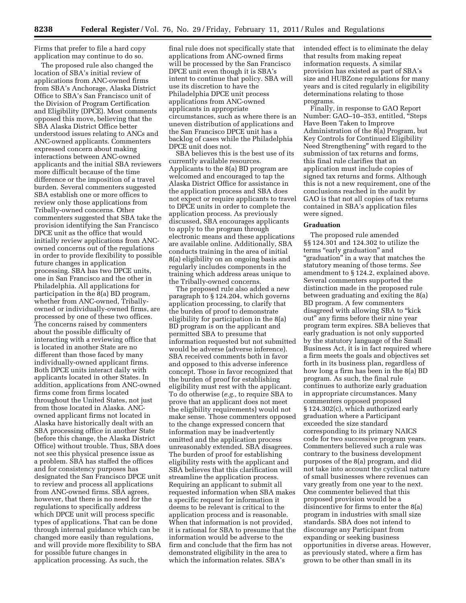Firms that prefer to file a hard copy application may continue to do so.

The proposed rule also changed the location of SBA's initial review of applications from ANC-owned firms from SBA's Anchorage, Alaska District Office to SBA's San Francisco unit of the Division of Program Certification and Eligibility (DPCE). Most comments opposed this move, believing that the SBA Alaska District Office better understood issues relating to ANCs and ANC-owned applicants. Commenters expressed concern about making interactions between ANC-owned applicants and the initial SBA reviewers more difficult because of the time difference or the imposition of a travel burden. Several commenters suggested SBA establish one or more offices to review only those applications from Tribally-owned concerns. Other commenters suggested that SBA take the provision identifying the San Francisco DPCE unit as the office that would initially review applications from ANCowned concerns out of the regulations in order to provide flexibility to possible future changes in application processing. SBA has two DPCE units, one in San Francisco and the other in Philadelphia. All applications for participation in the 8(a) BD program, whether from ANC-owned, Triballyowned or individually-owned firms, are processed by one of these two offices. The concerns raised by commenters about the possible difficulty of interacting with a reviewing office that is located in another State are no different than those faced by many individually-owned applicant firms. Both DPCE units interact daily with applicants located in other States. In addition, applications from ANC-owned firms come from firms located throughout the United States, not just from those located in Alaska. ANCowned applicant firms not located in Alaska have historically dealt with an SBA processing office in another State (before this change, the Alaska District Office) without trouble. Thus, SBA does not see this physical presence issue as a problem. SBA has staffed the offices and for consistency purposes has designated the San Francisco DPCE unit to review and process all applications from ANC-owned firms. SBA agrees, however, that there is no need for the regulations to specifically address which DPCE unit will process specific types of applications. That can be done through internal guidance which can be changed more easily than regulations, and will provide more flexibility to SBA for possible future changes in application processing. As such, the

final rule does not specifically state that applications from ANC-owned firms will be processed by the San Francisco DPCE unit even though it is SBA's intent to continue that policy. SBA will use its discretion to have the Philadelphia DPCE unit process applications from ANC-owned applicants in appropriate circumstances, such as where there is an uneven distribution of applications and the San Francisco DPCE unit has a backlog of cases while the Philadelphia DPCE unit does not.

SBA believes this is the best use of its currently available resources. Applicants to the 8(a) BD program are welcomed and encouraged to tap the Alaska District Office for assistance in the application process and SBA does not expect or require applicants to travel to DPCE units in order to complete the application process. As previously discussed, SBA encourages applicants to apply to the program through electronic means and these applications are available online. Additionally, SBA conducts training in the area of initial 8(a) eligibility on an ongoing basis and regularly includes components in the training which address areas unique to the Tribally-owned concerns.

The proposed rule also added a new paragraph to § 124.204, which governs application processing, to clarify that the burden of proof to demonstrate eligibility for participation in the 8(a) BD program is on the applicant and permitted SBA to presume that information requested but not submitted would be adverse (adverse inference). SBA received comments both in favor and opposed to this adverse inference concept. Those in favor recognized that the burden of proof for establishing eligibility must rest with the applicant. To do otherwise (*e.g.,* to require SBA to prove that an applicant does not meet the eligibility requirements) would not make sense. Those commenters opposed to the change expressed concern that information may be inadvertently omitted and the application process unreasonably extended. SBA disagrees. The burden of proof for establishing eligibility rests with the applicant and SBA believes that this clarification will streamline the application process. Requiring an applicant to submit all requested information when SBA makes a specific request for information it deems to be relevant is critical to the application process and is reasonable. When that information is not provided, it is rational for SBA to presume that the information would be adverse to the firm and conclude that the firm has not demonstrated eligibility in the area to which the information relates. SBA's

intended effect is to eliminate the delay that results from making repeat information requests. A similar provision has existed as part of SBA's size and HUBZone regulations for many years and is cited regularly in eligibility determinations relating to those programs.

Finally, in response to GAO Report Number: GAO–10–353, entitled, ''Steps Have Been Taken to Improve Administration of the 8(a) Program, but Key Controls for Continued Eligibility Need Strengthening'' with regard to the submission of tax returns and forms, this final rule clarifies that an application must include copies of signed tax returns and forms. Although this is not a new requirement, one of the conclusions reached in the audit by GAO is that not all copies of tax returns contained in SBA's application files were signed.

#### **Graduation**

The proposed rule amended §§ 124.301 and 124.302 to utilize the terms "early graduation" and ''graduation'' in a way that matches the statutory meaning of those terms. *See*  amendment to § 124.2, explained above. Several commenters supported the distinction made in the proposed rule between graduating and exiting the 8(a) BD program. A few commenters disagreed with allowing SBA to ''kick out'' any firms before their nine year program term expires. SBA believes that early graduation is not only supported by the statutory language of the Small Business Act, it is in fact required where a firm meets the goals and objectives set forth in its business plan, regardless of how long a firm has been in the 8(a) BD program. As such, the final rule continues to authorize early graduation in appropriate circumstances. Many commenters opposed proposed § 124.302(c), which authorized early graduation where a Participant exceeded the size standard corresponding to its primary NAICS code for two successive program years. Commenters believed such a rule was contrary to the business development purposes of the 8(a) program, and did not take into account the cyclical nature of small businesses where revenues can vary greatly from one year to the next. One commenter believed that this proposed provision would be a disincentive for firms to enter the 8(a) program in industries with small size standards. SBA does not intend to discourage any Participant from expanding or seeking business opportunities in diverse areas. However, as previously stated, where a firm has grown to be other than small in its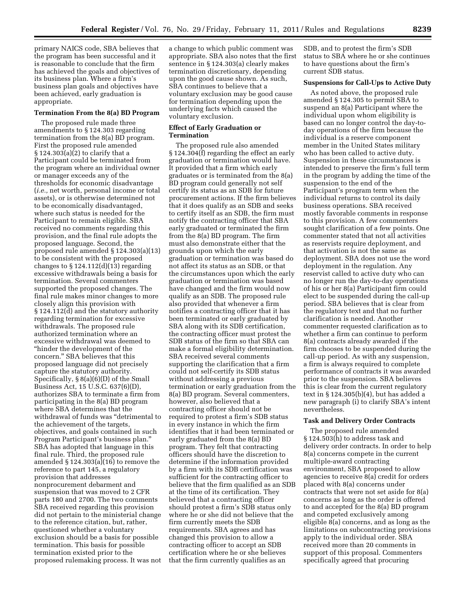primary NAICS code, SBA believes that the program has been successful and it is reasonable to conclude that the firm has achieved the goals and objectives of its business plan. Where a firm's business plan goals and objectives have been achieved, early graduation is appropriate.

#### **Termination From the 8(a) BD Program**

The proposed rule made three amendments to § 124.303 regarding termination from the 8(a) BD program. First the proposed rule amended § 124.303(a)(2) to clarify that a Participant could be terminated from the program where an individual owner or manager exceeds any of the thresholds for economic disadvantage (*i.e.,* net worth, personal income or total assets), or is otherwise determined not to be economically disadvantaged, where such status is needed for the Participant to remain eligible. SBA received no comments regarding this provision, and the final rule adopts the proposed language. Second, the proposed rule amended § 124.303(a)(13) to be consistent with the proposed changes to  $\S 124.112(d)(13)$  regarding excessive withdrawals being a basis for termination. Several commenters supported the proposed changes. The final rule makes minor changes to more closely align this provision with § 124.112(d) and the statutory authority regarding termination for excessive withdrawals. The proposed rule authorized termination where an excessive withdrawal was deemed to ''hinder the development of the concern.'' SBA believes that this proposed language did not precisely capture the statutory authority. Specifically, § 8(a)(6)(D) of the Small Business Act, 15 U.S.C. 637(6)(D), authorizes SBA to terminate a firm from participating in the 8(a) BD program where SBA determines that the withdrawal of funds was ''detrimental to the achievement of the targets, objectives, and goals contained in such Program Participant's business plan.'' SBA has adopted that language in this final rule. Third, the proposed rule amended § 124.303(a)(16) to remove the reference to part 145, a regulatory provision that addresses nonprocurement debarment and suspension that was moved to 2 CFR parts 180 and 2700. The two comments SBA received regarding this provision did not pertain to the ministerial change to the reference citation, but, rather, questioned whether a voluntary exclusion should be a basis for possible termination. This basis for possible termination existed prior to the proposed rulemaking process. It was not a change to which public comment was appropriate. SBA also notes that the first sentence in § 124.303(a) clearly makes termination discretionary, depending upon the good cause shown. As such, SBA continues to believe that a voluntary exclusion may be good cause for termination depending upon the underlying facts which caused the voluntary exclusion.

#### **Effect of Early Graduation or Termination**

The proposed rule also amended § 124.304(f) regarding the effect an early graduation or termination would have. It provided that a firm which early graduates or is terminated from the 8(a) BD program could generally not self certify its status as an SDB for future procurement actions. If the firm believes that it does qualify as an SDB and seeks to certify itself as an SDB, the firm must notify the contracting officer that SBA early graduated or terminated the firm from the 8(a) BD program. The firm must also demonstrate either that the grounds upon which the early graduation or termination was based do not affect its status as an SDB, or that the circumstances upon which the early graduation or termination was based have changed and the firm would now qualify as an SDB. The proposed rule also provided that whenever a firm notifies a contracting officer that it has been terminated or early graduated by SBA along with its SDB certification, the contracting officer must protest the SDB status of the firm so that SBA can make a formal eligibility determination. SBA received several comments supporting the clarification that a firm could not self-certify its SDB status without addressing a previous termination or early graduation from the 8(a) BD program. Several commenters, however, also believed that a contracting officer should not be required to protest a firm's SDB status in every instance in which the firm identifies that it had been terminated or early graduated from the 8(a) BD program. They felt that contracting officers should have the discretion to determine if the information provided by a firm with its SDB certification was sufficient for the contracting officer to believe that the firm qualified as an SDB at the time of its certification. They believed that a contracting officer should protest a firm's SDB status only where he or she did not believe that the firm currently meets the SDB requirements. SBA agrees and has changed this provision to allow a contracting officer to accept an SDB certification where he or she believes that the firm currently qualifies as an

SDB, and to protest the firm's SDB status to SBA where he or she continues to have questions about the firm's current SDB status.

#### **Suspensions for Call-Ups to Active Duty**

As noted above, the proposed rule amended § 124.305 to permit SBA to suspend an 8(a) Participant where the individual upon whom eligibility is based can no longer control the day-today operations of the firm because the individual is a reserve component member in the United States military who has been called to active duty. Suspension in these circumstances is intended to preserve the firm's full term in the program by adding the time of the suspension to the end of the Participant's program term when the individual returns to control its daily business operations. SBA received mostly favorable comments in response to this provision. A few commenters sought clarification of a few points. One commenter stated that not all activities as reservists require deployment, and that activation is not the same as deployment. SBA does not use the word deployment in the regulation. Any reservist called to active duty who can no longer run the day-to-day operations of his or her 8(a) Participant firm could elect to be suspended during the call-up period. SBA believes that is clear from the regulatory text and that no further clarification is needed. Another commenter requested clarification as to whether a firm can continue to perform 8(a) contracts already awarded if the firm chooses to be suspended during the call-up period. As with any suspension, a firm is always required to complete performance of contracts it was awarded prior to the suspension. SBA believes this is clear from the current regulatory text in § 124.305(b)(4), but has added a new paragraph (i) to clarify SBA's intent nevertheless.

#### **Task and Delivery Order Contracts**

The proposed rule amended § 124.503(h) to address task and delivery order contracts. In order to help 8(a) concerns compete in the current multiple-award contracting environment, SBA proposed to allow agencies to receive 8(a) credit for orders placed with 8(a) concerns under contracts that were not set aside for 8(a) concerns as long as the order is offered to and accepted for the 8(a) BD program and competed exclusively among eligible 8(a) concerns, and as long as the limitations on subcontracting provisions apply to the individual order. SBA received more than 20 comments in support of this proposal. Commenters specifically agreed that procuring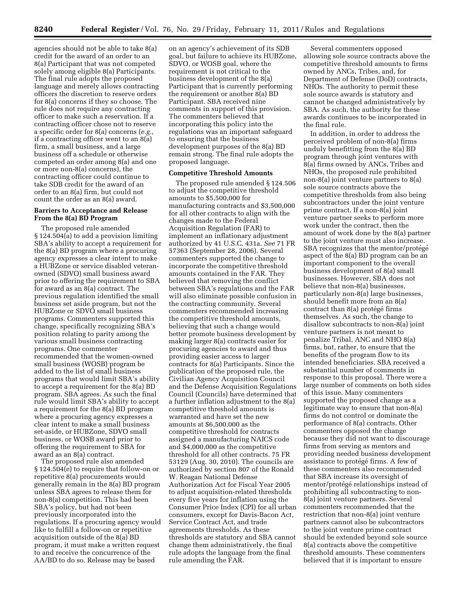agencies should not be able to take 8(a) credit for the award of an order to an 8(a) Participant that was not competed solely among eligible 8(a) Participants. The final rule adopts the proposed language and merely allows contracting officers the discretion to reserve orders for 8(a) concerns if they so choose. The rule does not require any contracting officer to make such a reservation. If a contracting officer chose not to reserve a specific order for 8(a) concerns (*e.g.,*  if a contracting officer went to an 8(a) firm, a small business, and a large business off a schedule or otherwise competed an order among 8(a) and one or more non-8(a) concerns), the contracting officer could continue to take SDB credit for the award of an order to an 8(a) firm, but could not count the order as an 8(a) award.

#### **Barriers to Acceptance and Release From the 8(a) BD Program**

The proposed rule amended § 124.504(a) to add a provision limiting SBA's ability to accept a requirement for the 8(a) BD program where a procuring agency expresses a clear intent to make a HUBZone or service disabled veteranowned (SDVO) small business award prior to offering the requirement to SBA for award as an 8(a) contract. The previous regulation identified the small business set aside program, but not the HUBZone or SDVO small business programs. Commenters supported this change, specifically recognizing SBA's position relating to parity among the various small business contracting programs. One commenter recommended that the women-owned small business (WOSB) program be added to the list of small business programs that would limit SBA's ability to accept a requirement for the 8(a) BD program. SBA agrees. As such the final rule would limit SBA's ability to accept a requirement for the 8(a) BD program where a procuring agency expresses a clear intent to make a small business set-aside, or HUBZone, SDVO small business, or WOSB award prior to offering the requirement to SBA for award as an 8(a) contract.

The proposed rule also amended § 124.504(e) to require that follow-on or repetitive 8(a) procurements would generally remain in the 8(a) BD program unless SBA agrees to release them for non-8(a) competition. This had been SBA's policy, but had not been previously incorporated into the regulations. If a procuring agency would like to fulfill a follow-on or repetitive acquisition outside of the 8(a) BD program, it must make a written request to and receive the concurrence of the AA/BD to do so. Release may be based

on an agency's achievement of its SDB goal, but failure to achieve its HUBZone, SDVO, or WOSB goal, where the requirement is not critical to the business development of the 8(a) Participant that is currently performing the requirement or another 8(a) BD Participant. SBA received nine comments in support of this provision. The commenters believed that incorporating this policy into the regulations was an important safeguard to ensuring that the business development purposes of the 8(a) BD remain strong. The final rule adopts the proposed language.

#### **Competitive Threshold Amounts**

The proposed rule amended § 124.506 to adjust the competitive threshold amounts to \$5,500,000 for manufacturing contracts and \$3,500,000 for all other contracts to align with the changes made to the Federal Acquisition Regulation (FAR) to implement an inflationary adjustment authorized by 41 U.S.C. 431a. *See* 71 FR 57363 (September 28, 2006). Several commenters supported the change to incorporate the competitive threshold amounts contained in the FAR. They believed that removing the conflict between SBA's regulations and the FAR will also eliminate possible confusion in the contracting community. Several commenters recommended increasing the competitive threshold amounts, believing that such a change would better promote business development by making larger 8(a) contracts easier for procuring agencies to award and thus providing easier access to larger contracts for 8(a) Participants. Since the publication of the proposed rule, the Civilian Agency Acquisition Council and the Defense Acquisition Regulations Council (Councils) have determined that a further inflation adjustment to the 8(a) competitive threshold amounts is warranted and have set the new amounts at \$6,500,000 as the competitive threshold for contracts assigned a manufacturing NAICS code and \$4,000,000 as the competitive threshold for all other contracts. 75 FR 53129 (Aug. 30, 2010). The councils are authorized by section 807 of the Ronald W. Reagan National Defense Authorization Act for Fiscal Year 2005 to adjust acquisition-related thresholds every five years for inflation using the Consumer Price Index (CPI) for all urban consumers, except for Davis-Bacon Act, Service Contract Act, and trade agreements thresholds. As these thresholds are statutory and SBA cannot change them administratively, the final rule adopts the language from the final rule amending the FAR.

Several commenters opposed allowing sole source contracts above the competitive threshold amounts to firms owned by ANCs, Tribes, and, for Department of Defense (DoD) contracts, NHOs. The authority to permit these sole source awards is statutory and cannot be changed administratively by SBA. As such, the authority for these awards continues to be incorporated in the final rule.

In addition, in order to address the perceived problem of non-8(a) firms unduly benefitting from the 8(a) BD program through joint ventures with 8(a) firms owned by ANCs, Tribes and NHOs, the proposed rule prohibited non-8(a) joint venture partners to 8(a) sole source contracts above the competitive thresholds from also being subcontractors under the joint venture prime contract. If a non-8(a) joint venture partner seeks to perform more work under the contract, then the amount of work done by the 8(a) partner to the joint venture must also increase. SBA recognizes that the mentor/protégé aspect of the 8(a) BD program can be an important component to the overall business development of 8(a) small businesses. However, SBA does not believe that non-8(a) businesses, particularly non-8(a) large businesses, should benefit more from an 8(a) contract than  $8(a)$  protégé firms themselves. As such, the change to disallow subcontracts to non-8(a) joint venture partners is not meant to penalize Tribal, ANC and NHO 8(a) firms, but, rather, to ensure that the benefits of the program flow to its intended beneficiaries. SBA received a substantial number of comments in response to this proposal. There were a large number of comments on both sides of this issue. Many commenters supported the proposed change as a legitimate way to ensure that non-8(a) firms do not control or dominate the performance of 8(a) contracts. Other commenters opposed the change because they did not want to discourage firms from serving as mentors and providing needed business development assistance to protégé firms. A few of these commenters also recommended that SBA increase its oversight of mentor/protégé relationships instead of prohibiting all subcontracting to non-8(a) joint venture partners. Several commenters recommended that the restriction that non-8(a) joint venture partners cannot also be subcontractors to the joint venture prime contract should be extended beyond sole source 8(a) contracts above the competitive threshold amounts. These commenters believed that it is important to ensure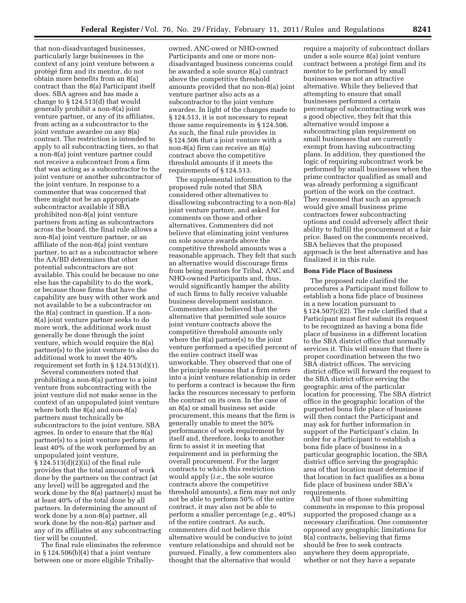that non-disadvantaged businesses, particularly large businesses in the context of any joint venture between a protégé firm and its mentor, do not obtain more benefits from an 8(a) contract than the 8(a) Participant itself does. SBA agrees and has made a change to § 124.513(d) that would generally prohibit a non-8(a) joint venture partner, or any of its affiliates, from acting as a subcontractor to the joint venture awardee on any 8(a) contract. The restriction is intended to apply to all subcontracting tiers, so that a non-8(a) joint venture partner could not receive a subcontract from a firm that was acting as a subcontractor to the joint venture or another subcontractor of the joint venture. In response to a commenter that was concerned that there might not be an appropriate subcontractor available if SBA prohibited non-8(a) joint venture partners from acting as subcontractors across the board, the final rule allows a non-8(a) joint venture partner, or an affiliate of the non-8(a) joint venture partner, to act as a subcontractor where the AA/BD determines that other potential subcontractors are not available. This could be because no one else has the capability to do the work, or because those firms that have the capability are busy with other work and not available to be a subcontractor on the 8(a) contract in question. If a non-8(a) joint venture partner seeks to do more work, the additional work must generally be done through the joint venture, which would require the 8(a) partner(s) to the joint venture to also do additional work to meet the 40% requirement set forth in § 124.513(d)(1).

Several commenters noted that prohibiting a non-8(a) partner to a joint venture from subcontracting with the joint venture did not make sense in the context of an unpopulated joint venture where both the 8(a) and non-8(a) partners must technically be subcontractors to the joint venture. SBA agrees. In order to ensure that the 8(a) partner(s) to a joint venture perform at least 40% of the work performed by an unpopulated joint venture, § 124.513(d)(2)(ii) of the final rule provides that the total amount of work done by the partners on the contract (at any level) will be aggregated and the work done by the 8(a) partner(s) must be at least 40% of the total done by all partners. In determining the amount of work done by a non-8(a) partner, all work done by the non-8(a) partner and any of its affiliates at any subcontracting tier will be counted.

The final rule eliminates the reference in § 124.506(b)(4) that a joint venture between one or more eligible Tribally-

owned, ANC-owed or NHO-owned Participants and one or more nondisadvantaged business concerns could be awarded a sole source 8(a) contract above the competitive threshold amounts provided that no non-8(a) joint venture partner also acts as a subcontractor to the joint venture awardee. In light of the changes made to § 124.513, it is not necessary to repeat those same requirements in § 124.506. As such, the final rule provides in § 124.506 that a joint venture with a non-8(a) firm can receive an 8(a) contract above the competitive threshold amounts if it meets the requirements of § 124.513.

The supplemental information to the proposed rule noted that SBA considered other alternatives to disallowing subcontracting to a non-8(a) joint venture partner, and asked for comments on those and other alternatives. Commenters did not believe that eliminating joint ventures on sole source awards above the competitive threshold amounts was a reasonable approach. They felt that such an alternative would discourage firms from being mentors for Tribal, ANC and NHO-owned Participants and, thus, would significantly hamper the ability of such firms to fully receive valuable business development assistance. Commenters also believed that the alternative that permitted sole source joint venture contracts above the competitive threshold amounts only where the 8(a) partner(s) to the joint venture performed a specified percent of the entire contract itself was unworkable. They observed that one of the principle reasons that a firm enters into a joint venture relationship in order to perform a contract is because the firm lacks the resources necessary to perform the contract on its own. In the case of an 8(a) or small business set aside procurement, this means that the firm is generally unable to meet the 50% performance of work requirement by itself and, therefore, looks to another firm to assist it in meeting that requirement and in performing the overall procurement. For the larger contracts to which this restriction would apply (*i.e.,* the sole source contracts above the competitive threshold amounts), a firm may not only not be able to perform 50% of the entire contract, it may also not be able to perform a smaller percentage (*e.g.,* 40%) of the entire contract. As such, commenters did not believe this alternative would be conducive to joint venture relationships and should not be pursued. Finally, a few commenters also thought that the alternative that would

require a majority of subcontract dollars under a sole source 8(a) joint venture contract between a protégé firm and its mentor to be performed by small businesses was not an attractive alternative. While they believed that attempting to ensure that small businesses performed a certain percentage of subcontracting work was a good objective, they felt that this alternative would impose a subcontracting plan requirement on small businesses that are currently exempt from having subcontracting plans. In addition, they questioned the logic of requiring subcontract work be performed by small businesses when the prime contractor qualified as small and was already performing a significant portion of the work on the contract. They reasoned that such an approach would give small business prime contractors fewer subcontracting options and could adversely affect their ability to fulfill the procurement at a fair price. Based on the comments received, SBA believes that the proposed approach is the best alternative and has finalized it in this rule.

#### **Bona Fide Place of Business**

The proposed rule clarified the procedures a Participant must follow to establish a bona fide place of business in a new location pursuant to  $\S 124.507(c)(2)$ . The rule clarified that a Participant must first submit its request to be recognized as having a bona fide place of business in a different location to the SBA district office that normally services it. This will ensure that there is proper coordination between the two SBA district offices. The servicing district office will forward the request to the SBA district office serving the geographic area of the particular location for processing. The SBA district office in the geographic location of the purported bona fide place of business will then contact the Participant and may ask for further information in support of the Participant's claim. In order for a Participant to establish a bona fide place of business in a particular geographic location, the SBA district office serving the geographic area of that location must determine if that location in fact qualifies as a bona fide place of business under SBA's requirements.

All but one of those submitting comments in response to this proposal supported the proposed change as a necessary clarification. One commenter opposed any geographic limitations for 8(a) contracts, believing that firms should be free to seek contracts anywhere they deem appropriate, whether or not they have a separate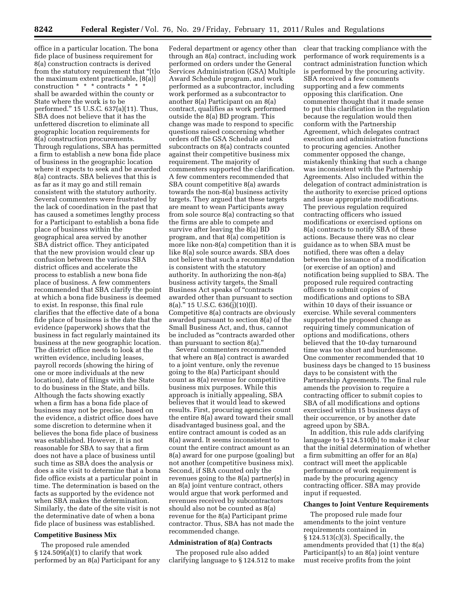office in a particular location. The bona fide place of business requirement for 8(a) construction contracts is derived from the statutory requirement that ''[t]o the maximum extent practicable, [8(a)] construction \* \* \* contracts \* \* \* shall be awarded within the county or State where the work is to be performed.'' 15 U.S.C. 637(a)(11). Thus, SBA does not believe that it has the unfettered discretion to eliminate all geographic location requirements for 8(a) construction procurements. Through regulations, SBA has permitted a firm to establish a new bona fide place of business in the geographic location where it expects to seek and be awarded 8(a) contracts. SBA believes that this is as far as it may go and still remain consistent with the statutory authority. Several commenters were frustrated by the lack of coordination in the past that has caused a sometimes lengthy process for a Participant to establish a bona fide place of business within the geographical area served by another SBA district office. They anticipated that the new provision would clear up confusion between the various SBA district offices and accelerate the process to establish a new bona fide place of business. A few commenters recommended that SBA clarify the point at which a bona fide business is deemed to exist. In response, this final rule clarifies that the effective date of a bona fide place of business is the date that the evidence (paperwork) shows that the business in fact regularly maintained its business at the new geographic location. The district office needs to look at the written evidence, including leases, payroll records (showing the hiring of one or more individuals at the new location), date of filings with the State to do business in the State, and bills. Although the facts showing exactly when a firm has a bona fide place of business may not be precise, based on the evidence, a district office does have some discretion to determine when it believes the bona fide place of business was established. However, it is not reasonable for SBA to say that a firm does not have a place of business until such time as SBA does the analysis or does a site visit to determine that a bona fide office exists at a particular point in time. The determination is based on the facts as supported by the evidence not when SBA makes the determination. Similarly, the date of the site visit is not the determinative date of when a bona fide place of business was established.

#### **Competitive Business Mix**

The proposed rule amended  $\S 124.509(a)(1)$  to clarify that work performed by an 8(a) Participant for any

Federal department or agency other than through an 8(a) contract, including work performed on orders under the General Services Administration (GSA) Multiple Award Schedule program, and work performed as a subcontractor, including work performed as a subcontractor to another 8(a) Participant on an 8(a) contract, qualifies as work performed outside the 8(a) BD program. This change was made to respond to specific questions raised concerning whether orders off the GSA Schedule and subcontracts on 8(a) contracts counted against their competitive business mix requirement. The majority of commenters supported the clarification. A few commenters recommended that SBA count competitive 8(a) awards towards the non-8(a) business activity targets. They argued that these targets are meant to wean Participants away from sole source 8(a) contracting so that the firms are able to compete and survive after leaving the 8(a) BD program, and that 8(a) competition is more like non-8(a) competition than it is like 8(a) sole source awards. SBA does not believe that such a recommendation is consistent with the statutory authority. In authorizing the non-8(a) business activity targets, the Small Business Act speaks of ''contracts awarded other than pursuant to section 8(a).'' 15 U.S.C. 636(j)(10)(I). Competitive 8(a) contracts are obviously awarded pursuant to section 8(a) of the Small Business Act, and, thus, cannot be included as ''contracts awarded other than pursuant to section 8(a).''

Several commenters recommended that where an 8(a) contract is awarded to a joint venture, only the revenue going to the 8(a) Participant should count as 8(a) revenue for competitive business mix purposes. While this approach is initially appealing, SBA believes that it would lead to skewed results. First, procuring agencies count the entire 8(a) award toward their small disadvantaged business goal, and the entire contract amount is coded as an 8(a) award. It seems inconsistent to count the entire contract amount as an 8(a) award for one purpose (goaling) but not another (competitive business mix). Second, if SBA counted only the revenues going to the 8(a) partner(s) in an 8(a) joint venture contract, others would argue that work performed and revenues received by subcontractors should also not be counted as 8(a) revenue for the 8(a) Participant prime contractor. Thus, SBA has not made the recommended change.

#### **Administration of 8(a) Contracts**

The proposed rule also added clarifying language to § 124.512 to make clear that tracking compliance with the performance of work requirements is a contract administration function which is performed by the procuring activity. SBA received a few comments supporting and a few comments opposing this clarification. One commenter thought that it made sense to put this clarification in the regulation because the regulation would then conform with the Partnership Agreement, which delegates contract execution and administration functions to procuring agencies. Another commenter opposed the change, mistakenly thinking that such a change was inconsistent with the Partnership Agreements. Also included within the delegation of contract administration is the authority to exercise priced options and issue appropriate modifications. The previous regulation required contracting officers who issued modifications or exercised options on 8(a) contracts to notify SBA of these actions. Because there was no clear guidance as to when SBA must be notified, there was often a delay between the issuance of a modification (or exercise of an option) and notification being supplied to SBA. The proposed rule required contracting officers to submit copies of modifications and options to SBA within 10 days of their issuance or exercise. While several commenters supported the proposed change as requiring timely communication of options and modifications, others believed that the 10-day turnaround time was too short and burdensome. One commenter recommended that 10 business days be changed to 15 business days to be consistent with the Partnership Agreements. The final rule amends the provision to require a contracting officer to submit copies to SBA of all modifications and options exercised within 15 business days of their occurrence, or by another date agreed upon by SBA.

In addition, this rule adds clarifying language to § 124.510(b) to make it clear that the initial determination of whether a firm submitting an offer for an 8(a) contract will meet the applicable performance of work requirement is made by the procuring agency contracting officer. SBA may provide input if requested.

#### **Changes to Joint Venture Requirements**

The proposed rule made four amendments to the joint venture requirements contained in § 124.513(c)(3). Specifically, the amendments provided that (1) the 8(a) Participant(s) to an 8(a) joint venture must receive profits from the joint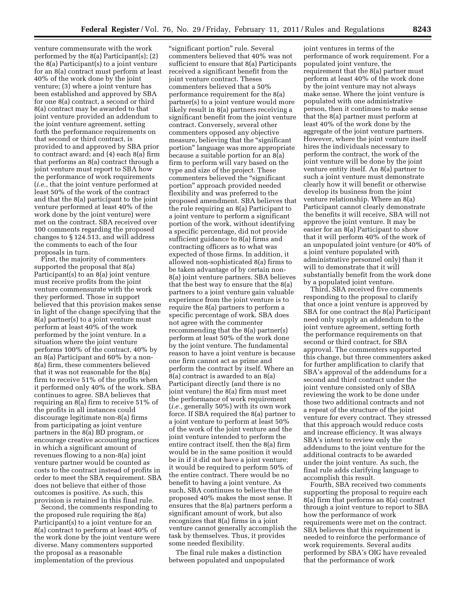venture commensurate with the work performed by the 8(a) Participant(s); (2) the 8(a) Participant(s) to a joint venture for an 8(a) contract must perform at least 40% of the work done by the joint venture; (3) where a joint venture has been established and approved by SBA for one 8(a) contract, a second or third 8(a) contract may be awarded to that joint venture provided an addendum to the joint venture agreement, setting forth the performance requirements on that second or third contract, is provided to and approved by SBA prior to contract award; and (4) each 8(a) firm that performs an 8(a) contract through a joint venture must report to SBA how the performance of work requirements (*i.e.,* that the joint venture performed at least 50% of the work of the contract and that the 8(a) participant to the joint venture performed at least 40% of the work done by the joint venture) were met on the contract. SBA received over 100 comments regarding the proposed changes to § 124.513, and will address the comments to each of the four proposals in turn.

First, the majority of commenters supported the proposal that 8(a) Participant(s) to an 8(a) joint venture must receive profits from the joint venture commensurate with the work they performed. Those in support believed that this provision makes sense in light of the change specifying that the 8(a) partner(s) to a joint venture must perform at least 40% of the work performed by the joint venture. In a situation where the joint venture performs 100% of the contract, 40% by an 8(a) Participant and 60% by a non-8(a) firm, these commenters believed that it was not reasonable for the 8(a) firm to receive 51% of the profits when it performed only 40% of the work. SBA continues to agree. SBA believes that requiring an 8(a) firm to receive 51% of the profits in all instances could discourage legitimate non-8(a) firms from participating as joint venture partners in the 8(a) BD program, or encourage creative accounting practices in which a significant amount of revenues flowing to a non-8(a) joint venture partner would be counted as costs to the contract instead of profits in order to meet the SBA requirement. SBA does not believe that either of those outcomes is positive. As such, this provision is retained in this final rule.

Second, the comments responding to the proposed rule requiring the 8(a) Participant(s) to a joint venture for an 8(a) contract to perform at least 40% of the work done by the joint venture were diverse. Many commenters supported the proposal as a reasonable implementation of the previous

"significant portion" rule. Several commenters believed that 40% was not sufficient to ensure that 8(a) Participants received a significant benefit from the joint venture contract. Theses commenters believed that a 50% performance requirement for the 8(a) partner(s) to a joint venture would more likely result in 8(a) partners receiving a significant benefit from the joint venture contract. Conversely, several other commenters opposed any objective measure, believing that the "significant" portion'' language was more appropriate because a suitable portion for an 8(a) firm to perform will vary based on the type and size of the project. These commenters believed the "significant" portion'' approach provided needed flexibility and was preferred to the proposed amendment. SBA believes that the rule requiring an 8(a) Participant to a joint venture to perform a significant portion of the work, without identifying a specific percentage, did not provide sufficient guidance to 8(a) firms and contracting officers as to what was expected of those firms. In addition, it allowed non-sophisticated 8(a) firms to be taken advantage of by certain non-8(a) joint venture partners. SBA believes that the best way to ensure that the 8(a) partners to a joint venture gain valuable experience from the joint venture is to require the 8(a) partners to perform a specific percentage of work. SBA does not agree with the commenter recommending that the 8(a) partner(s) perform at least 50% of the work done by the joint venture. The fundamental reason to have a joint venture is because one firm cannot act as prime and perform the contract by itself. Where an 8(a) contract is awarded to an 8(a) Participant directly (and there is no joint venture) the 8(a) firm must meet the performance of work requirement (*i.e.,* generally 50%) with its own work force. If SBA required the 8(a) partner to a joint venture to perform at least 50% of the work of the joint venture and the joint venture intended to perform the entire contract itself, then the 8(a) firm would be in the same position it would be in if it did not have a joint venture; it would be required to perform 50% of the entire contract. There would be no benefit to having a joint venture. As such, SBA continues to believe that the proposed 40% makes the most sense. It ensures that the 8(a) partners perform a significant amount of work, but also recognizes that 8(a) firms in a joint venture cannot generally accomplish the task by themselves. Thus, it provides some needed flexibility.

The final rule makes a distinction between populated and unpopulated

joint ventures in terms of the performance of work requirement. For a populated joint venture, the requirement that the 8(a) partner must perform at least 40% of the work done by the joint venture may not always make sense. Where the joint venture is populated with one administrative person, then it continues to make sense that the 8(a) partner must perform at least 40% of the work done by the aggregate of the joint venture partners. However, where the joint venture itself hires the individuals necessary to perform the contract, the work of the joint venture will be done by the joint venture entity itself. An 8(a) partner to such a joint venture must demonstrate clearly how it will benefit or otherwise develop its business from the joint venture relationship. Where an 8(a) Participant cannot clearly demonstrate the benefits it will receive, SBA will not approve the joint venture. It may be easier for an 8(a) Participant to show that it will perform 40% of the work of an unpopulated joint venture (or 40% of a joint venture populated with administrative personnel only) than it will to demonstrate that it will substantially benefit from the work done by a populated joint venture.

Third, SBA received five comments responding to the proposal to clarify that once a joint venture is approved by SBA for one contract the 8(a) Participant need only supply an addendum to the joint venture agreement, setting forth the performance requirements on that second or third contract, for SBA approval. The commenters supported this change, but three commenters asked for further amplification to clarify that SBA's approval of the addendums for a second and third contract under the joint venture consisted only of SBA reviewing the work to be done under those two additional contracts and not a repeat of the structure of the joint venture for every contract. They stressed that this approach would reduce costs and increase efficiency. It was always SBA's intent to review only the addendums to the joint venture for the additional contracts to be awarded under the joint venture. As such, the final rule adds clarifying language to accomplish this result.

Fourth, SBA received two comments supporting the proposal to require each 8(a) firm that performs an 8(a) contract through a joint venture to report to SBA how the performance of work requirements were met on the contract. SBA believes that this requirement is needed to reinforce the performance of work requirements. Several audits performed by SBA's OIG have revealed that the performance of work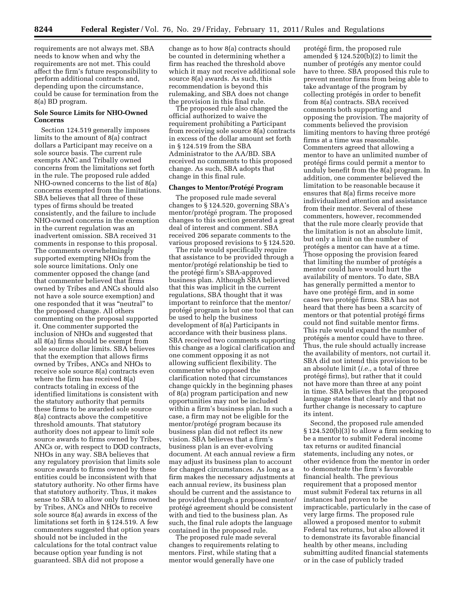requirements are not always met. SBA needs to know when and why the requirements are not met. This could affect the firm's future responsibility to perform additional contracts and, depending upon the circumstance, could be cause for termination from the 8(a) BD program.

#### **Sole Source Limits for NHO-Owned Concerns**

Section 124.519 generally imposes limits to the amount of 8(a) contract dollars a Participant may receive on a sole source basis. The current rule exempts ANC and Tribally owned concerns from the limitations set forth in the rule. The proposed rule added NHO-owned concerns to the list of 8(a) concerns exempted from the limitations. SBA believes that all three of these types of firms should be treated consistently, and the failure to include NHO-owned concerns in the exemption in the current regulation was an inadvertent omission. SBA received 31 comments in response to this proposal. The comments overwhelmingly supported exempting NHOs from the sole source limitations. Only one commenter opposed the change (and that commenter believed that firms owned by Tribes and ANCs should also not have a sole source exemption) and one responded that it was ''neutral'' to the proposed change. All others commenting on the proposal supported it. One commenter supported the inclusion of NHOs and suggested that all 8(a) firms should be exempt from sole source dollar limits. SBA believes that the exemption that allows firms owned by Tribes, ANCs and NHOs to receive sole source 8(a) contracts even where the firm has received 8(a) contracts totaling in excess of the identified limitations is consistent with the statutory authority that permits these firms to be awarded sole source 8(a) contracts above the competitive threshold amounts. That statutory authority does not appear to limit sole source awards to firms owned by Tribes, ANCs or, with respect to DOD contracts, NHOs in any way. SBA believes that any regulatory provision that limits sole source awards to firms owned by these entities could be inconsistent with that statutory authority. No other firms have that statutory authority. Thus, it makes sense to SBA to allow only firms owned by Tribes, ANCs and NHOs to receive sole source 8(a) awards in excess of the limitations set forth in § 124.519. A few commenters suggested that option years should not be included in the calculations for the total contract value because option year funding is not guaranteed. SBA did not propose a

change as to how 8(a) contracts should be counted in determining whether a firm has reached the threshold above which it may not receive additional sole source 8(a) awards. As such, this recommendation is beyond this rulemaking, and SBA does not change the provision in this final rule.

The proposed rule also changed the official authorized to waive the requirement prohibiting a Participant from receiving sole source 8(a) contracts in excess of the dollar amount set forth in § 124.519 from the SBA Administrator to the AA/BD. SBA received no comments to this proposed change. As such, SBA adopts that change in this final rule.

#### **Changes to Mentor/Prote´ge´ Program**

The proposed rule made several changes to § 124.520, governing SBA's mentor/protégé program. The proposed changes to this section generated a great deal of interest and comment. SBA received 206 separate comments to the various proposed revisions to § 124.520.

The rule would specifically require that assistance to be provided through a mentor/protégé relationship be tied to the protégé firm's SBA-approved business plan. Although SBA believed that this was implicit in the current regulations, SBA thought that it was important to reinforce that the mentor/ protégé program is but one tool that can be used to help the business development of 8(a) Participants in accordance with their business plans. SBA received two comments supporting this change as a logical clarification and one comment opposing it as not allowing sufficient flexibility. The commenter who opposed the clarification noted that circumstances change quickly in the beginning phases of 8(a) program participation and new opportunities may not be included within a firm's business plan. In such a case, a firm may not be eligible for the mentor/protégé program because its business plan did not reflect its new vision. SBA believes that a firm's business plan is an ever-evolving document. At each annual review a firm may adjust its business plan to account for changed circumstances. As long as a firm makes the necessary adjustments at each annual review, its business plan should be current and the assistance to be provided through a proposed mentor/ protégé agreement should be consistent with and tied to the business plan. As such, the final rule adopts the language contained in the proposed rule.

The proposed rule made several changes to requirements relating to mentors. First, while stating that a mentor would generally have one

protégé firm, the proposed rule amended § 124.520(b)(2) to limit the number of protégés any mentor could have to three. SBA proposed this rule to prevent mentor firms from being able to take advantage of the program by collecting protégés in order to benefit from 8(a) contracts. SBA received comments both supporting and opposing the provision. The majority of comments believed the provision limiting mentors to having three protégé firms at a time was reasonable. Commenters agreed that allowing a mentor to have an unlimited number of protégé firms could permit a mentor to unduly benefit from the 8(a) program. In addition, one commenter believed the limitation to be reasonable because it ensures that 8(a) firms receive more individualized attention and assistance from their mentor. Several of these commenters, however, recommended that the rule more clearly provide that the limitation is not an absolute limit, but only a limit on the number of protégés a mentor can have at a time. Those opposing the provision feared that limiting the number of protégés a mentor could have would hurt the availability of mentors. To date, SBA has generally permitted a mentor to have one protégé firm, and in some cases two protégé firms. SBA has not heard that there has been a scarcity of mentors or that potential protégé firms could not find suitable mentor firms. This rule would expand the number of protégés a mentor could have to three. Thus, the rule should actually increase the availability of mentors, not curtail it. SBA did not intend this provision to be an absolute limit (*i.e.,* a total of three protégé firms), but rather that it could not have more than three at any point in time. SBA believes that the proposed language states that clearly and that no further change is necessary to capture its intent.

Second, the proposed rule amended § 124.520(b)(3) to allow a firm seeking to be a mentor to submit Federal income tax returns or audited financial statements, including any notes, or other evidence from the mentor in order to demonstrate the firm's favorable financial health. The previous requirement that a proposed mentor must submit Federal tax returns in all instances had proven to be impracticable, particularly in the case of very large firms. The proposed rule allowed a proposed mentor to submit Federal tax returns, but also allowed it to demonstrate its favorable financial health by other means, including submitting audited financial statements or in the case of publicly traded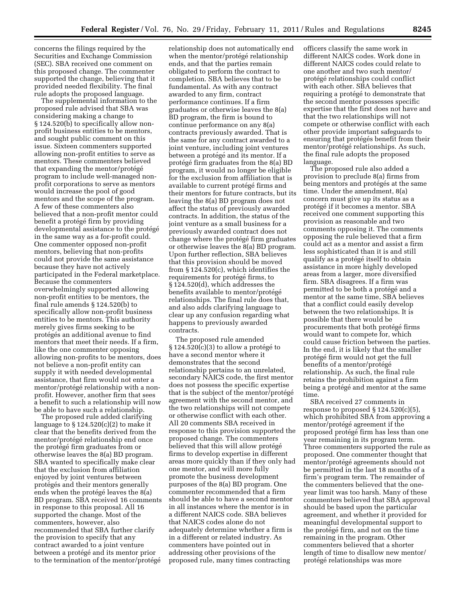concerns the filings required by the Securities and Exchange Commission (SEC). SBA received one comment on this proposed change. The commenter supported the change, believing that it provided needed flexibility. The final rule adopts the proposed language.

The supplemental information to the proposed rule advised that SBA was considering making a change to § 124.520(b) to specifically allow nonprofit business entities to be mentors, and sought public comment on this issue. Sixteen commenters supported allowing non-profit entities to serve as mentors. These commenters believed that expanding the mentor/protégé program to include well-managed nonprofit corporations to serve as mentors would increase the pool of good mentors and the scope of the program. A few of these commenters also believed that a non-profit mentor could benefit a protégé firm by providing developmental assistance to the protégé in the same way as a for-profit could. One commenter opposed non-profit mentors, believing that non-profits could not provide the same assistance because they have not actively participated in the Federal marketplace. Because the commenters overwhelmingly supported allowing non-profit entities to be mentors, the final rule amends § 124.520(b) to specifically allow non-profit business entities to be mentors. This authority merely gives firms seeking to be protégés an additional avenue to find mentors that meet their needs. If a firm, like the one commenter opposing allowing non-profits to be mentors, does not believe a non-profit entity can supply it with needed developmental assistance, that firm would not enter a mentor/protégé relationship with a nonprofit. However, another firm that sees a benefit to such a relationship will now be able to have such a relationship.

The proposed rule added clarifying language to  $\S 124.520(c)(2)$  to make it clear that the benefits derived from the mentor/protégé relationship end once the protégé firm graduates from or otherwise leaves the 8(a) BD program. SBA wanted to specifically make clear that the exclusion from affiliation enjoyed by joint ventures between protégés and their mentors generally ends when the protégé leaves the 8(a) BD program. SBA received 16 comments in response to this proposal. All 16 supported the change. Most of the commenters, however, also recommended that SBA further clarify the provision to specify that any contract awarded to a joint venture between a protégé and its mentor prior to the termination of the mentor/protégé

relationship does not automatically end when the mentor/protégé relationship ends, and that the parties remain obligated to perform the contract to completion. SBA believes that to be fundamental. As with any contract awarded to any firm, contract performance continues. If a firm graduates or otherwise leaves the 8(a) BD program, the firm is bound to continue performance on any 8(a) contracts previously awarded. That is the same for any contract awarded to a joint venture, including joint ventures between a protégé and its mentor. If a protégé firm graduates from the  $8(a)$  BD program, it would no longer be eligible for the exclusion from affiliation that is available to current protégé firms and their mentors for future contracts, but its leaving the 8(a) BD program does not affect the status of previously awarded contracts. In addition, the status of the joint venture as a small business for a previously awarded contract does not change where the protégé firm graduates or otherwise leaves the 8(a) BD program. Upon further reflection, SBA believes that this provision should be moved from § 124.520(c), which identifies the requirements for protégé firms, to § 124.520(d), which addresses the benefits available to mentor/protégé relationships. The final rule does that, and also adds clarifying language to clear up any confusion regarding what happens to previously awarded contracts.

The proposed rule amended  $\S 124.520(c)(3)$  to allow a protégé to have a second mentor where it demonstrates that the second relationship pertains to an unrelated, secondary NAICS code, the first mentor does not possess the specific expertise that is the subject of the mentor/protégé agreement with the second mentor, and the two relationships will not compete or otherwise conflict with each other. All 20 comments SBA received in response to this provision supported the proposed change. The commenters believed that this will allow protégé firms to develop expertise in different areas more quickly than if they only had one mentor, and will more fully promote the business development purposes of the 8(a) BD program. One commenter recommended that a firm should be able to have a second mentor in all instances where the mentor is in a different NAICS code. SBA believes that NAICS codes alone do not adequately determine whether a firm is in a different or related industry. As commenters have pointed out in addressing other provisions of the proposed rule, many times contracting

officers classify the same work in different NAICS codes. Work done in different NAICS codes could relate to one another and two such mentor/ protégé relationships could conflict with each other. SBA believes that requiring a protégé to demonstrate that the second mentor possesses specific expertise that the first does not have and that the two relationships will not compete or otherwise conflict with each other provide important safeguards to ensuring that protégés benefit from their mentor/protégé relationships. As such, the final rule adopts the proposed language.

The proposed rule also added a provision to preclude 8(a) firms from being mentors and protégés at the same time. Under the amendment, 8(a) concern must give up its status as a protégé if it becomes a mentor. SBA received one comment supporting this provision as reasonable and two comments opposing it. The comments opposing the rule believed that a firm could act as a mentor and assist a firm less sophisticated than it is and still qualify as a protégé itself to obtain assistance in more highly developed areas from a larger, more diversified firm. SBA disagrees. If a firm was permitted to be both a protégé and a mentor at the same time, SBA believes that a conflict could easily develop between the two relationships. It is possible that there would be procurements that both protégé firms would want to compete for, which could cause friction between the parties. In the end, it is likely that the smaller protégé firm would not get the full benefits of a mentor/protégé relationship. As such, the final rule retains the prohibition against a firm being a protégé and mentor at the same time.

SBA received 27 comments in response to proposed  $\S 124.520(c)(5)$ , which prohibited SBA from approving a mentor/protégé agreement if the proposed protégé firm has less than one year remaining in its program term. Three commenters supported the rule as proposed. One commenter thought that mentor/protégé agreements should not be permitted in the last 18 months of a firm's program term. The remainder of the commenters believed that the oneyear limit was too harsh. Many of these commenters believed that SBA approval should be based upon the particular agreement, and whether it provided for meaningful developmental support to the protégé firm, and not on the time remaining in the program. Other commenters believed that a shorter length of time to disallow new mentor/ protégé relationships was more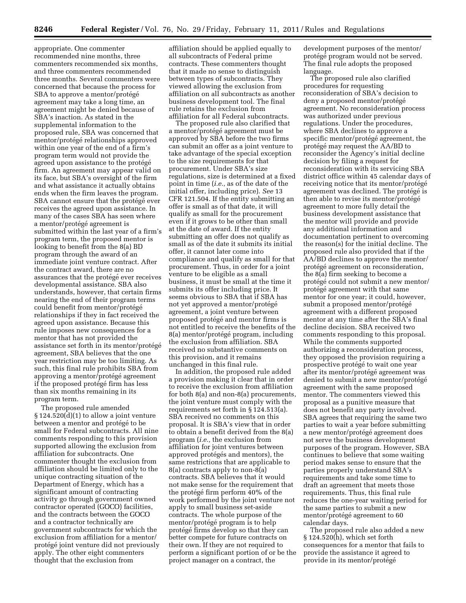**8246 Federal Register** / Vol. 76, No. 29 / Friday, February 11, 2011 / Rules and Regulations

appropriate. One commenter recommended nine months, three commenters recommended six months, and three commenters recommended three months. Several commenters were concerned that because the process for SBA to approve a mentor/protégé agreement may take a long time, an agreement might be denied because of SBA's inaction. As stated in the supplemental information to the proposed rule, SBA was concerned that mentor/protégé relationships approved within one year of the end of a firm's program term would not provide the agreed upon assistance to the protégé firm. An agreement may appear valid on its face, but SBA's oversight of the firm and what assistance it actually obtains ends when the firm leaves the program. SBA cannot ensure that the protégé ever receives the agreed upon assistance. In many of the cases SBA has seen where a mentor/protégé agreement is submitted within the last year of a firm's program term, the proposed mentor is looking to benefit from the 8(a) BD program through the award of an immediate joint venture contract. After the contract award, there are no assurances that the protégé ever receives developmental assistance. SBA also understands, however, that certain firms nearing the end of their program terms could benefit from mentor/protégé relationships if they in fact received the agreed upon assistance. Because this rule imposes new consequences for a mentor that has not provided the assistance set forth in its mentor/protégé agreement, SBA believes that the one year restriction may be too limiting. As such, this final rule prohibits SBA from approving a mentor/protégé agreement if the proposed protégé firm has less than six months remaining in its program term.

The proposed rule amended  $\S 124.520(d)(1)$  to allow a joint venture between a mentor and protégé to be small for Federal subcontracts. All nine comments responding to this provision supported allowing the exclusion from affiliation for subcontracts. One commenter thought the exclusion from affiliation should be limited only to the unique contracting situation of the Department of Energy, which has a significant amount of contracting activity go through government owned contractor operated (GOCO) facilities, and the contracts between the GOCO and a contractor technically are government subcontracts for which the exclusion from affiliation for a mentor/ protégé joint venture did not previously apply. The other eight commenters thought that the exclusion from

affiliation should be applied equally to all subcontracts of Federal prime contracts. These commenters thought that it made no sense to distinguish between types of subcontracts. They viewed allowing the exclusion from affiliation on all subcontracts as another business development tool. The final rule retains the exclusion from affiliation for all Federal subcontracts.

The proposed rule also clarified that a mentor/protégé agreement must be approved by SBA before the two firms can submit an offer as a joint venture to take advantage of the special exception to the size requirements for that procurement. Under SBA's size regulations, size is determined at a fixed point in time (*i.e.,* as of the date of the initial offer, including price). *See* 13 CFR 121.504. If the entity submitting an offer is small as of that date, it will qualify as small for the procurement even if it grows to be other than small at the date of award. If the entity submitting an offer does not qualify as small as of the date it submits its initial offer, it cannot later come into compliance and qualify as small for that procurement. Thus, in order for a joint venture to be eligible as a small business, it must be small at the time it submits its offer including price. It seems obvious to SBA that if SBA has not yet approved a mentor/protégé agreement, a joint venture between proposed protégé and mentor firms is not entitled to receive the benefits of the 8(a) mentor/protégé program, including the exclusion from affiliation. SBA received no substantive comments on this provision, and it remains unchanged in this final rule.

In addition, the proposed rule added a provision making it clear that in order to receive the exclusion from affiliation for both 8(a) and non-8(a) procurements, the joint venture must comply with the requirements set forth in § 124.513(a). SBA received no comments on this proposal. It is SBA's view that in order to obtain a benefit derived from the 8(a) program (*i.e.,* the exclusion from affiliation for joint ventures between approved protégés and mentors), the same restrictions that are applicable to 8(a) contracts apply to non-8(a) contracts. SBA believes that it would not make sense for the requirement that the protégé firm perform  $40\%$  of the work performed by the joint venture not apply to small business set-aside contracts. The whole purpose of the mentor/protégé program is to help protégé firms develop so that they can better compete for future contracts on their own. If they are not required to perform a significant portion of or be the project manager on a contract, the

development purposes of the mentor/ protégé program would not be served. The final rule adopts the proposed language.

The proposed rule also clarified procedures for requesting reconsideration of SBA's decision to deny a proposed mentor/protégé agreement. No reconsideration process was authorized under previous regulations. Under the procedures, where SBA declines to approve a specific mentor/protégé agreement, the protégé may request the AA/BD to reconsider the Agency's initial decline decision by filing a request for reconsideration with its servicing SBA district office within 45 calendar days of receiving notice that its mentor/protégé agreement was declined. The protégé is then able to revise its mentor/protégé agreement to more fully detail the business development assistance that the mentor will provide and provide any additional information and documentation pertinent to overcoming the reason(s) for the initial decline. The proposed rule also provided that if the AA/BD declines to approve the mentor/ protégé agreement on reconsideration, the 8(a) firm seeking to become a protégé could not submit a new mentor/ protégé agreement with that same mentor for one year; it could, however, submit a proposed mentor/protégé agreement with a different proposed mentor at any time after the SBA's final decline decision. SBA received two comments responding to this proposal. While the comments supported authorizing a reconsideration process, they opposed the provision requiring a prospective protégé to wait one year after its mentor/protégé agreement was denied to submit a new mentor/protégé agreement with the same proposed mentor. The commenters viewed this proposal as a punitive measure that does not benefit any party involved. SBA agrees that requiring the same two parties to wait a year before submitting a new mentor/protégé agreement does not serve the business development purposes of the program. However, SBA continues to believe that some waiting period makes sense to ensure that the parties properly understand SBA's requirements and take some time to draft an agreement that meets those requirements. Thus, this final rule reduces the one-year waiting period for the same parties to submit a new mentor/protégé agreement to 60 calendar days.

The proposed rule also added a new § 124.520(h), which set forth consequences for a mentor that fails to provide the assistance it agreed to provide in its mentor/protégé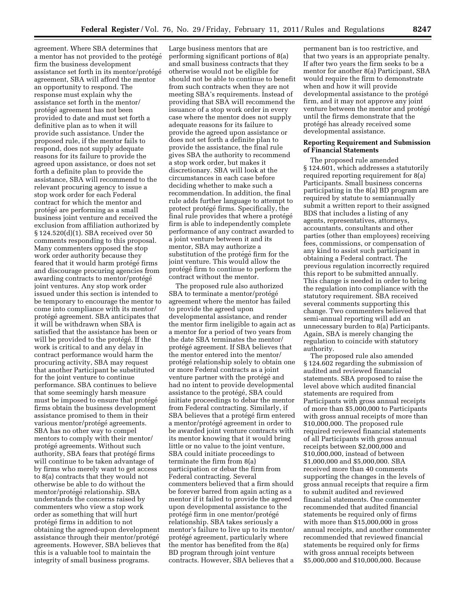agreement. Where SBA determines that a mentor has not provided to the protégé firm the business development assistance set forth in its mentor/protégé agreement, SBA will afford the mentor an opportunity to respond. The response must explain why the assistance set forth in the mentor/ protégé agreement has not been provided to date and must set forth a definitive plan as to when it will provide such assistance. Under the proposed rule, if the mentor fails to respond, does not supply adequate reasons for its failure to provide the agreed upon assistance, or does not set forth a definite plan to provide the assistance, SBA will recommend to the relevant procuring agency to issue a stop work order for each Federal contract for which the mentor and protégé are performing as a small business joint venture and received the exclusion from affiliation authorized by § 124.520(d)(1). SBA received over 50 comments responding to this proposal. Many commenters opposed the stop work order authority because they feared that it would harm protégé firms and discourage procuring agencies from awarding contracts to mentor/protégé joint ventures. Any stop work order issued under this section is intended to be temporary to encourage the mentor to come into compliance with its mentor/ protégé agreement. SBA anticipates that it will be withdrawn when SBA is satisfied that the assistance has been or will be provided to the protégé. If the work is critical to and any delay in contract performance would harm the procuring activity, SBA may request that another Participant be substituted for the joint venture to continue performance. SBA continues to believe that some seemingly harsh measure must be imposed to ensure that protégé firms obtain the business development assistance promised to them in their various mentor/protégé agreements. SBA has no other way to compel mentors to comply with their mentor/ protégé agreements. Without such authority, SBA fears that protégé firms will continue to be taken advantage of by firms who merely want to get access to 8(a) contracts that they would not otherwise be able to do without the mentor/protégé relationship. SBA understands the concerns raised by commenters who view a stop work order as something that will hurt protégé firms in addition to not obtaining the agreed-upon development assistance through their mentor/protégé agreements. However, SBA believes that this is a valuable tool to maintain the integrity of small business programs.

Large business mentors that are performing significant portions of 8(a) and small business contracts that they otherwise would not be eligible for should not be able to continue to benefit from such contracts when they are not meeting SBA's requirements. Instead of providing that SBA will recommend the issuance of a stop work order in every case where the mentor does not supply adequate reasons for its failure to provide the agreed upon assistance or does not set forth a definite plan to provide the assistance, the final rule gives SBA the authority to recommend a stop work order, but makes it discretionary. SBA will look at the circumstances in each case before deciding whether to make such a recommendation. In addition, the final rule adds further language to attempt to protect protégé firms. Specifically, the final rule provides that where a protégé firm is able to independently complete performance of any contract awarded to a joint venture between it and its mentor, SBA may authorize a substitution of the protégé firm for the joint venture. This would allow the protégé firm to continue to perform the contract without the mentor.

The proposed rule also authorized SBA to terminate a mentor/protégé agreement where the mentor has failed to provide the agreed upon developmental assistance, and render the mentor firm ineligible to again act as a mentor for a period of two years from the date SBA terminates the mentor/ protégé agreement. If SBA believes that the mentor entered into the mentor/ protégé relationship solely to obtain one or more Federal contracts as a joint venture partner with the protégé and had no intent to provide developmental assistance to the protégé, SBA could initiate proceedings to debar the mentor from Federal contracting. Similarly, if SBA believes that a protégé firm entered a mentor/protégé agreement in order to be awarded joint venture contracts with its mentor knowing that it would bring little or no value to the joint venture, SBA could initiate proceedings to terminate the firm from 8(a) participation or debar the firm from Federal contracting. Several commenters believed that a firm should be forever barred from again acting as a mentor if it failed to provide the agreed upon developmental assistance to the protégé firm in one mentor/protégé relationship. SBA takes seriously a mentor's failure to live up to its mentor/ protégé agreement, particularly where the mentor has benefited from the 8(a) BD program through joint venture contracts. However, SBA believes that a

permanent ban is too restrictive, and that two years is an appropriate penalty. If after two years the firm seeks to be a mentor for another 8(a) Participant, SBA would require the firm to demonstrate when and how it will provide developmental assistance to the protégé firm, and it may not approve any joint venture between the mentor and protégé until the firms demonstrate that the protégé has already received some developmental assistance.

#### **Reporting Requirement and Submission of Financial Statements**

The proposed rule amended § 124.601, which addresses a statutorily required reporting requirement for 8(a) Participants. Small business concerns participating in the 8(a) BD program are required by statute to semiannually submit a written report to their assigned BDS that includes a listing of any agents, representatives, attorneys, accountants, consultants and other parties (other than employees) receiving fees, commissions, or compensation of any kind to assist such participant in obtaining a Federal contract. The previous regulation incorrectly required this report to be submitted annually. This change is needed in order to bring the regulation into compliance with the statutory requirement. SBA received several comments supporting this change. Two commenters believed that semi-annual reporting will add an unnecessary burden to 8(a) Participants. Again, SBA is merely changing the regulation to coincide with statutory authority.

The proposed rule also amended § 124.602 regarding the submission of audited and reviewed financial statements. SBA proposed to raise the level above which audited financial statements are required from Participants with gross annual receipts of more than \$5,000,000 to Participants with gross annual receipts of more than \$10,000,000. The proposed rule required reviewed financial statements of all Participants with gross annual receipts between \$2,000,000 and \$10,000,000, instead of between \$1,000,000 and \$5,000,000. SBA received more than 40 comments supporting the changes in the levels of gross annual receipts that require a firm to submit audited and reviewed financial statements. One commenter recommended that audited financial statements be required only of firms with more than \$15,000,000 in gross annual receipts, and another commenter recommended that reviewed financial statements be required only for firms with gross annual receipts between \$5,000,000 and \$10,000,000. Because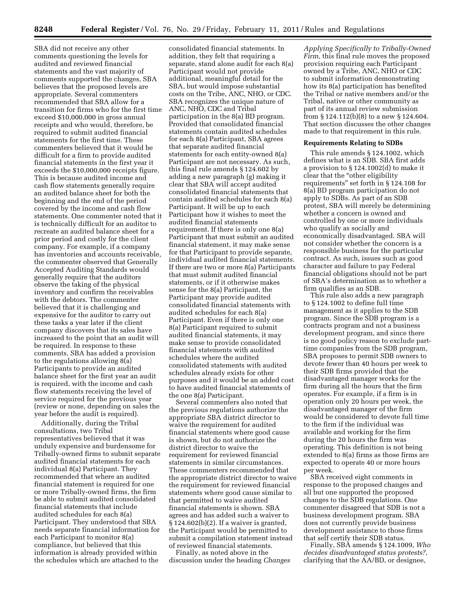SBA did not receive any other comments questioning the levels for audited and reviewed financial statements and the vast majority of comments supported the changes, SBA believes that the proposed levels are appropriate. Several commenters recommended that SBA allow for a transition for firms who for the first time exceed \$10,000,000 in gross annual receipts and who would, therefore, be required to submit audited financial statements for the first time. These commenters believed that it would be difficult for a firm to provide audited financial statements in the first year it exceeds the \$10,000,000 receipts figure. This is because audited income and cash flow statements generally require an audited balance sheet for both the beginning and the end of the period covered by the income and cash flow statements. One commenter noted that it is technically difficult for an auditor to recreate an audited balance sheet for a prior period and costly for the client company. For example, if a company has inventories and accounts receivable, the commenter observed that Generally Accepted Auditing Standards would generally require that the auditors observe the taking of the physical inventory and confirm the receivables with the debtors. The commenter believed that it is challenging and expensive for the auditor to carry out these tasks a year later if the client company discovers that its sales have increased to the point that an audit will be required. In response to these comments, SBA has added a provision to the regulations allowing 8(a) Participants to provide an audited balance sheet for the first year an audit is required, with the income and cash flow statements receiving the level of service required for the previous year (review or none, depending on sales the year before the audit is required).

Additionally, during the Tribal consultations, two Tribal representatives believed that it was unduly expensive and burdensome for Tribally-owned firms to submit separate audited financial statements for each individual 8(a) Participant. They recommended that where an audited financial statement is required for one or more Tribally-owned firms, the firm be able to submit audited consolidated financial statements that include audited schedules for each 8(a) Participant. They understood that SBA needs separate financial information for each Participant to monitor 8(a) compliance, but believed that this information is already provided within the schedules which are attached to the

consolidated financial statements. In addition, they felt that requiring a separate, stand alone audit for each 8(a) Participant would not provide additional, meaningful detail for the SBA, but would impose substantial costs on the Tribe, ANC, NHO, or CDC. SBA recognizes the unique nature of ANC, NHO, CDC and Tribal participation in the 8(a) BD program. Provided that consolidated financial statements contain audited schedules for each 8(a) Participant, SBA agrees that separate audited financial statements for each entity-owned 8(a) Participant are not necessary. As such, this final rule amends § 124.602 by adding a new paragraph (g) making it clear that SBA will accept audited consolidated financial statements that contain audited schedules for each 8(a) Participant. It will be up to each Participant how it wishes to meet the audited financial statements requirement. If there is only one 8(a) Participant that must submit an audited financial statement, it may make sense for that Participant to provide separate, individual audited financial statements. If there are two or more 8(a) Participants that must submit audited financial statements, or if it otherwise makes sense for the 8(a) Participant, the Participant may provide audited consolidated financial statements with audited schedules for each 8(a) Participant. Even if there is only one 8(a) Participant required to submit audited financial statements, it may make sense to provide consolidated financial statements with audited schedules where the audited consolidated statements with audited schedules already exists for other purposes and it would be an added cost to have audited financial statements of the one 8(a) Participant.

Several commenters also noted that the previous regulations authorize the appropriate SBA district director to waive the requirement for audited financial statements where good cause is shown, but do not authorize the district director to waive the requirement for reviewed financial statements in similar circumstances. These commenters recommended that the appropriate district director to waive the requirement for reviewed financial statements where good cause similar to that permitted to waive audited financial statements is shown. SBA agrees and has added such a waiver to § 124.602(b)(2). If a waiver is granted, the Participant would be permitted to submit a compilation statement instead of reviewed financial statements.

Finally, as noted above in the discussion under the heading *Changes* 

*Applying Specifically to Tribally-Owned Firm,* this final rule moves the proposed provision requiring each Participant owned by a Tribe, ANC, NHO or CDC to submit information demonstrating how its 8(a) participation has benefited the Tribal or native members and/or the Tribal, native or other community as part of its annual review submission from § 124.112(b)(8) to a new § 124.604. That section discusses the other changes made to that requirement in this rule.

#### **Requirements Relating to SDBs**

This rule amends § 124.1002, which defines what is an SDB. SBA first adds a provision to § 124.1002(d) to make it clear that the ''other eligibility requirements'' set forth in § 124.108 for 8(a) BD program participation do not apply to SDBs. As part of an SDB protest, SBA will merely be determining whether a concern is owned and controlled by one or more individuals who qualify as socially and economically disadvantaged. SBA will not consider whether the concern is a responsible business for the particular contract. As such, issues such as good character and failure to pay Federal financial obligations should not be part of SBA's determination as to whether a firm qualifies as an SDB.

This rule also adds a new paragraph to § 124.1002 to define full time management as it applies to the SDB program. Since the SDB program is a contracts program and not a business development program, and since there is no good policy reason to exclude parttime companies from the SDB program, SBA proposes to permit SDB owners to devote fewer than 40 hours per week to their SDB firms provided that the disadvantaged manager works for the firm during all the hours that the firm operates. For example, if a firm is in operation only 20 hours per week, the disadvantaged manager of the firm would be considered to devote full time to the firm if the individual was available and working for the firm during the 20 hours the firm was operating. This definition is not being extended to 8(a) firms as those firms are expected to operate 40 or more hours per week.

SBA received eight comments in response to the proposed changes and all but one supported the proposed changes to the SDB regulations. One commenter disagreed that SDB is not a business development program. SBA does not currently provide business development assistance to those firms that self certify their SDB status.

Finally, SBA amends § 124.1009, *Who decides disadvantaged status protests?*, clarifying that the AA/BD, or designee,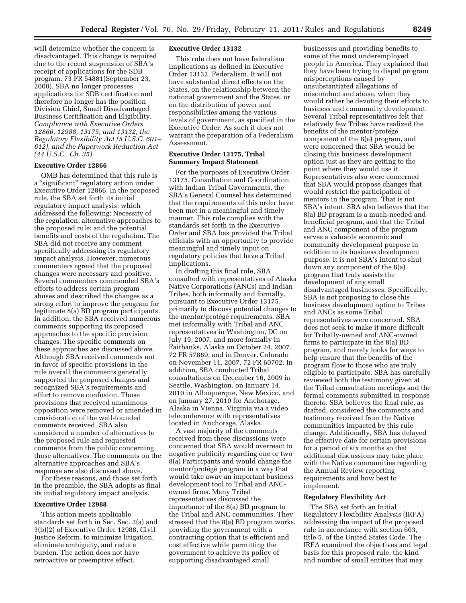will determine whether the concern is disadvantaged. This change is required due to the recent suspension of SBA's receipt of applications for the SDB program. 73 FR 54881(September 23, 2008). SBA no longer processes applications for SDB certification and therefore no longer has the position Division Chief, Small Disadvantaged Business Certification and Eligibility. *Compliance with Executive Orders 12866, 12988, 13175, and 13132, the Regulatory Flexibility Act (5 U.S.C. 601– 612), and the Paperwork Reduction Act (44 U.S.C., Ch. 35).* 

#### **Executive Order 12866**

OMB has determined that this rule is a ''significant'' regulatory action under Executive Order 12866. In the proposed rule, the SBA set forth its initial regulatory impact analysis, which addressed the following: Necessity of the regulation; alternative approaches to the proposed rule; and the potential benefits and costs of the regulation. The SBA did not receive any comment specifically addressing its regulatory impact analysis. However, numerous commenters agreed that the proposed changes were necessary and positive. Several commenters commended SBA's efforts to address certain program abuses and described the changes as a strong effort to improve the program for legitimate 8(a) BD program participants. In addition, the SBA received numerous comments supporting its proposed approaches to the specific provision changes. The specific comments on these approaches are discussed above. Although SBA received comments not in favor of specific provisions in the rule overall the comments generally supported the proposed changes and recognized SBA's requirements and effort to remove confusion. Those provisions that received unanimous opposition were removed or amended in consideration of the well-founded comments received. SBA also considered a number of alternatives to the proposed rule and requested comments from the public concerning those alternatives. The comments on the alternative approaches and SBA's response are also discussed above.

For these reasons, and those set forth in the preamble, the SBA adopts as final its initial regulatory impact analysis.

#### **Executive Order 12988**

This action meets applicable standards set forth in Sec. Sec. 3(a) and 3(b)(2) of Executive Order 12988, Civil Justice Reform, to minimize litigation, eliminate ambiguity, and reduce burden. The action does not have retroactive or preemptive effect.

#### **Executive Order 13132**

This rule does not have federalism implications as defined in Executive Order 13132, Federalism. It will not have substantial direct effects on the States, on the relationship between the national government and the States, or on the distribution of power and responsibilities among the various levels of government, as specified in the Executive Order. As such it does not warrant the preparation of a Federalism Assessment.

#### **Executive Order 13175, Tribal Summary Impact Statement**

For the purposes of Executive Order 13175, Consultation and Coordination with Indian Tribal Governments, the SBA's General Counsel has determined that the requirements of this order have been met in a meaningful and timely manner. This rule complies with the standards set forth in the Executive Order and SBA has provided the Tribal officials with an opportunity to provide meaningful and timely input on regulatory policies that have a Tribal implications.

In drafting this final rule, SBA consulted with representatives of Alaska Native Corporations (ANCs) and Indian Tribes, both informally and formally, pursuant to Executive Order 13175, primarily to discuss potential changes to the mentor/protégé requirements. SBA met informally with Tribal and ANC representatives in Washington, DC on July 19, 2007, and more formally in Fairbanks, Alaska on October 24, 2007, 72 FR 57889, and in Denver, Colorado on November 11, 2007, 72 FR 60702. In addition, SBA conducted Tribal consultations on December 16, 2009 in Seattle, Washington, on January 14, 2010 in Albuquerque, New Mexico, and on January 27, 2010 for Anchorage, Alaska in Vienna, Virginia via a video teleconference with representatives located in Anchorage, Alaska.

A vast majority of the comments received from these discussions were concerned that SBA would overreact to negative publicity regarding one or two 8(a) Participants and would change the mentor/protégé program in a way that would take away an important business development tool to Tribal and ANCowned firms. Many Tribal representatives discussed the importance of the 8(a) BD program to the Tribal and ANC communities. They stressed that the 8(a) BD program works, providing the government with a contracting option that is efficient and cost effective while permitting the government to achieve its policy of supporting disadvantaged small

businesses and providing benefits to some of the most underemployed people in America. They explained that they have been trying to dispel program misperceptions caused by unsubstantiated allegations of misconduct and abuse, when they would rather be devoting their efforts to business and community development. Several Tribal representatives felt that relatively few Tribes have realized the benefits of the mentor/protégé component of the 8(a) program, and were concerned that SBA would be closing this business development option just as they are getting to the point where they would use it. Representatives also were concerned that SBA would propose changes that would restrict the participation of mentors in the program. That is not SBA's intent. SBA also believes that the 8(a) BD program is a much-needed and beneficial program, and that the Tribal and ANC component of the program serves a valuable economic and community development purpose in addition to its business development purpose. It is not SBA's intent to shut down any component of the 8(a) program that truly assists the development of any small disadvantaged businesses. Specifically, SBA is not proposing to close this business development option to Tribes and ANCs as some Tribal representatives were concerned. SBA does not seek to make it more difficult for Tribally-owned and ANC-owned firms to participate in the 8(a) BD program, and merely looks for ways to help ensure that the benefits of the program flow to those who are truly eligible to participate. SBA has carefully reviewed both the testimony given at the Tribal consultation meetings and the formal comments submitted in response thereto. SBA believes the final rule, as drafted, considered the comments and testimony received from the Native communities impacted by this rule change. Additionally, SBA has delayed the effective date for certain provisions for a period of six months so that additional discussions may take place with the Native communities regarding the Annual Review reporting requirements and how best to implement.

#### **Regulatory Flexibility Act**

The SBA set forth an Initial Regulatory Flexibility Analysis (IRFA) addressing the impact of the proposed rule in accordance with section 603, title 5, of the United States Code. The IRFA examined the objectives and legal basis for this proposed rule; the kind and number of small entities that may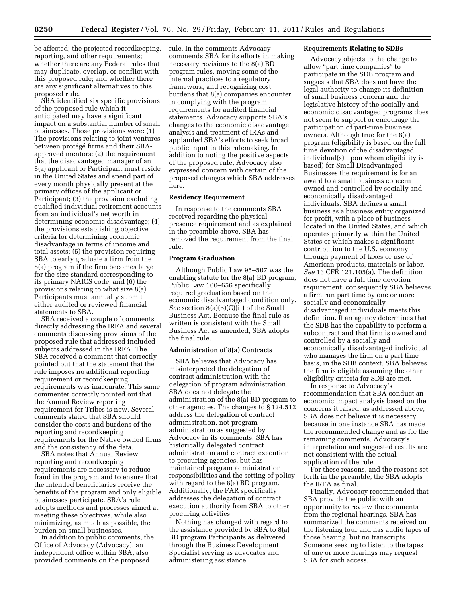be affected; the projected recordkeeping, reporting, and other requirements; whether there are any Federal rules that may duplicate, overlap, or conflict with this proposed rule; and whether there are any significant alternatives to this proposed rule.

SBA identified six specific provisions of the proposed rule which it anticipated may have a significant impact on a substantial number of small businesses. Those provisions were: (1) The provisions relating to joint ventures between protégé firms and their SBAapproved mentors; (2) the requirement that the disadvantaged manager of an 8(a) applicant or Participant must reside in the United States and spend part of every month physically present at the primary offices of the applicant or Participant; (3) the provision excluding qualified individual retirement accounts from an individual's net worth in determining economic disadvantage; (4) the provisions establishing objective criteria for determining economic disadvantage in terms of income and total assets; (5) the provision requiring SBA to early graduate a firm from the 8(a) program if the firm becomes large for the size standard corresponding to its primary NAICS code; and (6) the provisions relating to what size 8(a) Participants must annually submit either audited or reviewed financial statements to SBA.

SBA received a couple of comments directly addressing the IRFA and several comments discussing provisions of the proposed rule that addressed included subjects addressed in the IRFA. The SBA received a comment that correctly pointed out that the statement that the rule imposes no additional reporting requirement or recordkeeping requirements was inaccurate. This same commenter correctly pointed out that the Annual Review reporting requirement for Tribes is new. Several comments stated that SBA should consider the costs and burdens of the reporting and recordkeeping requirements for the Native owned firms and the consistency of the data.

SBA notes that Annual Review reporting and recordkeeping requirements are necessary to reduce fraud in the program and to ensure that the intended beneficiaries receive the benefits of the program and only eligible businesses participate. SBA's rule adopts methods and processes aimed at meeting these objectives, while also minimizing, as much as possible, the burden on small businesses.

In addition to public comments, the Office of Advocacy (Advocacy), an independent office within SBA, also provided comments on the proposed

rule. In the comments Advocacy commends SBA for its efforts in making necessary revisions to the 8(a) BD program rules, moving some of the internal practices to a regulatory framework, and recognizing cost burdens that 8(a) companies encounter in complying with the program requirements for audited financial statements. Advocacy supports SBA's changes to the economic disadvantage analysis and treatment of IRAs and applauded SBA's efforts to seek broad public input in this rulemaking. In addition to noting the positive aspects of the proposed rule, Advocacy also expressed concern with certain of the proposed changes which SBA addresses here.

#### **Residency Requirement**

In response to the comments SBA received regarding the physical presence requirement and as explained in the preamble above, SBA has removed the requirement from the final rule.

#### **Program Graduation**

Although Public Law 95–507 was the enabling statute for the 8(a) BD program, Public Law 100–656 specifically required graduation based on the economic disadvantaged condition only. *See* section 8(a)(6)(C)(ii) of the Small Business Act. Because the final rule as written is consistent with the Small Business Act as amended, SBA adopts the final rule.

#### **Administration of 8(a) Contracts**

SBA believes that Advocacy has misinterpreted the delegation of contract administration with the delegation of program administration. SBA does not delegate the administration of the 8(a) BD program to other agencies. The changes to § 124.512 address the delegation of contract administration, not program administration as suggested by Advocacy in its comments. SBA has historically delegated contract administration and contract execution to procuring agencies, but has maintained program administration responsibilities and the setting of policy with regard to the 8(a) BD program. Additionally, the FAR specifically addresses the delegation of contract execution authority from SBA to other procuring activities.

Nothing has changed with regard to the assistance provided by SBA to 8(a) BD program Participants as delivered through the Business Development Specialist serving as advocates and administering assistance.

#### **Requirements Relating to SDBs**

Advocacy objects to the change to allow ''part time companies'' to participate in the SDB program and suggests that SBA does not have the legal authority to change its definition of small business concern and the legislative history of the socially and economic disadvantaged programs does not seem to support or encourage the participation of part-time business owners. Although true for the 8(a) program (eligibility is based on the full time devotion of the disadvantaged individual(s) upon whom eligibility is based) for Small Disadvantaged Businesses the requirement is for an award to a small business concern owned and controlled by socially and economically disadvantaged individuals. SBA defines a small business as a business entity organized for profit, with a place of business located in the United States, and which operates primarily within the United States or which makes a significant contribution to the U.S. economy through payment of taxes or use of American products, materials or labor. *See* 13 CFR 121.105(a). The definition does not have a full time devotion requirement, consequently SBA believes a firm run part time by one or more socially and economically disadvantaged individuals meets this definition. If an agency determines that the SDB has the capability to perform a subcontract and that firm is owned and controlled by a socially and economically disadvantaged individual who manages the firm on a part time basis, in the SDB context, SBA believes the firm is eligible assuming the other eligibility criteria for SDB are met.

In response to Advocacy's recommendation that SBA conduct an economic impact analysis based on the concerns it raised, as addressed above, SBA does not believe it is necessary because in one instance SBA has made the recommended change and as for the remaining comments, Advocacy's interpretation and suggested results are not consistent with the actual application of the rule.

For these reasons, and the reasons set forth in the preamble, the SBA adopts the IRFA as final.

Finally, Advocacy recommended that SBA provide the public with an opportunity to review the comments from the regional hearings. SBA has summarized the comments received on the listening tour and has audio tapes of those hearing, but no transcripts. Someone seeking to listen to the tapes of one or more hearings may request SBA for such access.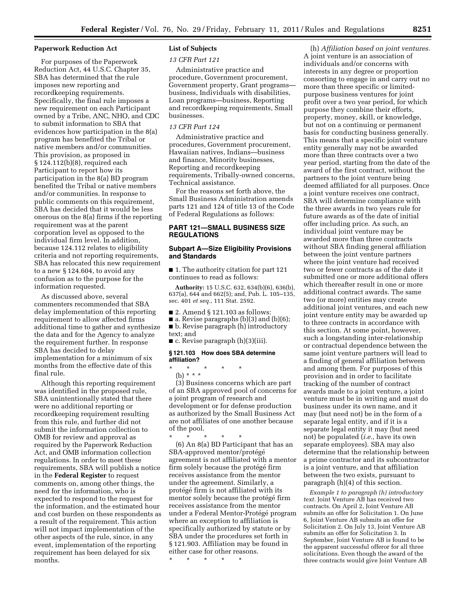#### **Paperwork Reduction Act**

For purposes of the Paperwork Reduction Act, 44 U.S.C. Chapter 35, SBA has determined that the rule imposes new reporting and recordkeeping requirements. Specifically, the final rule imposes a new requirement on each Participant owned by a Tribe, ANC, NHO, and CDC to submit information to SBA that evidences how participation in the 8(a) program has benefited the Tribal or native members and/or communities. This provision, as proposed in § 124.112(b)(8), required each Participant to report how its participation in the 8(a) BD program benefited the Tribal or native members and/or communities. In response to public comments on this requirement, SBA has decided that it would be less onerous on the 8(a) firms if the reporting requirement was at the parent corporation level as opposed to the individual firm level. In addition, because 124.112 relates to eligibility criteria and not reporting requirements, SBA has relocated this new requirement to a new § 124.604, to avoid any confusion as to the purpose for the information requested.

As discussed above, several commenters recommended that SBA delay implementation of this reporting requirement to allow affected firms additional time to gather and synthesize the data and for the Agency to analyze the requirement further. In response SBA has decided to delay implementation for a minimum of six months from the effective date of this final rule.

Although this reporting requirement was identified in the proposed rule, SBA unintentionally stated that there were no additional reporting or recordkeeping requirement resulting from this rule, and further did not submit the information collection to OMB for review and approval as required by the Paperwork Reduction Act, and OMB information collection regulations. In order to meet these requirements, SBA will publish a notice in the **Federal Register** to request comments on, among other things, the need for the information, who is expected to respond to the request for the information, and the estimated hour and cost burden on these respondents as a result of the requirement. This action will not impact implementation of the other aspects of the rule, since, in any event, implementation of the reporting requirement has been delayed for six months.

#### **List of Subjects**

*13 CFR Part 121* 

Administrative practice and procedure, Government procurement, Government property, Grant programs business, Individuals with disabilities, Loan programs—business, Reporting and recordkeeping requirements, Small businesses.

#### *13 CFR Part 124*

Administrative practice and procedures, Government procurement, Hawaiian natives, Indians—business and finance, Minority businesses, Reporting and recordkeeping requirements, Tribally-owned concerns, Technical assistance.

For the reasons set forth above, the Small Business Administration amends parts 121 and 124 of title 13 of the Code of Federal Regulations as follows:

#### **PART 121—SMALL BUSINESS SIZE REGULATIONS**

#### **Subpart A—Size Eligibility Provisions and Standards**

■ 1. The authority citation for part 121 continues to read as follows:

**Authority:** 15 U.S.C. 632, 634(b)(6), 636(b), 637(a), 644 and 662(5); and, Pub. L. 105–135, sec. 401 *et seq.,* 111 Stat. 2592.

■ 2. Amend § 121.103 as follows:

- $\blacksquare$  a. Revise paragraphs (b)(3) and (b)(6);
- b. Revise paragraph (h) introductory
- text; and

■ c. Revise paragraph (h)(3)(iii).

#### **§ 121.103 How does SBA determine affiliation?**

\* \* \* \* \*

(b) \* \* \*

(3) Business concerns which are part of an SBA approved pool of concerns for a joint program of research and development or for defense production as authorized by the Small Business Act are not affiliates of one another because of the pool.

\* \* \* \* \* (6) An 8(a) BD Participant that has an SBA-approved mentor/protégé agreement is not affiliated with a mentor firm solely because the protégé firm receives assistance from the mentor under the agreement. Similarly, a protégé firm is not affiliated with its mentor solely because the protégé firm receives assistance from the mentor under a Federal Mentor-Protégé program where an exception to affiliation is specifically authorized by statute or by SBA under the procedures set forth in § 121.903. Affiliation may be found in either case for other reasons.

\* \* \* \* \*

(h) *Affiliation based on joint ventures.*  A joint venture is an association of individuals and/or concerns with interests in any degree or proportion consorting to engage in and carry out no more than three specific or limitedpurpose business ventures for joint profit over a two year period, for which purpose they combine their efforts, property, money, skill, or knowledge, but not on a continuing or permanent basis for conducting business generally. This means that a specific joint venture entity generally may not be awarded more than three contracts over a two year period, starting from the date of the award of the first contract, without the partners to the joint venture being deemed affiliated for all purposes. Once a joint venture receives one contract, SBA will determine compliance with the three awards in two years rule for future awards as of the date of initial offer including price. As such, an individual joint venture may be awarded more than three contracts without SBA finding general affiliation between the joint venture partners where the joint venture had received two or fewer contracts as of the date it submitted one or more additional offers which thereafter result in one or more additional contract awards. The same two (or more) entities may create additional joint ventures, and each new joint venture entity may be awarded up to three contracts in accordance with this section. At some point, however, such a longstanding inter-relationship or contractual dependence between the same joint venture partners will lead to a finding of general affiliation between and among them. For purposes of this provision and in order to facilitate tracking of the number of contract awards made to a joint venture, a joint venture must be in writing and must do business under its own name, and it may (but need not) be in the form of a separate legal entity, and if it is a separate legal entity it may (but need not) be populated (*i.e.,* have its own separate employees). SBA may also determine that the relationship between a prime contractor and its subcontractor is a joint venture, and that affiliation between the two exists, pursuant to paragraph (h)(4) of this section.

*Example 1 to paragraph (h) introductory text.* Joint Venture AB has received two contracts. On April 2, Joint Venture AB submits an offer for Solicitation 1. On June 6, Joint Venture AB submits an offer for Solicitation 2. On July 13, Joint Venture AB submits an offer for Solicitation 3. In September, Joint Venture AB is found to be the apparent successful offeror for all three solicitations. Even though the award of the three contracts would give Joint Venture AB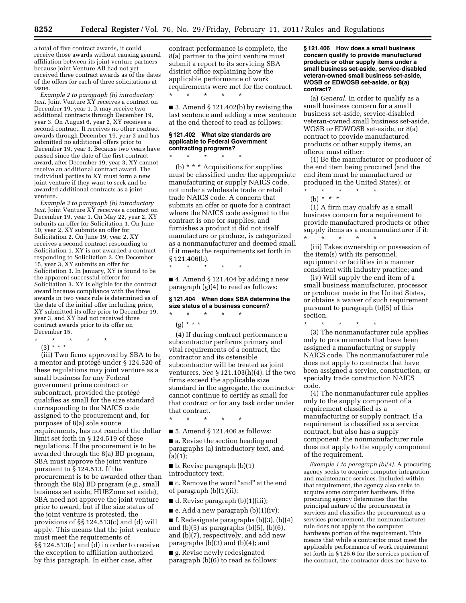a total of five contract awards, it could receive those awards without causing general affiliation between its joint venture partners because Joint Venture AB had not yet received three contract awards as of the dates of the offers for each of three solicitations at issue.

*Example 2 to paragraph (h) introductory text.* Joint Venture XY receives a contract on December 19, year 1. It may receive two additional contracts through December 19, year 3. On August 6, year 2, XY receives a second contract. It receives no other contract awards through December 19, year 3 and has submitted no additional offers prior to December 19, year 3. Because two years have passed since the date of the first contract award, after December 19, year 3, XY cannot receive an additional contract award. The individual parties to XY must form a new joint venture if they want to seek and be awarded additional contracts as a joint venture.

*Example 3 to paragraph (h) introductory text.* Joint Venture XY receives a contract on December 19, year 1. On May 22, year 2, XY submits an offer for Solicitation 1. On June 10, year 2, XY submits an offer for Solicitation 2. On June 19, year 2, XY receives a second contract responding to Solicitation 1. XY is not awarded a contract responding to Solicitation 2. On December 15, year 3, XY submits an offer for Solicitation 3. In January, XY is found to be the apparent successful offeror for Solicitation 3. XY is eligible for the contract award because compliance with the three awards in two years rule is determined as of the date of the initial offer including price, XY submitted its offer prior to December 19, year 3, and XY had not received three contract awards prior to its offer on December 15.

- \* \* \* \* \*
	- (3) \* \* \*

(iii) Two firms approved by SBA to be a mentor and protégé under § 124.520 of these regulations may joint venture as a small business for any Federal government prime contract or subcontract, provided the protégé qualifies as small for the size standard corresponding to the NAICS code assigned to the procurement and, for purposes of 8(a) sole source requirements, has not reached the dollar limit set forth in § 124.519 of these regulations. If the procurement is to be awarded through the 8(a) BD program, SBA must approve the joint venture pursuant to § 124.513. If the procurement is to be awarded other than through the 8(a) BD program (*e.g.,* small business set aside, HUBZone set aside), SBA need not approve the joint venture prior to award, but if the size status of the joint venture is protested, the provisions of §§ 124.513(c) and (d) will apply. This means that the joint venture must meet the requirements of §§ 124.513(c) and (d) in order to receive the exception to affiliation authorized by this paragraph. In either case, after

contract performance is complete, the 8(a) partner to the joint venture must submit a report to its servicing SBA district office explaining how the applicable performance of work requirements were met for the contract.

■ 3. Amend § 121.402(b) by revising the last sentence and adding a new sentence at the end thereof to read as follows:

#### **§ 121.402 What size standards are applicable to Federal Government contracting programs?**

\* \* \* \* \*

\* \* \* \* \*

\* \* \* \* \*

(b) \* \* \* Acquisitions for supplies must be classified under the appropriate manufacturing or supply NAICS code, not under a wholesale trade or retail trade NAICS code. A concern that submits an offer or quote for a contract where the NAICS code assigned to the contract is one for supplies, and furnishes a product it did not itself manufacture or produce, is categorized as a nonmanufacturer and deemed small if it meets the requirements set forth in § 121.406(b).

 $\blacksquare$  4. Amend § 121.404 by adding a new paragraph (g)(4) to read as follows:

#### **§ 121.404 When does SBA determine the size status of a business concern?**  \* \* \* \* \*

(g) \* \* \*

(4) If during contract performance a subcontractor performs primary and vital requirements of a contract, the contractor and its ostensible subcontractor will be treated as joint venturers. *See* § 121.103(h)(4). If the two firms exceed the applicable size standard in the aggregate, the contractor cannot continue to certify as small for that contract or for any task order under that contract.

\* \* \* \* \*

■ 5. Amend § 121.406 as follows:

■ a. Revise the section heading and paragraphs (a) introductory text, and  $(a)(1);$ 

 $\blacksquare$  b. Revise paragraph (b)(1) introductory text;

■ c. Remove the word "and" at the end of paragraph (b)(1)(ii);

■ d. Revise paragraph (b)(1)(iii);

 $\blacksquare$  e. Add a new paragraph (b)(1)(iv);  $\blacksquare$  f. Redesignate paragraphs (b)(3), (b)(4) and  $(b)(5)$  as paragraphs  $(b)(5)$ ,  $(b)(6)$ , and (b)(7), respectively, and add new

paragraphs (b)(3) and (b)(4); and ■ g. Revise newly redesignated paragraph (b)(6) to read as follows:

**§ 121.406 How does a small business concern qualify to provide manufactured products or other supply items under a small business set-aside, service-disabled veteran-owned small business set-aside, WOSB or EDWOSB set-aside, or 8(a) contract?** 

(a) *General.* In order to qualify as a small business concern for a small business set-aside, service-disabled veteran-owned small business set-aside, WOSB or EDWOSB set-aside, or 8(a) contract to provide manufactured products or other supply items, an offeror must either:

(1) Be the manufacturer or producer of the end item being procured (and the end item must be manufactured or produced in the United States); or

\* \* \* \* \* (b) *\* \* \** 

(1) A firm may qualify as a small business concern for a requirement to provide manufactured products or other supply items as a nonmanufacturer if it: \* \* \* \* \*

(iii) Takes ownership or possession of the item(s) with its personnel, equipment or facilities in a manner consistent with industry practice; and

(iv) Will supply the end item of a small business manufacturer, processor or producer made in the United States, or obtains a waiver of such requirement pursuant to paragraph (b)(5) of this section.

\* \* \* \* \* (3) The nonmanufacturer rule applies only to procurements that have been assigned a manufacturing or supply NAICS code. The nonmanufacturer rule does not apply to contracts that have been assigned a service, construction, or specialty trade construction NAICS code.

(4) The nonmanufacturer rule applies only to the supply component of a requirement classified as a manufacturing or supply contract. If a requirement is classified as a service contract, but also has a supply component, the nonmanufacturer rule does not apply to the supply component of the requirement.

*Example 1 to paragraph (b)(4).* A procuring agency seeks to acquire computer integration and maintenance services. Included within that requirement, the agency also seeks to acquire some computer hardware. If the procuring agency determines that the principal nature of the procurement is services and classifies the procurement as a services procurement, the nonmanufacturer rule does not apply to the computer hardware portion of the requirement. This means that while a contractor must meet the applicable performance of work requirement set forth in § 125.6 for the services portion of the contract, the contractor does not have to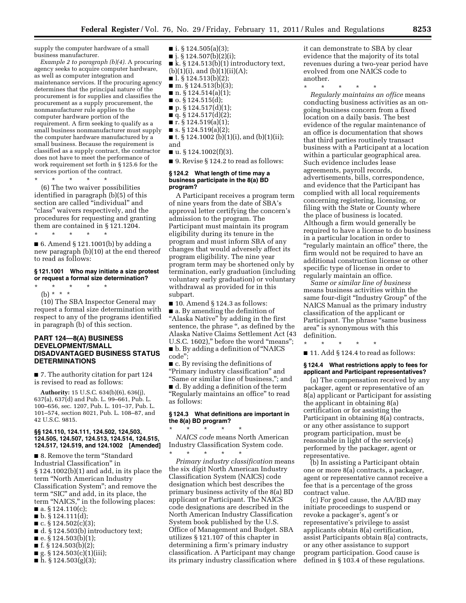supply the computer hardware of a small business manufacturer.

*Example 2 to paragraph (b)(4).* A procuring agency seeks to acquire computer hardware, as well as computer integration and maintenance services. If the procuring agency determines that the principal nature of the procurement is for supplies and classifies the procurement as a supply procurement, the nonmanufacturer rule applies to the computer hardware portion of the requirement. A firm seeking to qualify as a small business nonmanufacturer must supply the computer hardware manufactured by a small business. Because the requirement is classified as a supply contract, the contractor does not have to meet the performance of work requirement set forth in § 125.6 for the services portion of the contract.

\* \* \* \* \*

(6) The two waiver possibilities identified in paragraph (b)(5) of this section are called "individual" and ''class'' waivers respectively, and the procedures for requesting and granting them are contained in § 121.1204. \* \* \* \* \*

■ 6. Amend § 121.1001(b) by adding a new paragraph (b)(10) at the end thereof to read as follows:

#### **§ 121.1001 Who may initiate a size protest or request a formal size determination?**

\* \* \* \* \*

(b) \* \* \*

(10) The SBA Inspector General may request a formal size determination with respect to any of the programs identified in paragraph (b) of this section.

#### **PART 124—8(A) BUSINESS DEVELOPMENT/SMALL DISADVANTAGED BUSINESS STATUS DETERMINATIONS**

■ 7. The authority citation for part 124 is revised to read as follows:

**Authority:** 15 U.S.C. 634(b)(6), 636(j), 637(a), 637(d) and Pub. L. 99–661, Pub. L. 100–656, sec. 1207, Pub. L. 101–37, Pub. L. 101–574, section 8021, Pub. L. 108–87, and 42 U.S.C. 9815.

#### **§§ 124.110, 124.111, 124.502, 124,503, 124.505, 124.507, 124.513, 124.514, 124.515, 124.517, 124.519, and 124.1002 [Amended]**

■ 8. Remove the term "Standard Industrial Classification'' in § 124.1002(b)(1) and add, in its place the term ''North American Industry Classification System''; and remove the term "SIC" and add, in its place, the term "NAICS," in the following places:  $\blacksquare$  a. § 124.110(c);

- $\blacksquare$  b. § 124.111(d);
- c. § 124.502(c)(3);
- d. § 124.503(b) introductory text;
- $\blacksquare$  e. § 124.503(b)(1);
- f. § 124.503(b)(2);
- $\blacksquare$  g. § 124.503(c)(1)(iii);
- $\bar{h}$ . § 124.503(g)(3);
- $\blacksquare$  i. § 124.505(a)(3);  $\blacksquare$  j. § 124.507(b)(2)(i); ■ k. § 124.513(b)(1) introductory text,  $(b)(1)(i)$ , and  $(b)(1)(ii)(A)$ ;  $\blacksquare$  l. § 124.513(b)(2);  $\blacksquare$  m. § 124.513(b)(3);  $\blacksquare$  n. § 124.514(a)(1);  $\blacksquare$  o. § 124.515(d);  $\blacksquare$  p. § 124.517(d)(1);  $\blacksquare$  q. § 124.517(d)(2);  $\blacksquare$  r. § 124.519(a)(1);  $\blacksquare$  s. § 124.519(a)(2);
- t. § 124.1002 (b)(1)(i), and (b)(1)(ii); and
- $\blacksquare$  u. § 124.1002(f)(3).
- 9. Revise § 124.2 to read as follows:

#### **§ 124.2 What length of time may a business participate in the 8(a) BD program?**

A Participant receives a program term of nine years from the date of SBA's approval letter certifying the concern's admission to the program. The Participant must maintain its program eligibility during its tenure in the program and must inform SBA of any changes that would adversely affect its program eligibility. The nine year program term may be shortened only by termination, early graduation (including voluntary early graduation) or voluntary withdrawal as provided for in this subpart.

 $\blacksquare$  10. Amend § 124.3 as follows: ■ a. By amending the definition of "Alaska Native" by adding in the first sentence, the phrase ", as defined by the Alaska Native Claims Settlement Act (43 U.S.C. 1602)," before the word "means"; ■ b. By adding a definition of ''NAICS code'';

■ c. By revising the definitions of ''Primary industry classification'' and ''Same or similar line of business,''; and ■ d. By adding a definition of the term "Regularly maintains an office" to read

as follows: **§ 124.3 What definitions are important in** 

## **the 8(a) BD program?**

\* \* \* \* \* *NAICS code* means North American Industry Classification System code. \* \* \* \* \*

*Primary industry classification* means the six digit North American Industry Classification System (NAICS) code designation which best describes the primary business activity of the 8(a) BD applicant or Participant. The NAICS code designations are described in the North American Industry Classification System book published by the U.S. Office of Management and Budget. SBA utilizes § 121.107 of this chapter in determining a firm's primary industry classification. A Participant may change its primary industry classification where it can demonstrate to SBA by clear evidence that the majority of its total revenues during a two-year period have evolved from one NAICS code to another.

\* \* \* \* \* *Regularly maintains an office* means conducting business activities as an ongoing business concern from a fixed location on a daily basis. The best evidence of the regular maintenance of an office is documentation that shows that third parties routinely transact business with a Participant at a location within a particular geographical area. Such evidence includes lease agreements, payroll records, advertisements, bills, correspondence, and evidence that the Participant has complied with all local requirements concerning registering, licensing, or filing with the State or County where the place of business is located. Although a firm would generally be required to have a license to do business in a particular location in order to ''regularly maintain an office'' there, the firm would not be required to have an additional construction license or other specific type of license in order to regularly maintain an office.

*Same or similar line of business*  means business activities within the same four-digit ''Industry Group'' of the NAICS Manual as the primary industry classification of the applicant or Participant. The phrase "same business" area'' is synonymous with this definition.

\* \* \* \* \*

 $\blacksquare$  11. Add § 124.4 to read as follows:

#### **§ 124.4 What restrictions apply to fees for applicant and Participant representatives?**

(a) The compensation received by any packager, agent or representative of an 8(a) applicant or Participant for assisting the applicant in obtaining 8(a) certification or for assisting the Participant in obtaining 8(a) contracts, or any other assistance to support program participation, must be reasonable in light of the service(s) performed by the packager, agent or representative.

(b) In assisting a Participant obtain one or more 8(a) contracts, a packager, agent or representative cannot receive a fee that is a percentage of the gross contract value.

(c) For good cause, the AA/BD may initiate proceedings to suspend or revoke a packager's, agent's or representative's privilege to assist applicants obtain 8(a) certification, assist Participants obtain 8(a) contracts, or any other assistance to support program participation. Good cause is defined in § 103.4 of these regulations.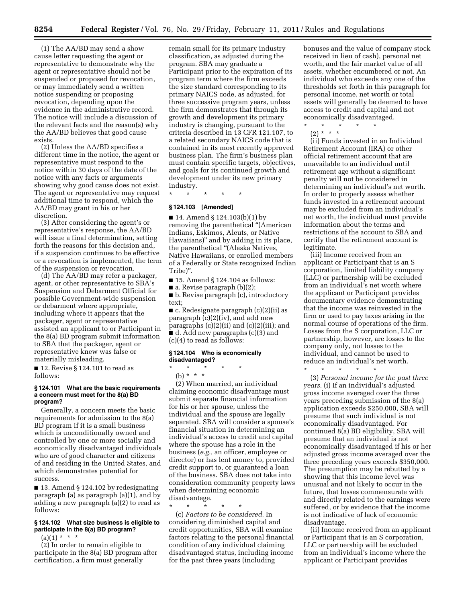(1) The AA/BD may send a show cause letter requesting the agent or representative to demonstrate why the agent or representative should not be suspended or proposed for revocation, or may immediately send a written notice suspending or proposing revocation, depending upon the evidence in the administrative record. The notice will include a discussion of the relevant facts and the reason(s) why the AA/BD believes that good cause exists.

(2) Unless the AA/BD specifies a different time in the notice, the agent or representative must respond to the notice within 30 days of the date of the notice with any facts or arguments showing why good cause does not exist. The agent or representative may request additional time to respond, which the AA/BD may grant in his or her discretion.

(3) After considering the agent's or representative's response, the AA/BD will issue a final determination, setting forth the reasons for this decision and, if a suspension continues to be effective or a revocation is implemented, the term of the suspension or revocation.

(d) The AA/BD may refer a packager, agent, or other representative to SBA's Suspension and Debarment Official for possible Government-wide suspension or debarment where appropriate, including where it appears that the packager, agent or representative assisted an applicant to or Participant in the 8(a) BD program submit information to SBA that the packager, agent or representative knew was false or materially misleading.

■ 12. Revise § 124.101 to read as follows:

#### **§ 124.101 What are the basic requirements a concern must meet for the 8(a) BD program?**

Generally, a concern meets the basic requirements for admission to the 8(a) BD program if it is a small business which is unconditionally owned and controlled by one or more socially and economically disadvantaged individuals who are of good character and citizens of and residing in the United States, and which demonstrates potential for success.

■ 13. Amend § 124.102 by redesignating paragraph (a) as paragraph (a)(1), and by adding a new paragraph (a)(2) to read as follows:

#### **§ 124.102 What size business is eligible to participate in the 8(a) BD program?**

 $(a)(1) * * * *$ 

(2) In order to remain eligible to participate in the 8(a) BD program after certification, a firm must generally

remain small for its primary industry classification, as adjusted during the program. SBA may graduate a Participant prior to the expiration of its program term where the firm exceeds the size standard corresponding to its primary NAICS code, as adjusted, for three successive program years, unless the firm demonstrates that through its growth and development its primary industry is changing, pursuant to the criteria described in 13 CFR 121.107, to a related secondary NAICS code that is contained in its most recently approved business plan. The firm's business plan must contain specific targets, objectives, and goals for its continued growth and development under its new primary industry.

\* \* \* \* \*

#### **§ 124.103 [Amended]**

■ 14. Amend § 124.103(b)(1) by removing the parenthetical ''(American Indians, Eskimos, Aleuts, or Native Hawaiians)'' and by adding in its place, the parenthetical ''(Alaska Natives, Native Hawaiians, or enrolled members of a Federally or State recognized Indian Tribe)''.

■ 15. Amend § 124.104 as follows:

 $\blacksquare$  a. Revise paragraph (b)(2);

■ b. Revise paragraph (c), introductory text;

■ c. Redesignate paragraph (c)(2)(ii) as paragraph (c)(2)(iv), and add new paragraphs (c)(2)(ii) and (c)(2)(iii); and ■ d. Add new paragraphs (c)(3) and (c)(4) to read as follows:

#### **§ 124.104 Who is economically disadvantaged?**

\* \* \* \* \*

(b) \* \* \*

(2) When married, an individual claiming economic disadvantage must submit separate financial information for his or her spouse, unless the individual and the spouse are legally separated. SBA will consider a spouse's financial situation in determining an individual's access to credit and capital where the spouse has a role in the business (*e.g.,* an officer, employee or director) or has lent money to, provided credit support to, or guaranteed a loan of the business. SBA does not take into consideration community property laws when determining economic disadvantage.

\* \* \* \* \*

(c) *Factors to be considered.* In considering diminished capital and credit opportunities, SBA will examine factors relating to the personal financial condition of any individual claiming disadvantaged status, including income for the past three years (including

bonuses and the value of company stock received in lieu of cash), personal net worth, and the fair market value of all assets, whether encumbered or not. An individual who exceeds any one of the thresholds set forth in this paragraph for personal income, net worth or total assets will generally be deemed to have access to credit and capital and not economically disadvantaged.<br>\* \* \* \* \* \* \* \*

\* \* \* \* \*

(2) \* \* \*

(ii) Funds invested in an Individual Retirement Account (IRA) or other official retirement account that are unavailable to an individual until retirement age without a significant penalty will not be considered in determining an individual's net worth. In order to properly assess whether funds invested in a retirement account may be excluded from an individual's net worth, the individual must provide information about the terms and restrictions of the account to SBA and certify that the retirement account is legitimate.

(iii) Income received from an applicant or Participant that is an S corporation, limited liability company (LLC) or partnership will be excluded from an individual's net worth where the applicant or Participant provides documentary evidence demonstrating that the income was reinvested in the firm or used to pay taxes arising in the normal course of operations of the firm. Losses from the S corporation, LLC or partnership, however, are losses to the company only, not losses to the individual, and cannot be used to reduce an individual's net worth.

\* \* \* \* \*

(3) *Personal income for the past three years.* (i) If an individual's adjusted gross income averaged over the three years preceding submission of the 8(a) application exceeds \$250,000, SBA will presume that such individual is not economically disadvantaged. For continued 8(a) BD eligibility, SBA will presume that an individual is not economically disadvantaged if his or her adjusted gross income averaged over the three preceding years exceeds \$350,000. The presumption may be rebutted by a showing that this income level was unusual and not likely to occur in the future, that losses commensurate with and directly related to the earnings were suffered, or by evidence that the income is not indicative of lack of economic disadvantage.

(ii) Income received from an applicant or Participant that is an S corporation, LLC or partnership will be excluded from an individual's income where the applicant or Participant provides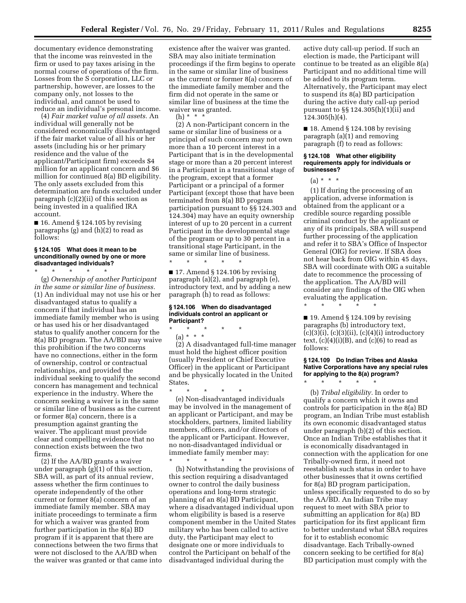documentary evidence demonstrating that the income was reinvested in the firm or used to pay taxes arising in the normal course of operations of the firm. Losses from the S corporation, LLC or partnership, however, are losses to the company only, not losses to the individual, and cannot be used to reduce an individual's personal income.

(4) *Fair market value of all assets.* An individual will generally not be considered economically disadvantaged if the fair market value of all his or her assets (including his or her primary residence and the value of the applicant/Participant firm) exceeds \$4 million for an applicant concern and \$6 million for continued 8(a) BD eligibility. The only assets excluded from this determination are funds excluded under paragraph (c)(2)(ii) of this section as being invested in a qualified IRA account.

■ 16. Amend § 124.105 by revising paragraphs (g) and (h)(2) to read as follows:

#### **§ 124.105 What does it mean to be unconditionally owned by one or more disadvantaged individuals?**

\* \* \* \* \* (g) *Ownership of another Participant in the same or similar line of business.*  (1) An individual may not use his or her disadvantaged status to qualify a concern if that individual has an immediate family member who is using or has used his or her disadvantaged status to qualify another concern for the 8(a) BD program. The AA/BD may waive this prohibition if the two concerns have no connections, either in the form of ownership, control or contractual relationships, and provided the individual seeking to qualify the second concern has management and technical experience in the industry. Where the concern seeking a waiver is in the same or similar line of business as the current or former 8(a) concern, there is a presumption against granting the waiver. The applicant must provide clear and compelling evidence that no connection exists between the two firms.

(2) If the AA/BD grants a waiver under paragraph (g)(1) of this section, SBA will, as part of its annual review, assess whether the firm continues to operate independently of the other current or former 8(a) concern of an immediate family member. SBA may initiate proceedings to terminate a firm for which a waiver was granted from further participation in the 8(a) BD program if it is apparent that there are connections between the two firms that were not disclosed to the AA/BD when the waiver was granted or that came into

existence after the waiver was granted. SBA may also initiate termination proceedings if the firm begins to operate in the same or similar line of business as the current or former 8(a) concern of the immediate family member and the firm did not operate in the same or similar line of business at the time the waiver was granted.

 $(h) * * * *$ 

(2) A non-Participant concern in the same or similar line of business or a principal of such concern may not own more than a 10 percent interest in a Participant that is in the developmental stage or more than a 20 percent interest in a Participant in a transitional stage of the program, except that a former Participant or a principal of a former Participant (except those that have been terminated from 8(a) BD program participation pursuant to §§ 124.303 and 124.304) may have an equity ownership interest of up to 20 percent in a current Participant in the developmental stage of the program or up to 30 percent in a transitional stage Participant, in the same or similar line of business.

 $\blacksquare$  17. Amend § 124.106 by revising paragraph (a)(2), and paragraph (e), introductory text, and by adding a new paragraph (h) to read as follows:

#### **§ 124.106 When do disadvantaged individuals control an applicant or Participant?**

\* \* \* \* \*

\* \* \* \* \*

(a) \* \* \* (2) A disadvantaged full-time manager must hold the highest officer position (usually President or Chief Executive Officer) in the applicant or Participant and be physically located in the United States.

\* \* \* \* \* (e) Non-disadvantaged individuals may be involved in the management of an applicant or Participant, and may be stockholders, partners, limited liability members, officers, and/or directors of the applicant or Participant. However, no non-disadvantaged individual or immediate family member may:

\* \* \* \* \* (h) Notwithstanding the provisions of this section requiring a disadvantaged owner to control the daily business operations and long-term strategic planning of an 8(a) BD Participant, where a disadvantaged individual upon whom eligibility is based is a reserve component member in the United States military who has been called to active duty, the Participant may elect to designate one or more individuals to control the Participant on behalf of the disadvantaged individual during the

active duty call-up period. If such an election is made, the Participant will continue to be treated as an eligible 8(a) Participant and no additional time will be added to its program term. Alternatively, the Participant may elect to suspend its 8(a) BD participation during the active duty call-up period pursuant to §§ 124.305(h)(1)(ii) and 124.305(h)(4).

■ 18. Amend § 124.108 by revising paragraph (a)(1) and removing paragraph (f) to read as follows:

#### **§ 124.108 What other eligibility requirements apply for individuals or businesses?**

 $(a) * * * *$ 

(1) If during the processing of an application, adverse information is obtained from the applicant or a credible source regarding possible criminal conduct by the applicant or any of its principals, SBA will suspend further processing of the application and refer it to SBA's Office of Inspector General (OIG) for review. If SBA does not hear back from OIG within 45 days, SBA will coordinate with OIG a suitable date to recommence the processing of the application. The AA/BD will consider any findings of the OIG when evaluating the application.

\* \* \* \* \*

 $\blacksquare$  19. Amend § 124.109 by revising paragraphs (b) introductory text,  $(c)(3)(i)$ ,  $(c)(3)(ii)$ ,  $(c)(4)(i)$  introductory text,  $(c)(4)(i)(B)$ , and  $(c)(6)$  to read as follows:

#### **§ 124.109 Do Indian Tribes and Alaska Native Corporations have any special rules for applying to the 8(a) program?**

\* \* \* \* \* (b) *Tribal eligibility.* In order to qualify a concern which it owns and controls for participation in the 8(a) BD program, an Indian Tribe must establish its own economic disadvantaged status under paragraph (b)(2) of this section. Once an Indian Tribe establishes that it is economically disadvantaged in connection with the application for one Tribally-owned firm, it need not reestablish such status in order to have other businesses that it owns certified for 8(a) BD program participation, unless specifically requested to do so by the AA/BD. An Indian Tribe may request to meet with SBA prior to submitting an application for 8(a) BD participation for its first applicant firm to better understand what SBA requires for it to establish economic disadvantage. Each Tribally-owned concern seeking to be certified for 8(a) BD participation must comply with the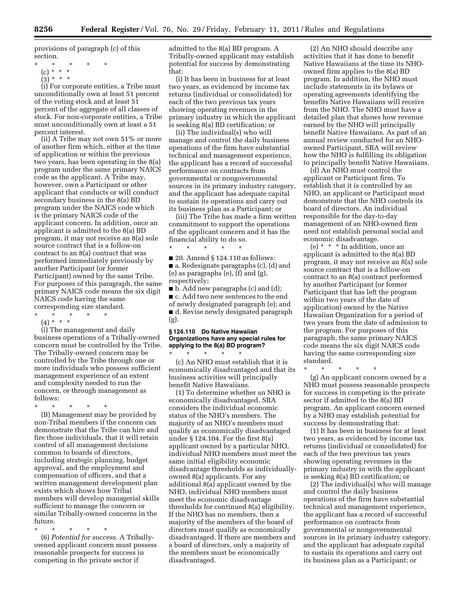provisions of paragraph (c) of this section.

- (c) \* \* \*
- $(3) * * * *$

(i) For corporate entities, a Tribe must unconditionally own at least 51 percent of the voting stock and at least 51 percent of the aggregate of all classes of stock. For non-corporate entities, a Tribe must unconditionally own at least a 51 percent interest.

(ii) A Tribe may not own 51% or more of another firm which, either at the time of application or within the previous two years, has been operating in the 8(a) program under the same primary NAICS code as the applicant. A Tribe may, however, own a Participant or other applicant that conducts or will conduct secondary business in the 8(a) BD program under the NAICS code which is the primary NAICS code of the applicant concern. In addition, once an applicant is admitted to the 8(a) BD program, it may not receive an 8(a) sole source contract that is a follow-on contract to an 8(a) contract that was performed immediately previously by another Participant (or former Participant) owned by the same Tribe. For purposes of this paragraph, the same primary NAICS code means the six digit NAICS code having the same corresponding size standard. \* \* \* \* \*

 $(4) * * * *$ 

(i) The management and daily business operations of a Tribally-owned concern must be controlled by the Tribe. The Tribally-owned concern may be controlled by the Tribe through one or more individuals who possess sufficient management experience of an extent and complexity needed to run the concern, or through management as follows:

\* \* \* \* \*

(B) Management may be provided by non-Tribal members if the concern can demonstrate that the Tribe can hire and fire those individuals, that it will retain control of all management decisions common to boards of directors, including strategic planning, budget approval, and the employment and compensation of officers, and that a written management development plan exists which shows how Tribal members will develop managerial skills sufficient to manage the concern or similar Tribally-owned concerns in the future.

\* \* \* \* \*

(6) *Potential for success.* A Triballyowned applicant concern must possess reasonable prospects for success in competing in the private sector if

admitted to the 8(a) BD program. A Tribally-owned applicant may establish potential for success by demonstrating that:

(i) It has been in business for at least two years, as evidenced by income tax returns (individual or consolidated) for each of the two previous tax years showing operating revenues in the primary industry in which the applicant is seeking 8(a) BD certification; or

(ii) The individual(s) who will manage and control the daily business operations of the firm have substantial technical and management experience, the applicant has a record of successful performance on contracts from governmental or nongovernmental sources in its primary industry category, and the applicant has adequate capital to sustain its operations and carry out its business plan as a Participant; or

(iii) The Tribe has made a firm written commitment to support the operations of the applicant concern and it has the financial ability to do so.

\* \* \* \* \* ■ 20. Amend § 124.110 as follows: ■ a. Redesignate paragraphs (c), (d) and (e) as paragraphs (e), (f) and (g), respectively;

■ b. Add new paragraphs (c) and (d); ■ c. Add two new sentences to the end of newly designated paragraph (e); and ■ d. Revise newly designated paragraph (g).

#### **§ 124.110 Do Native Hawaiian Organizations have any special rules for applying to the 8(a) BD program?**

\* \* \* \* \* (c) An NHO must establish that it is economically disadvantaged and that its business activities will principally benefit Native Hawaiians.

(1) To determine whether an NHO is economically disadvantaged, SBA considers the individual economic status of the NHO's members. The majority of an NHO's members must qualify as economically disadvantaged under § 124.104. For the first 8(a) applicant owned by a particular NHO, individual NHO members must meet the same initial eligibility economic disadvantage thresholds as individuallyowned 8(a) applicants. For any additional 8(a) applicant owned by the NHO, individual NHO members must meet the economic disadvantage thresholds for continued 8(a) eligibility. If the NHO has no members, then a majority of the members of the board of directors must qualify as economically disadvantaged. If there are members and a board of directors, only a majority of the members must be economically disadvantaged.

(2) An NHO should describe any activities that it has done to benefit Native Hawaiians at the time its NHOowned firm applies to the 8(a) BD program. In addition, the NHO must include statements in its bylaws or operating agreements identifying the benefits Native Hawaiians will receive from the NHO. The NHO must have a detailed plan that shows how revenue earned by the NHO will principally benefit Native Hawaiians. As part of an annual review conducted for an NHOowned Participant, SBA will review how the NHO is fulfilling its obligation to principally benefit Native Hawaiians.

(d) An NHO must control the applicant or Participant firm. To establish that it is controlled by an NHO, an applicant or Participant must demonstrate that the NHO controls its board of directors. An individual responsible for the day-to-day management of an NHO-owned firm need not establish personal social and economic disadvantage.

(e) \* \* \* In addition, once an applicant is admitted to the 8(a) BD program, it may not receive an 8(a) sole source contract that is a follow-on contract to an 8(a) contract performed by another Participant (or former Participant that has left the program within two years of the date of application) owned by the Native Hawaiian Organization for a period of two years from the date of admission to the program. For purposes of this paragraph, the same primary NAICS code means the six digit NAICS code having the same corresponding size standard.

\* \* \* \* \*

(g) An applicant concern owned by a NHO must possess reasonable prospects for success in competing in the private sector if admitted to the 8(a) BD program. An applicant concern owned by a NHO may establish potential for success by demonstrating that:

(1) It has been in business for at least two years, as evidenced by income tax returns (individual or consolidated) for each of the two previous tax years showing operating revenues in the primary industry in with the applicant is seeking 8(a) BD certification; or

(2) The individual(s) who will manage and control the daily business operations of the firm have substantial technical and management experience, the applicant has a record of successful performance on contracts from governmental or nongovernmental sources in its primary industry category, and the applicant has adequate capital to sustain its operations and carry out its business plan as a Participant; or

<sup>\* \* \* \* \*</sup>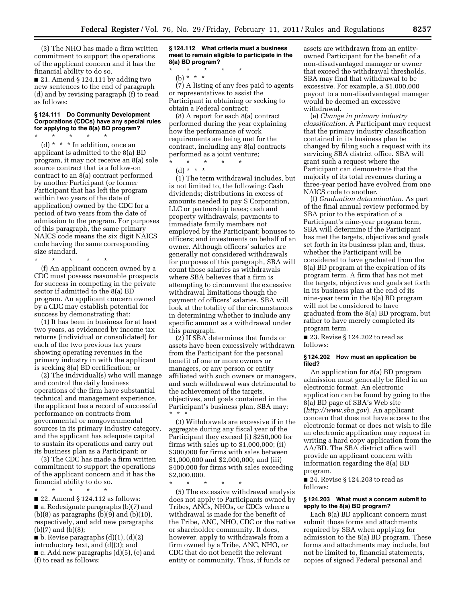(3) The NHO has made a firm written commitment to support the operations of the applicant concern and it has the financial ability to do so.

■ 21. Amend § 124.111 by adding two new sentences to the end of paragraph (d) and by revising paragraph (f) to read as follows:

#### **§ 124.111 Do Community Development Corporations (CDCs) have any special rules for applying to the 8(a) BD program?**

\* \* \* \* \* (d) \* \* \* In addition, once an applicant is admitted to the 8(a) BD program, it may not receive an 8(a) sole source contract that is a follow-on contract to an 8(a) contract performed by another Participant (or former Participant that has left the program within two years of the date of application) owned by the CDC for a period of two years from the date of admission to the program. For purposes of this paragraph, the same primary NAICS code means the six digit NAICS code having the same corresponding size standard.

\* \* \* \* \*

(f) An applicant concern owned by a CDC must possess reasonable prospects for success in competing in the private sector if admitted to the 8(a) BD program. An applicant concern owned by a CDC may establish potential for success by demonstrating that:

(1) It has been in business for at least two years, as evidenced by income tax returns (individual or consolidated) for each of the two previous tax years showing operating revenues in the primary industry in with the applicant is seeking 8(a) BD certification; or

(2) The individual(s) who will manage and control the daily business operations of the firm have substantial technical and management experience, the applicant has a record of successful performance on contracts from governmental or nongovernmental sources in its primary industry category, and the applicant has adequate capital to sustain its operations and carry out its business plan as a Participant; or

(3) The CDC has made a firm written commitment to support the operations of the applicant concern and it has the financial ability to do so.

\* \* \* \* \* ■ 22. Amend § 124.112 as follows: ■ a. Redesignate paragraphs (b)(7) and  $(b)(8)$  as paragraphs  $(b)(9)$  and  $(b)(10)$ , respectively, and add new paragraphs (b)(7) and (b)(8);

 $\blacksquare$  b. Revise paragraphs  $(d)(1)$ ,  $(d)(2)$ introductory text, and (d)(3); and ■ c. Add new paragraphs (d)(5), (e) and (f) to read as follows:

**§ 124.112 What criteria must a business meet to remain eligible to participate in the 8(a) BD program?** 

\* \* \* \* \*

(b) \* \* \*

(7) A listing of any fees paid to agents or representatives to assist the Participant in obtaining or seeking to obtain a Federal contract;

(8) A report for each 8(a) contract performed during the year explaining how the performance of work requirements are being met for the contract, including any 8(a) contracts performed as a joint venture;

\* \* \* \* \* (d) \* \* \*

(1) The term withdrawal includes, but is not limited to, the following: Cash dividends; distributions in excess of amounts needed to pay S Corporation, LLC or partnership taxes; cash and property withdrawals; payments to immediate family members not employed by the Participant; bonuses to officers; and investments on behalf of an owner. Although officers' salaries are generally not considered withdrawals for purposes of this paragraph, SBA will count those salaries as withdrawals where SBA believes that a firm is attempting to circumvent the excessive withdrawal limitations though the payment of officers' salaries. SBA will look at the totality of the circumstances in determining whether to include any specific amount as a withdrawal under this paragraph.

(2) If SBA determines that funds or assets have been excessively withdrawn from the Participant for the personal benefit of one or more owners or managers, or any person or entity affiliated with such owners or managers, and such withdrawal was detrimental to the achievement of the targets, objectives, and goals contained in the Participant's business plan, SBA may: \* \* \*

(3) Withdrawals are excessive if in the aggregate during any fiscal year of the Participant they exceed (i) \$250,000 for firms with sales up to \$1,000,000; (ii) \$300,000 for firms with sales between \$1,000,000 and \$2,000,000; and (iii) \$400,000 for firms with sales exceeding \$2,000,000.

\* \* \* \* \*

(5) The excessive withdrawal analysis does not apply to Participants owned by Tribes, ANCs, NHOs, or CDCs where a withdrawal is made for the benefit of the Tribe, ANC, NHO, CDC or the native or shareholder community. It does, however, apply to withdrawals from a firm owned by a Tribe, ANC, NHO, or CDC that do not benefit the relevant entity or community. Thus, if funds or

assets are withdrawn from an entityowned Participant for the benefit of a non-disadvantaged manager or owner that exceed the withdrawal thresholds, SBA may find that withdrawal to be excessive. For example, a \$1,000,000 payout to a non-disadvantaged manager would be deemed an excessive withdrawal.

(e) *Change in primary industry classification.* A Participant may request that the primary industry classification contained in its business plan be changed by filing such a request with its servicing SBA district office. SBA will grant such a request where the Participant can demonstrate that the majority of its total revenues during a three-year period have evolved from one NAICS code to another.

(f) *Graduation determination.* As part of the final annual review performed by SBA prior to the expiration of a Participant's nine-year program term, SBA will determine if the Participant has met the targets, objectives and goals set forth in its business plan and, thus, whether the Participant will be considered to have graduated from the 8(a) BD program at the expiration of its program term. A firm that has not met the targets, objectives and goals set forth in its business plan at the end of its nine-year term in the 8(a) BD program will not be considered to have graduated from the 8(a) BD program, but rather to have merely completed its program term.

■ 23. Revise § 124.202 to read as follows:

#### **§ 124.202 How must an application be filed?**

An application for 8(a) BD program admission must generally be filed in an electronic format. An electronic application can be found by going to the 8(a) BD page of SBA's Web site (*<http://www.sba.gov>*). An applicant concern that does not have access to the electronic format or does not wish to file an electronic application may request in writing a hard copy application from the AA/BD. The SBA district office will provide an applicant concern with information regarding the 8(a) BD program.

■ 24. Revise § 124.203 to read as follows:

#### **§ 124.203 What must a concern submit to apply to the 8(a) BD program?**

Each 8(a) BD applicant concern must submit those forms and attachments required by SBA when applying for admission to the 8(a) BD program. These forms and attachments may include, but not be limited to, financial statements, copies of signed Federal personal and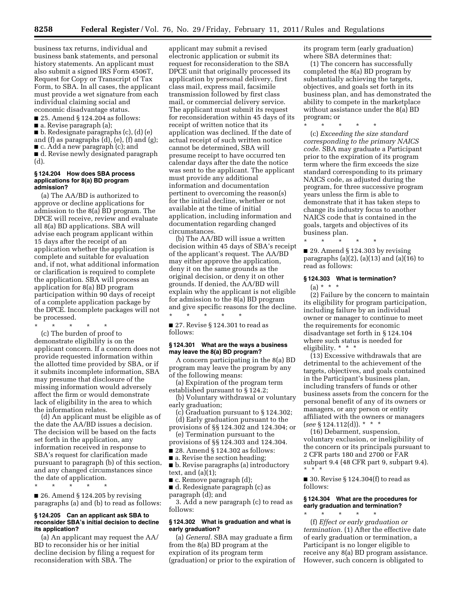business tax returns, individual and business bank statements, and personal history statements. An applicant must also submit a signed IRS Form 4506T, Request for Copy or Transcript of Tax Form, to SBA. In all cases, the applicant must provide a wet signature from each individual claiming social and economic disadvantage status.

■ 25. Amend § 124.204 as follows:

■ a. Revise paragraph (a);

■ b. Redesignate paragraphs (c), (d) (e) and (f) as paragraphs (d), (e), (f) and (g); ■ c. Add a new paragraph (c); and ■ d. Revise newly designated paragraph (d).

#### **§ 124.204 How does SBA process applications for 8(a) BD program admission?**

(a) The AA/BD is authorized to approve or decline applications for admission to the 8(a) BD program. The DPCE will receive, review and evaluate all 8(a) BD applications. SBA will advise each program applicant within 15 days after the receipt of an application whether the application is complete and suitable for evaluation and, if not, what additional information or clarification is required to complete the application. SBA will process an application for 8(a) BD program participation within 90 days of receipt of a complete application package by the DPCE. Incomplete packages will not be processed.

\* \* \* \* \* (c) The burden of proof to demonstrate eligibility is on the applicant concern. If a concern does not provide requested information within the allotted time provided by SBA, or if it submits incomplete information, SBA may presume that disclosure of the missing information would adversely affect the firm or would demonstrate lack of eligibility in the area to which the information relates.

(d) An applicant must be eligible as of the date the AA/BD issues a decision. The decision will be based on the facts set forth in the application, any information received in response to SBA's request for clarification made pursuant to paragraph (b) of this section, and any changed circumstances since the date of application.

\* \* \* \* \*

■ 26. Amend § 124.205 by revising paragraphs (a) and (b) to read as follows:

#### **§ 124.205 Can an applicant ask SBA to reconsider SBA's initial decision to decline its application?**

(a) An applicant may request the AA/ BD to reconsider his or her initial decline decision by filing a request for reconsideration with SBA. The

applicant may submit a revised electronic application or submit its request for reconsideration to the SBA DPCE unit that originally processed its application by personal delivery, first class mail, express mail, facsimile transmission followed by first class mail, or commercial delivery service. The applicant must submit its request for reconsideration within 45 days of its receipt of written notice that its application was declined. If the date of actual receipt of such written notice cannot be determined, SBA will presume receipt to have occurred ten calendar days after the date the notice was sent to the applicant. The applicant must provide any additional information and documentation pertinent to overcoming the reason(s) for the initial decline, whether or not available at the time of initial application, including information and documentation regarding changed circumstances.

(b) The AA/BD will issue a written decision within 45 days of SBA's receipt of the applicant's request. The AA/BD may either approve the application, deny it on the same grounds as the original decision, or deny it on other grounds. If denied, the AA/BD will explain why the applicant is not eligible for admission to the 8(a) BD program and give specific reasons for the decline. \* \* \* \* \*

■ 27. Revise § 124.301 to read as follows:

#### **§ 124.301 What are the ways a business may leave the 8(a) BD program?**

A concern participating in the 8(a) BD program may leave the program by any of the following means:

(a) Expiration of the program term established pursuant to § 124.2;

(b) Voluntary withdrawal or voluntary early graduation;

(c) Graduation pursuant to § 124.302; (d) Early graduation pursuant to the

provisions of §§ 124.302 and 124.304; or (e) Termination pursuant to the

provisions of §§ 124.303 and 124.304.

■ 28. Amend § 124.302 as follows:

■ a. Revise the section heading;

■ b. Revise paragraphs (a) introductory text, and  $(a)(1)$ ;

■ c. Remove paragraph (d);

■ d. Redesignate paragraph (c) as paragraph (d); and

3. Add a new paragraph (c) to read as follows:

#### **§ 124.302 What is graduation and what is early graduation?**

(a) *General.* SBA may graduate a firm from the 8(a) BD program at the expiration of its program term (graduation) or prior to the expiration of its program term (early graduation) where SBA determines that:

(1) The concern has successfully completed the 8(a) BD program by substantially achieving the targets, objectives, and goals set forth in its business plan, and has demonstrated the ability to compete in the marketplace without assistance under the 8(a) BD program; or  $*$ 

\* \* \* \* \*

(c) *Exceeding the size standard corresponding to the primary NAICS code.* SBA may graduate a Participant prior to the expiration of its program term where the firm exceeds the size standard corresponding to its primary NAICS code, as adjusted during the program, for three successive program years unless the firm is able to demonstrate that it has taken steps to change its industry focus to another NAICS code that is contained in the goals, targets and objectives of its business plan.

 $\blacksquare$  29. Amend § 124.303 by revising paragraphs  $(a)(2)$ ,  $(a)(13)$  and  $(a)(16)$  to read as follows:

#### **§ 124.303 What is termination?**

\* \* \* \* \*

 $(a) * * * *$ 

(2) Failure by the concern to maintain its eligibility for program participation, including failure by an individual owner or manager to continue to meet the requirements for economic disadvantage set forth in § 124.104 where such status is needed for eligibility. \* \* \*

(13) Excessive withdrawals that are detrimental to the achievement of the targets, objectives, and goals contained in the Participant's business plan, including transfers of funds or other business assets from the concern for the personal benefit of any of its owners or managers, or any person or entity affiliated with the owners or managers (*see* § 124.112(d)). \* \* \*

(16) Debarment, suspension, voluntary exclusion, or ineligibility of the concern or its principals pursuant to 2 CFR parts 180 and 2700 or FAR subpart 9.4 (48 CFR part 9, subpart 9.4). \* \* \*

■ 30. Revise § 124.304(f) to read as follows:

#### **§ 124.304 What are the procedures for early graduation and termination?**

\* \* \* \* \* (f) *Effect or early graduation or termination.* (1) After the effective date of early graduation or termination, a Participant is no longer eligible to receive any 8(a) BD program assistance. However, such concern is obligated to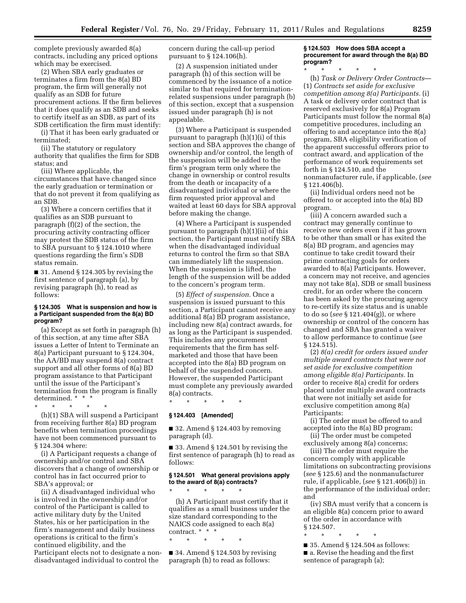complete previously awarded 8(a) contracts, including any priced options which may be exercised.

(2) When SBA early graduates or terminates a firm from the 8(a) BD program, the firm will generally not qualify as an SDB for future procurement actions. If the firm believes that it does qualify as an SDB and seeks to certify itself as an SDB, as part of its SDB certification the firm must identify:

(i) That it has been early graduated or terminated;

(ii) The statutory or regulatory authority that qualifies the firm for SDB status; and

(iii) Where applicable, the circumstances that have changed since the early graduation or termination or that do not prevent it from qualifying as an SDB.

(3) Where a concern certifies that it qualifies as an SDB pursuant to paragraph (f)(2) of the section, the procuring activity contracting officer may protest the SDB status of the firm to SBA pursuant to § 124.1010 where questions regarding the firm's SDB status remain.

■ 31. Amend § 124.305 by revising the first sentence of paragraph (a), by revising paragraph (h), to read as follows:

#### **§ 124.305 What is suspension and how is a Participant suspended from the 8(a) BD program?**

(a) Except as set forth in paragraph (h) of this section, at any time after SBA issues a Letter of Intent to Terminate an 8(a) Participant pursuant to § 124.304, the AA/BD may suspend 8(a) contract support and all other forms of 8(a) BD program assistance to that Participant until the issue of the Participant's termination from the program is finally determined. \* \* \*

\* \* \* \* \*

(h)(1) SBA will suspend a Participant from receiving further 8(a) BD program benefits when termination proceedings have not been commenced pursuant to § 124.304 where:

(i) A Participant requests a change of ownership and/or control and SBA discovers that a change of ownership or control has in fact occurred prior to SBA's approval; or

(ii) A disadvantaged individual who is involved in the ownership and/or control of the Participant is called to active military duty by the United States, his or her participation in the firm's management and daily business operations is critical to the firm's continued eligibility, and the Participant elects not to designate a nondisadvantaged individual to control the

concern during the call-up period pursuant to § 124.106(h).

(2) A suspension initiated under paragraph (h) of this section will be commenced by the issuance of a notice similar to that required for terminationrelated suspensions under paragraph (b) of this section, except that a suspension issued under paragraph (h) is not appealable.

(3) Where a Participant is suspended pursuant to paragraph (h)(1)(i) of this section and SBA approves the change of ownership and/or control, the length of the suspension will be added to the firm's program term only where the change in ownership or control results from the death or incapacity of a disadvantaged individual or where the firm requested prior approval and waited at least 60 days for SBA approval before making the change.

(4) Where a Participant is suspended pursuant to paragraph (h)(1)(ii) of this section, the Participant must notify SBA when the disadvantaged individual returns to control the firm so that SBA can immediately lift the suspension. When the suspension is lifted, the length of the suspension will be added to the concern's program term.

(5) *Effect of suspension.* Once a suspension is issued pursuant to this section, a Participant cannot receive any additional 8(a) BD program assistance, including new 8(a) contract awards, for as long as the Participant is suspended. This includes any procurement requirements that the firm has selfmarketed and those that have been accepted into the 8(a) BD program on behalf of the suspended concern. However, the suspended Participant must complete any previously awarded 8(a) contracts.

\* \* \* \* \* **§ 124.403 [Amended]** 

\* \* \* \* \*

\* \* \* \* \*

 $\blacksquare$  32. Amend § 124.403 by removing paragraph (d).

■ 33. Amend § 124.501 by revising the first sentence of paragraph (h) to read as follows:

#### **§ 124.501 What general provisions apply to the award of 8(a) contracts?**

(h) A Participant must certify that it qualifies as a small business under the size standard corresponding to the NAICS code assigned to each 8(a) contract. \* \* \*

 $\blacksquare$  34. Amend § 124.503 by revising paragraph (h) to read as follows:

#### **§ 124.503 How does SBA accept a procurement for award through the 8(a) BD program?**

\* \* \* \* \* (h) *Task or Delivery Order Contracts*— (1) *Contracts set aside for exclusive competition among 8(a) Participants.* (i) A task or delivery order contract that is reserved exclusively for 8(a) Program Participants must follow the normal 8(a) competitive procedures, including an offering to and acceptance into the 8(a) program, SBA eligibility verification of the apparent successful offerors prior to contract award, and application of the performance of work requirements set forth in § 124.510, and the nonmanufacturer rule, if applicable, (*see*  § 121.406(b).

(ii) Individual orders need not be offered to or accepted into the 8(a) BD program.

(iii) A concern awarded such a contract may generally continue to receive new orders even if it has grown to be other than small or has exited the 8(a) BD program, and agencies may continue to take credit toward their prime contracting goals for orders awarded to 8(a) Participants. However, a concern may not receive, and agencies may not take 8(a), SDB or small business credit, for an order where the concern has been asked by the procuring agency to re-certify its size status and is unable to do so (*see* § 121.404(g)), or where ownership or control of the concern has changed and SBA has granted a waiver to allow performance to continue (*see*  § 124.515).

(2) *8(a) credit for orders issued under multiple award contracts that were not set aside for exclusive competition among eligible 8(a) Participants.* In order to receive 8(a) credit for orders placed under multiple award contracts that were not initially set aside for exclusive competition among 8(a) Participants:

(i) The order must be offered to and accepted into the 8(a) BD program;

(ii) The order must be competed exclusively among 8(a) concerns;

(iii) The order must require the concern comply with applicable limitations on subcontracting provisions (*see* § 125.6) and the nonmanufacturer rule, if applicable, (*see* § 121.406(b)) in the performance of the individual order; and

(iv) SBA must verify that a concern is an eligible 8(a) concern prior to award of the order in accordance with § 124.507.

\* \* \* \* \* ■ 35. Amend § 124.504 as follows: ■ a. Revise the heading and the first sentence of paragraph (a);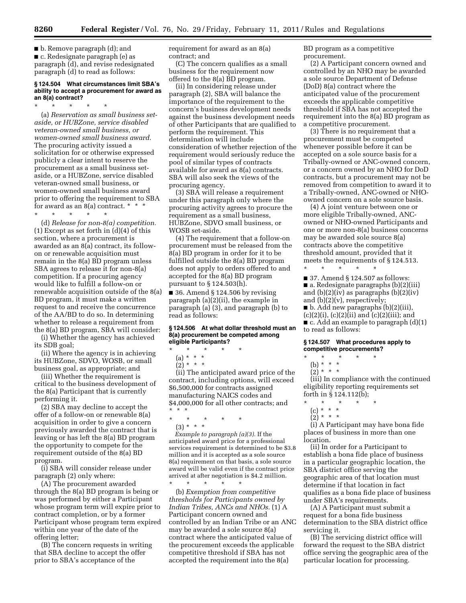■ b. Remove paragraph (d); and ■ c. Redesignate paragraph (e) as paragraph (d), and revise redesignated paragraph (d) to read as follows:

#### **§ 124.504 What circumstances limit SBA's ability to accept a procurement for award as an 8(a) contract?**

\* \* \* \* \*

(a) *Reservation as small business setaside, or HUBZone, service disabled veteran-owned small business, or women-owned small business award.*  The procuring activity issued a solicitation for or otherwise expressed publicly a clear intent to reserve the procurement as a small business setaside, or a HUBZone, service disabled veteran-owned small business, or women-owned small business award prior to offering the requirement to SBA for award as an 8(a) contract. \* \* \* \* \* \* \* \*

(d) *Release for non-8(a) competition.*  (1) Except as set forth in (d)(4) of this section, where a procurement is awarded as an 8(a) contract, its followon or renewable acquisition must remain in the 8(a) BD program unless SBA agrees to release it for non-8(a) competition. If a procuring agency would like to fulfill a follow-on or renewable acquisition outside of the 8(a) BD program, it must make a written request to and receive the concurrence of the AA/BD to do so. In determining whether to release a requirement from the 8(a) BD program, SBA will consider:

(i) Whether the agency has achieved its SDB goal;

(ii) Where the agency is in achieving its HUBZone, SDVO, WOSB, or small business goal, as appropriate; and

(iii) Whether the requirement is critical to the business development of the 8(a) Participant that is currently performing it.

(2) SBA may decline to accept the offer of a follow-on or renewable 8(a) acquisition in order to give a concern previously awarded the contract that is leaving or has left the 8(a) BD program the opportunity to compete for the requirement outside of the 8(a) BD program.

(i) SBA will consider release under paragraph (2) only where:

(A) The procurement awarded through the 8(a) BD program is being or was performed by either a Participant whose program term will expire prior to contract completion, or by a former Participant whose program term expired within one year of the date of the offering letter;

(B) The concern requests in writing that SBA decline to accept the offer prior to SBA's acceptance of the

requirement for award as an 8(a) contract; and

(C) The concern qualifies as a small business for the requirement now offered to the  $8(a)$   $\overline{BD}$  program.

(ii) In considering release under paragraph (2), SBA will balance the importance of the requirement to the concern's business development needs against the business development needs of other Participants that are qualified to perform the requirement. This determination will include consideration of whether rejection of the requirement would seriously reduce the pool of similar types of contracts available for award as 8(a) contracts. SBA will also seek the views of the procuring agency.

(3) SBA will release a requirement under this paragraph only where the procuring activity agrees to procure the requirement as a small business, HUBZone, SDVO small business, or WOSB set-aside.

(4) The requirement that a follow-on procurement must be released from the 8(a) BD program in order for it to be fulfilled outside the 8(a) BD program does not apply to orders offered to and accepted for the 8(a) BD program pursuant to § 124.503(h).

■ 36. Amend § 124.506 by revising paragraph (a)(2)(ii), the example in paragraph (a) (3), and paragraph (b) to read as follows:

#### **§ 124.506 At what dollar threshold must an 8(a) procurement be competed among eligible Participants?**

- \* \* \* \* \*
	- (a) \* \* \*
	- $(2) * * * *$

(ii) The anticipated award price of the contract, including options, will exceed \$6,500,000 for contracts assigned manufacturing NAICS codes and \$4,000,000 for all other contracts; and \* \* \*

\* \* \* \* \*

(3) \* \* \*

*Example to paragraph (a)(3).* If the anticipated award price for a professional services requirement is determined to be \$3.8 million and it is accepted as a sole source 8(a) requirement on that basis, a sole source award will be valid even if the contract price arrived at after negotiation is \$4.2 million.

\* \* \* \* \* (b) *Exemption from competitive thresholds for Participants owned by Indian Tribes, ANCs and NHOs.* (1) A Participant concern owned and controlled by an Indian Tribe or an ANC may be awarded a sole source 8(a) contract where the anticipated value of the procurement exceeds the applicable competitive threshold if SBA has not accepted the requirement into the 8(a)

BD program as a competitive procurement.

(2) A Participant concern owned and controlled by an NHO may be awarded a sole source Department of Defense (DoD) 8(a) contract where the anticipated value of the procurement exceeds the applicable competitive threshold if SBA has not accepted the requirement into the 8(a) BD program as a competitive procurement.

(3) There is no requirement that a procurement must be competed whenever possible before it can be accepted on a sole source basis for a Tribally-owned or ANC-owned concern, or a concern owned by an NHO for DoD contracts, but a procurement may not be removed from competition to award it to a Tribally-owned, ANC-owned or NHOowned concern on a sole source basis.

(4) A joint venture between one or more eligible Tribally-owned, ANCowned or NHO-owned Participants and one or more non-8(a) business concerns may be awarded sole source 8(a) contracts above the competitive threshold amount, provided that it meets the requirements of § 124.513.

■ 37. Amend § 124.507 as follows: ■ a. Redesignate paragraphs (b)(2)(iii) and  $(b)(2)(iv)$  as paragraphs  $(b)(2)(iv)$ and (b)(2)(v), respectively; ■ b. Add new paragraphs (b)(2)(iii),  $(c)(2)(i)$ ,  $(c)(2)(ii)$  and  $(c)(2)(iii)$ ; and ■ c. Add an example to paragraph (d)(1) to read as follows:

#### **§ 124.507 What procedures apply to competitive procurements?**

\* \* \* \* \*

\* \* \* \* \*

- (b) \* \* \*
- $(2) * * * *$

(iii) In compliance with the continued eligibility reporting requirements set forth in § 124.112(b);

- \* \* \* \* \*
	- (c) \* \* \*  $(2) * * * *$

(i) A Participant may have bona fide places of business in more than one location.

(ii) In order for a Participant to establish a bona fide place of business in a particular geographic location, the SBA district office serving the geographic area of that location must determine if that location in fact qualifies as a bona fide place of business under SBA's requirements.

(A) A Participant must submit a request for a bona fide business determination to the SBA district office servicing it.

(B) The servicing district office will forward the request to the SBA district office serving the geographic area of the particular location for processing.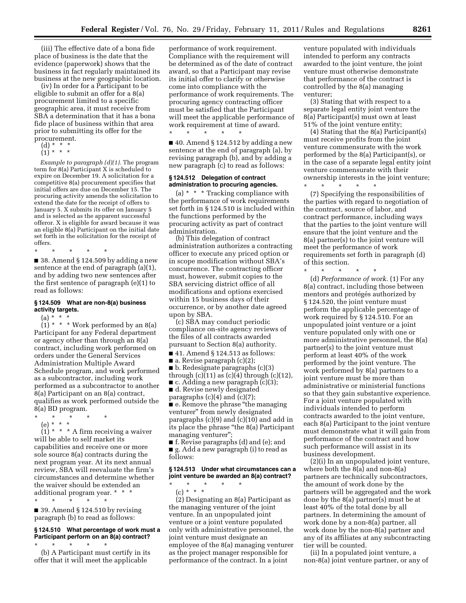(iii) The effective date of a bona fide place of business is the date that the evidence (paperwork) shows that the business in fact regularly maintained its business at the new geographic location.

(iv) In order for a Participant to be eligible to submit an offer for a 8(a) procurement limited to a specific geographic area, it must receive from SBA a determination that it has a bona fide place of business within that area prior to submitting its offer for the procurement.

- (d) \* \* \*
- (1) \* \* \*

*Example to paragraph (d)(1).* The program term for 8(a) Participant X is scheduled to expire on December 19. A solicitation for a competitive 8(a) procurement specifies that initial offers are due on December 15. The procuring activity amends the solicitation to extend the date for the receipt of offers to January 5. X submits its offer on January 5 and is selected as the apparent successful offeror. X is eligible for award because it was an eligible 8(a) Participant on the initial date set forth in the solicitation for the receipt of offers.

\* \* \* \* \*

■ 38. Amend § 124.509 by adding a new sentence at the end of paragraph (a)(1), and by adding two new sentences after the first sentence of paragraph (e)(1) to read as follows:

#### **§ 124.509 What are non-8(a) business activity targets.**

 $(a) * * *$ 

 $(1)$  \* \* \* Work performed by an 8(a) Participant for any Federal department or agency other than through an 8(a) contract, including work performed on orders under the General Services Administration Multiple Award Schedule program, and work performed as a subcontractor, including work performed as a subcontractor to another 8(a) Participant on an 8(a) contract, qualifies as work performed outside the 8(a) BD program.

\* \* \* \* \*

(e) \* \* \*  $(1)$  \* \* \* A firm receiving a waiver will be able to self market its capabilities and receive one or more sole source 8(a) contracts during the next program year. At its next annual review, SBA will reevaluate the firm's circumstances and determine whether the waiver should be extended an additional program year. \* \* \* \* \* \* \* \*

 $\blacksquare$  39. Amend § 124.510 by revising paragraph (b) to read as follows:

#### **§ 124.510 What percentage of work must a Participant perform on an 8(a) contract?**

\* \* \* \* \* (b) A Participant must certify in its offer that it will meet the applicable

performance of work requirement. Compliance with the requirement will be determined as of the date of contract award, so that a Participant may revise its initial offer to clarify or otherwise come into compliance with the performance of work requirements. The procuring agency contracting officer must be satisfied that the Participant will meet the applicable performance of work requirement at time of award. \* \* \* \* \*

 $\blacksquare$  40. Amend § 124.512 by adding a new sentence at the end of paragraph (a), by revising paragraph (b), and by adding a new paragraph (c) to read as follows:

#### **§ 124.512 Delegation of contract administration to procuring agencies.**

(a)  $* * *$  Tracking compliance with the performance of work requirements set forth in § 124.510 is included within the functions performed by the procuring activity as part of contract administration.

(b) This delegation of contract administration authorizes a contracting officer to execute any priced option or in scope modification without SBA's concurrence. The contracting officer must, however, submit copies to the SBA servicing district office of all modifications and options exercised within 15 business days of their occurrence, or by another date agreed upon by SBA.

(c) SBA may conduct periodic compliance on-site agency reviews of the files of all contracts awarded pursuant to Section 8(a) authority.

■ 41. Amend § 124.513 as follows: ■ a. Revise paragraph (c)(2); ■ b. Redesignate paragraphs (c)(3) through  $(c)(11)$  as  $(c)(4)$  through  $(c)(12)$ , ■ c. Adding a new paragraph (c)(3); ■ d. Revise newly designated paragraphs  $(c)(4)$  and  $(c)(7)$ ; ■ e. Remove the phrase "the managing venturer'' from newly designated paragraphs (c)(9) and (c)(10) and add in its place the phrase ''the 8(a) Participant managing venturer''; ■ f. Revise paragraphs (d) and (e); and

■ g. Add a new paragraph (i) to read as follows:

#### **§ 124.513 Under what circumstances can a joint venture be awarded an 8(a) contract?**  \* \* \* \* \*

 $(c) * * * *$ (2) Designating an 8(a) Participant as the managing venturer of the joint venture. In an unpopulated joint venture or a joint venture populated only with administrative personnel, the joint venture must designate an employee of the 8(a) managing venturer as the project manager responsible for performance of the contract. In a joint

venture populated with individuals intended to perform any contracts awarded to the joint venture, the joint venture must otherwise demonstrate that performance of the contract is controlled by the 8(a) managing venturer;

(3) Stating that with respect to a separate legal entity joint venture the 8(a) Participant(s) must own at least 51% of the joint venture entity;

(4) Stating that the 8(a) Participant(s) must receive profits from the joint venture commensurate with the work performed by the 8(a) Participant(s), or in the case of a separate legal entity joint venture commensurate with their ownership interests in the joint venture;

\* \* \* \* \* (7) Specifying the responsibilities of the parties with regard to negotiation of the contract, source of labor, and contract performance, including ways that the parties to the joint venture will ensure that the joint venture and the 8(a) partner(s) to the joint venture will meet the performance of work requirements set forth in paragraph (d) of this section.

\* \* \* \* \*

(d) *Performance of work.* (1) For any 8(a) contract, including those between mentors and protégés authorized by § 124.520, the joint venture must perform the applicable percentage of work required by § 124.510. For an unpopulated joint venture or a joint venture populated only with one or more administrative personnel, the 8(a) partner(s) to the joint venture must perform at least 40% of the work performed by the joint venture. The work performed by 8(a) partners to a joint venture must be more than administrative or ministerial functions so that they gain substantive experience. For a joint venture populated with individuals intended to perform contracts awarded to the joint venture, each 8(a) Participant to the joint venture must demonstrate what it will gain from performance of the contract and how such performance will assist in its business development.

(2)(i) In an unpopulated joint venture, where both the 8(a) and non-8(a) partners are technically subcontractors, the amount of work done by the partners will be aggregated and the work done by the 8(a) partner(s) must be at least 40% of the total done by all partners. In determining the amount of work done by a non-8(a) partner, all work done by the non-8(a) partner and any of its affiliates at any subcontracting tier will be counted.

(ii) In a populated joint venture, a non-8(a) joint venture partner, or any of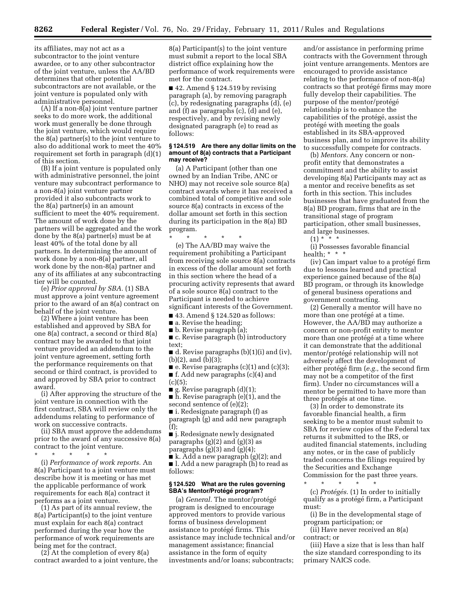its affiliates, may not act as a subcontractor to the joint venture awardee, or to any other subcontractor of the joint venture, unless the AA/BD determines that other potential subcontractors are not available, or the joint venture is populated only with administrative personnel.

 $(A)$  If a non- $\delta$ (a) joint venture partner seeks to do more work, the additional work must generally be done through the joint venture, which would require the 8(a) partner(s) to the joint venture to also do additional work to meet the 40% requirement set forth in paragraph (d)(1) of this section.

(B) If a joint venture is populated only with administrative personnel, the joint venture may subcontract performance to a non-8(a) joint venture partner provided it also subcontracts work to the 8(a) partner(s) in an amount sufficient to meet the 40% requirement. The amount of work done by the partners will be aggregated and the work done by the 8(a) partner(s) must be at least 40% of the total done by all partners. In determining the amount of work done by a non-8(a) partner, all work done by the non-8(a) partner and any of its affiliates at any subcontracting tier will be counted.

(e) *Prior approval by SBA.* (1) SBA must approve a joint venture agreement prior to the award of an 8(a) contract on behalf of the joint venture.

(2) Where a joint venture has been established and approved by SBA for one 8(a) contract, a second or third 8(a) contract may be awarded to that joint venture provided an addendum to the joint venture agreement, setting forth the performance requirements on that second or third contract, is provided to and approved by SBA prior to contract award.

(i) After approving the structure of the joint venture in connection with the first contract, SBA will review only the addendums relating to performance of work on successive contracts.

(ii) SBA must approve the addendums prior to the award of any successive 8(a) contract to the joint venture.

\* \* \* \* \*

(i) *Performance of work reports.* An 8(a) Participant to a joint venture must describe how it is meeting or has met the applicable performance of work requirements for each 8(a) contract it performs as a joint venture.

(1) As part of its annual review, the 8(a) Participant(s) to the joint venture must explain for each 8(a) contract performed during the year how the performance of work requirements are being met for the contract.

 $(2)$  At the completion of every 8(a) contract awarded to a joint venture, the

8(a) Participant(s) to the joint venture must submit a report to the local SBA district office explaining how the performance of work requirements were met for the contract.

 $\blacksquare$  42. Amend § 124.519 by revising paragraph (a), by removing paragraph (c), by redesignating paragraphs (d), (e) and (f) as paragraphs (c), (d) and (e), respectively, and by revising newly designated paragraph (e) to read as follows:

#### **§ 124.519 Are there any dollar limits on the amount of 8(a) contracts that a Participant may receive?**

(a) A Participant (other than one owned by an Indian Tribe, ANC or NHO) may not receive sole source 8(a) contract awards where it has received a combined total of competitive and sole source 8(a) contracts in excess of the dollar amount set forth in this section during its participation in the 8(a) BD program.

\* \* \* \* \*

(e) The AA/BD may waive the requirement prohibiting a Participant from receiving sole source 8(a) contracts in excess of the dollar amount set forth in this section where the head of a procuring activity represents that award of a sole source 8(a) contract to the Participant is needed to achieve significant interests of the Government.

■ 43. Amend § 124.520 as follows:

■ a. Revise the heading;

■ b. Revise paragraph (a);

■ c. Revise paragraph (b) introductory text;

■ d. Revise paragraphs (b)(1)(i) and (iv), (b)(2), and (b)(3);

 $\blacksquare$  e. Revise paragraphs (c)(1) and (c)(3); ■ f. Add new paragraphs (c)(4) and  $(c)(5)$ :

 $\blacksquare$  g. Revise paragraph  $(d)(1);$ 

■ h. Revise paragraph (e)(1), and the second sentence of (e)(2);

■ i. Redesignate paragraph (f) as paragraph (g) and add new paragraph (f);

■ j. Redesignate newly designated paragraphs  $(g)(2)$  and  $(g)(3)$  as paragraphs  $(g)(3)$  and  $(g)(4)$ ;

■ k. Add a new paragraph (g)(2); and ■ l. Add a new paragraph (h) to read as follows:

#### **§ 124.520 What are the rules governing SBA's Mentor/Prote´ge´ program?**

(a) *General*. The mentor/protégé program is designed to encourage approved mentors to provide various forms of business development assistance to protégé firms. This assistance may include technical and/or management assistance; financial assistance in the form of equity investments and/or loans; subcontracts;

and/or assistance in performing prime contracts with the Government through joint venture arrangements. Mentors are encouraged to provide assistance relating to the performance of non-8(a) contracts so that protégé firms may more fully develop their capabilities. The purpose of the mentor/protégé relationship is to enhance the capabilities of the protégé, assist the protégé with meeting the goals established in its SBA-approved business plan, and to improve its ability to successfully compete for contracts.

(b) *Mentors.* Any concern or nonprofit entity that demonstrates a commitment and the ability to assist developing 8(a) Participants may act as a mentor and receive benefits as set forth in this section. This includes businesses that have graduated from the 8(a) BD program, firms that are in the transitional stage of program participation, other small businesses, and large businesses.

 $(1) * * * *$ 

(i) Possesses favorable financial health; \* \* \*

(iv) Can impart value to a protégé firm due to lessons learned and practical experience gained because of the 8(a) BD program, or through its knowledge of general business operations and government contracting.

(2) Generally a mentor will have no more than one protégé at a time. However, the AA/BD may authorize a concern or non-profit entity to mentor more than one protégé at a time where it can demonstrate that the additional mentor/protégé relationship will not adversely affect the development of either protégé firm (*e.g.*, the second firm may not be a competitor of the first firm). Under no circumstances will a mentor be permitted to have more than three protégés at one time.

(3) In order to demonstrate its favorable financial health, a firm seeking to be a mentor must submit to SBA for review copies of the Federal tax returns it submitted to the IRS, or audited financial statements, including any notes, or in the case of publicly traded concerns the filings required by the Securities and Exchange Commission for the past three years.

\* \* \* \* \* (c) *Protégés.* (1) In order to initially qualify as a protégé firm, a Participant must:

(i) Be in the developmental stage of program participation; or

(ii) Have never received an 8(a) contract; or

(iii) Have a size that is less than half the size standard corresponding to its primary NAICS code.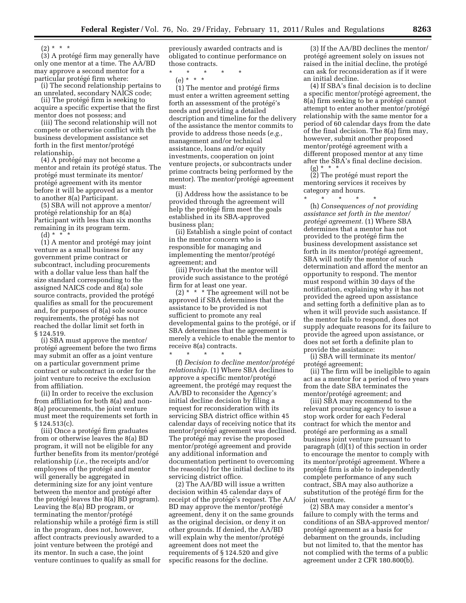$(2) * * * *$ 

(3) A protégé firm may generally have only one mentor at a time. The AA/BD may approve a second mentor for a particular protégé firm where:

(i) The second relationship pertains to an unrelated, secondary NAICS code;

(ii) The protégé firm is seeking to acquire a specific expertise that the first mentor does not possess; and

(iii) The second relationship will not compete or otherwise conflict with the business development assistance set forth in the first mentor/protégé relationship.

(4) A protégé may not become a mentor and retain its protégé status. The protégé must terminate its mentor/ protégé agreement with its mentor before it will be approved as a mentor to another 8(a) Participant.

(5) SBA will not approve a mentor/ protégé relationship for an 8(a) Participant with less than six months remaining in its program term.  $(d) * *^* *$ 

 $(1)$  A mentor and protégé may joint venture as a small business for any government prime contract or subcontract, including procurements with a dollar value less than half the size standard corresponding to the assigned NAICS code and 8(a) sole source contracts, provided the protégé qualifies as small for the procurement and, for purposes of 8(a) sole source requirements, the protégé has not reached the dollar limit set forth in § 124.519.

(i) SBA must approve the mentor/ protégé agreement before the two firms may submit an offer as a joint venture on a particular government prime contract or subcontract in order for the joint venture to receive the exclusion from affiliation.

(ii) In order to receive the exclusion from affiliation for both 8(a) and non-8(a) procurements, the joint venture must meet the requirements set forth in § 124.513(c).

(iii) Once a protégé firm graduates from or otherwise leaves the 8(a) BD program, it will not be eligible for any further benefits from its mentor/protégé relationship (*i.e.,* the receipts and/or employees of the protégé and mentor will generally be aggregated in determining size for any joint venture between the mentor and protégé after the protégé leaves the 8(a) BD program). Leaving the 8(a) BD program, or terminating the mentor/protégé relationship while a protégé firm is still in the program, does not, however, affect contracts previously awarded to a joint venture between the protégé and its mentor. In such a case, the joint venture continues to qualify as small for

previously awarded contracts and is obligated to continue performance on those contracts.

\* \* \* \* \* (e) \* \* \*

 $(1)$  The mentor and protégé firms must enter a written agreement setting forth an assessment of the protégé's needs and providing a detailed description and timeline for the delivery of the assistance the mentor commits to provide to address those needs (*e.g.,*  management and/or technical assistance, loans and/or equity investments, cooperation on joint venture projects, or subcontracts under prime contracts being performed by the mentor). The mentor/protégé agreement must:

(i) Address how the assistance to be provided through the agreement will help the protégé firm meet the goals established in its SBA-approved business plan;

(ii) Establish a single point of contact in the mentor concern who is responsible for managing and implementing the mentor/protégé agreement; and

(iii) Provide that the mentor will provide such assistance to the protégé firm for at least one year.

(2) \* \* \* The agreement will not be approved if SBA determines that the assistance to be provided is not sufficient to promote any real developmental gains to the protégé, or if SBA determines that the agreement is merely a vehicle to enable the mentor to receive 8(a) contracts.

\* \* \* \* \* (f) *Decision to decline mentor/prote´ge´ relationship.* (1) Where SBA declines to approve a specific mentor/protégé agreement, the protégé may request the AA/BD to reconsider the Agency's initial decline decision by filing a request for reconsideration with its servicing SBA district office within 45 calendar days of receiving notice that its mentor/protégé agreement was declined. The protégé may revise the proposed mentor/protégé agreement and provide any additional information and documentation pertinent to overcoming the reason(s) for the initial decline to its servicing district office.

(2) The AA/BD will issue a written decision within 45 calendar days of receipt of the protégé's request. The AA BD may approve the mentor/protégé agreement, deny it on the same grounds as the original decision, or deny it on other grounds. If denied, the AA/BD will explain why the mentor/protégé agreement does not meet the requirements of § 124.520 and give specific reasons for the decline.

(3) If the AA/BD declines the mentor/ protégé agreement solely on issues not raised in the initial decline, the protégé can ask for reconsideration as if it were an initial decline.

(4) If SBA's final decision is to decline a specific mentor/protégé agreement, the 8(a) firm seeking to be a protégé cannot attempt to enter another mentor/protégé relationship with the same mentor for a period of 60 calendar days from the date of the final decision. The 8(a) firm may, however, submit another proposed mentor/protégé agreement with a different proposed mentor at any time after the SBA's final decline decision.

 $(g) * * * *$ 

(2) The protégé must report the mentoring services it receives by category and hours.

\* \* \* \* \* (h) *Consequences of not providing assistance set forth in the mentor/ prote´ge´ agreement.* (1) Where SBA determines that a mentor has not provided to the protégé firm the

business development assistance set forth in its mentor/protégé agreement, SBA will notify the mentor of such determination and afford the mentor an opportunity to respond. The mentor must respond within 30 days of the notification, explaining why it has not provided the agreed upon assistance and setting forth a definitive plan as to when it will provide such assistance. If the mentor fails to respond, does not supply adequate reasons for its failure to provide the agreed upon assistance, or does not set forth a definite plan to provide the assistance:

(i) SBA will terminate its mentor/ protégé agreement;

(ii) The firm will be ineligible to again act as a mentor for a period of two years from the date SBA terminates the mentor/protégé agreement; and

(iii) SBA may recommend to the relevant procuring agency to issue a stop work order for each Federal contract for which the mentor and protégé are performing as a small business joint venture pursuant to paragraph (d)(1) of this section in order to encourage the mentor to comply with its mentor/protégé agreement. Where a protégé firm is able to independently complete performance of any such contract, SBA may also authorize a substitution of the protégé firm for the joint venture.

(2) SBA may consider a mentor's failure to comply with the terms and conditions of an SBA-approved mentor/ protégé agreement as a basis for debarment on the grounds, including but not limited to, that the mentor has not complied with the terms of a public agreement under 2 CFR 180.800(b).